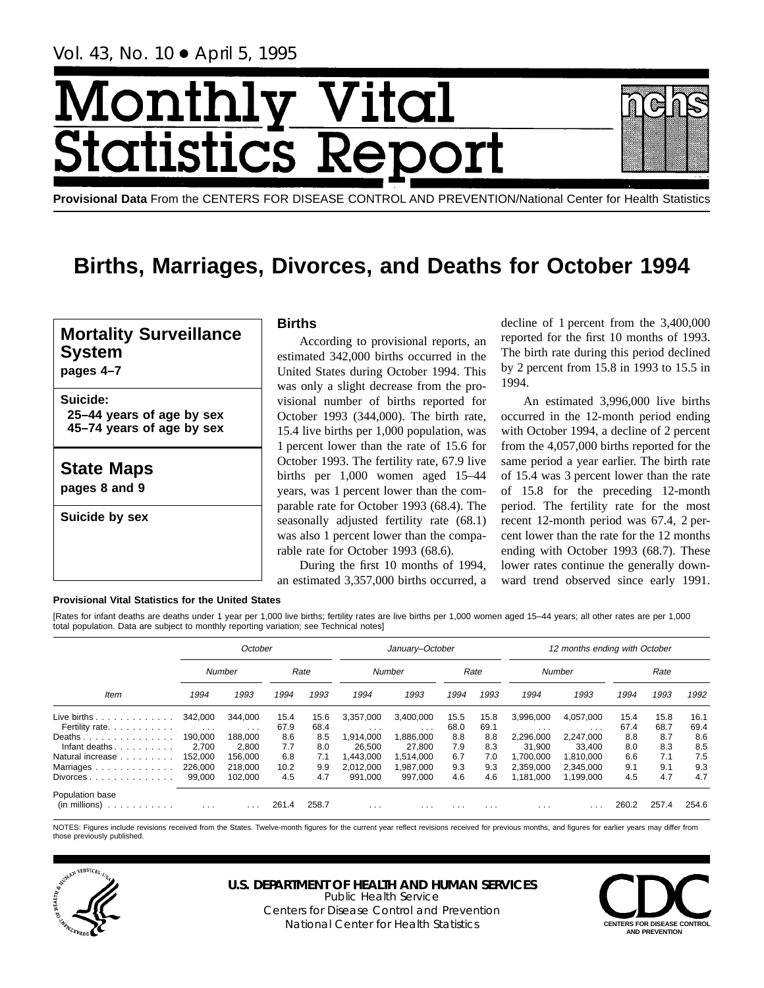Vol. 43, No. 10 ● April 5, 1995

# Month <u>y Vital</u> tics Re itatist

**Provisional Data** From the CENTERS FOR DISEASE CONTROL AND PREVENTION/National Center for Health Statistics

# **Births, Marriages, Divorces, and Deaths for October 1994**

## **Mortality Surveillance System**

**pages 4–7**

**Suicide: 25–44 years of age by sex 45–74 years of age by sex**

**State Maps**

**pages 8 and 9**

**Suicide by sex**

## **Births**

According to provisional reports, an estimated 342,000 births occurred in the United States during October 1994. This was only a slight decrease from the provisional number of births reported for October 1993 (344,000). The birth rate, 15.4 live births per 1,000 population, was 1 percent lower than the rate of 15.6 for October 1993. The fertility rate, 67.9 live births per 1,000 women aged 15–44 years, was 1 percent lower than the comparable rate for October 1993 (68.4). The seasonally adjusted fertility rate (68.1) was also 1 percent lower than the comparable rate for October 1993 (68.6).

During the first 10 months of 1994, an estimated 3,357,000 births occurred, a

decline of 1 percent from the 3,400,000 reported for the first 10 months of 1993. The birth rate during this period declined by 2 percent from 15.8 in 1993 to 15.5 in 1994.

An estimated 3,996,000 live births occurred in the 12-month period ending with October 1994, a decline of 2 percent from the 4,057,000 births reported for the same period a year earlier. The birth rate of 15.4 was 3 percent lower than the rate of 15.8 for the preceding 12-month period. The fertility rate for the most recent 12-month period was 67.4, 2 percent lower than the rate for the 12 months ending with October 1993 (68.7). These lower rates continue the generally downward trend observed since early 1991.

#### **Provisional Vital Statistics for the United States**

[Rates for infant deaths are deaths under 1 year per 1,000 live births; fertility rates are live births per 1,000 women aged 15–44 years; all other rates are per 1,000 total population. Data are subject to monthly reporting variation; see Technical notes]

|                                                                    |                | October                 |       |       |                         | January-October         |          |                         | 12 months ending with October |           |       |       |       |  |
|--------------------------------------------------------------------|----------------|-------------------------|-------|-------|-------------------------|-------------------------|----------|-------------------------|-------------------------------|-----------|-------|-------|-------|--|
|                                                                    |                | Number                  |       | Rate  |                         | Number                  |          | Rate                    |                               | Number    |       | Rate  |       |  |
| Item                                                               | 1994           | 1993                    | 1994  | 1993  | 1994                    | 1993                    | 1994     | 1993                    | 1994                          | 1993      | 1994  | 1993  | 1992  |  |
| Live births $\ldots$                                               | 342.000        | 344.000                 | 15.4  | 15.6  | 3.357.000               | 3.400.000               | 15.5     | 15.8                    | 3.996.000                     | 4.057.000 | 15.4  | 15.8  | 16.1  |  |
| Fertility rate.                                                    | $\sim$ $ \sim$ | $\cdot$ $\cdot$ $\cdot$ | 67.9  | 68.4  | $\cdots$                | $\cdots$                | 68.0     | 69.1                    | $\cdots$                      | $\cdots$  | 67.4  | 68.7  | 69.4  |  |
| Deaths                                                             | 190.000        | 188.000                 | 8.6   | 8.5   | 1.914.000               | 1,886,000               | 8.8      | 8.8                     | 2,296,000                     | 2.247.000 | 8.8   | 8.7   | 8.6   |  |
| Infant deaths                                                      | 2.700          | 2.800                   | 7.7   | 8.0   | 26.500                  | 27.800                  | 7.9      | 8.3                     | 31,900                        | 33.400    | 8.0   | 8.3   | 8.5   |  |
| Natural increase                                                   | 152.000        | 156.000                 | 6.8   | 7.1   | .443.000                | 1.514.000               | 6.7      | 7.0                     | 1.700.000                     | 1.810.000 | 6.6   | 7.1   | 7.5   |  |
| Marriages                                                          | 226,000        | 218.000                 | 10.2  | 9.9   | 2.012.000               | 1.987.000               | 9.3      | 9.3                     | 2.359.000                     | 2.345.000 | 9.1   | 9.1   | 9.3   |  |
| $Divorces \dots \dots \dots \dots \dots$                           | 99,000         | 102.000                 | 4.5   | 4.7   | 991.000                 | 997,000                 | 4.6      | 4.6                     | 1,181,000                     | 1,199,000 | 4.5   | 4.7   | 4.7   |  |
| Population base<br>(in millions)<br>decision and a contract of the | $\cdots$       | $\cdot$ $\cdot$ $\cdot$ | 261.4 | 258.7 | $\cdot$ $\cdot$ $\cdot$ | $\cdot$ $\cdot$ $\cdot$ | $\cdots$ | $\cdot$ $\cdot$ $\cdot$ | $\cdot$ $\cdot$ $\cdot$       |           | 260.2 | 257.4 | 254.6 |  |

NOTES: Figures include revisions received from the States. Twelve-month figures for the current year reflect revisions received for previous months, and figures for earlier years may differ from those previously published.



## **U.S. DEPARTMENT OF HEALTH AND HUMAN SERVICES**

Public Health Service Centers for Disease Control and Prevention National Center for Health Statistics **CENTERS FOR DISEASE CONTROL** 

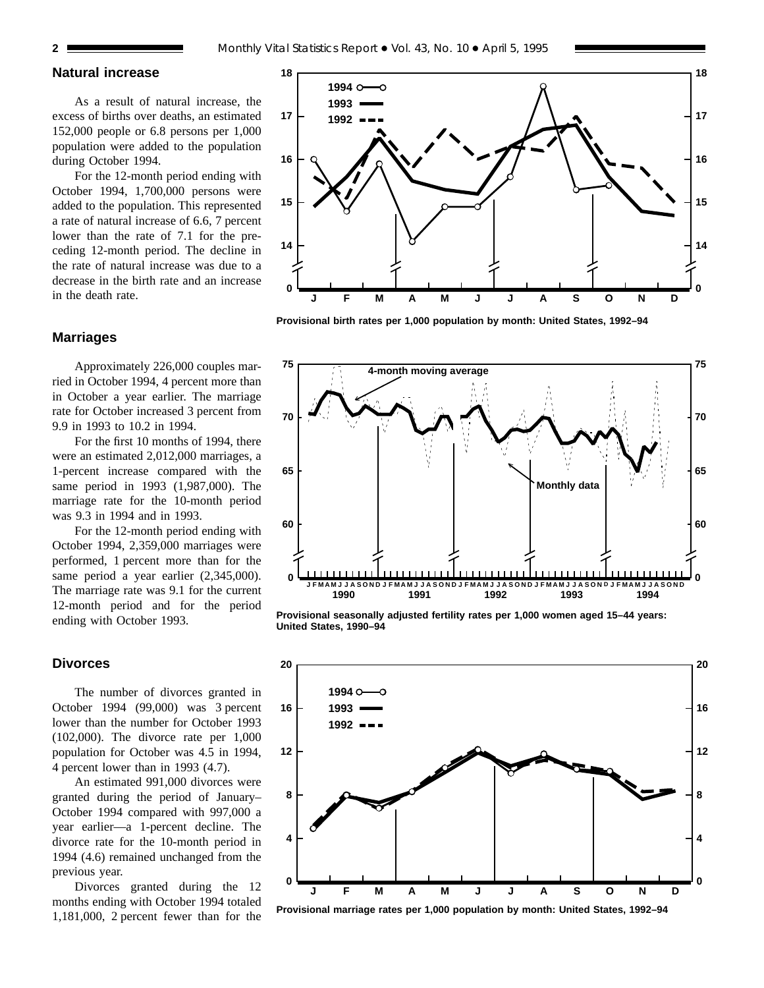## **Natural increase**

As a result of natural increase, the excess of births over deaths, an estimated 152,000 people or 6.8 persons per 1,000 population were added to the population during October 1994.

For the 12-month period ending with October 1994, 1,700,000 persons were added to the population. This represented a rate of natural increase of 6.6, 7 percent lower than the rate of 7.1 for the preceding 12-month period. The decline in the rate of natural increase was due to a decrease in the birth rate and an increase in the death rate.

## **Marriages**

Approximately 226,000 couples married in October 1994, 4 percent more than in October a year earlier. The marriage rate for October increased 3 percent from 9.9 in 1993 to 10.2 in 1994.

For the first 10 months of 1994, there were an estimated 2,012,000 marriages, a 1-percent increase compared with the same period in 1993 (1,987,000). The marriage rate for the 10-month period was 9.3 in 1994 and in 1993.

For the 12-month period ending with October 1994, 2,359,000 marriages were performed, 1 percent more than for the same period a year earlier (2,345,000). The marriage rate was 9.1 for the current 12-month period and for the period ending with October 1993.

## **Divorces**

The number of divorces granted in October 1994 (99,000) was 3 percent lower than the number for October 1993 (102,000). The divorce rate per 1,000 population for October was 4.5 in 1994, 4 percent lower than in 1993 (4.7).

An estimated 991,000 divorces were granted during the period of January– October 1994 compared with 997,000 a year earlier—a 1-percent decline. The divorce rate for the 10-month period in 1994 (4.6) remained unchanged from the previous year.

Divorces granted during the 12 months ending with October 1994 totaled 1,181,000, 2 percent fewer than for the



**Provisional birth rates per 1,000 population by month: United States, 1992–94**



**Provisional seasonally adjusted fertility rates per 1,000 women aged 15–44 years: United States, 1990–94**



**Provisional marriage rates per 1,000 population by month: United States, 1992–94**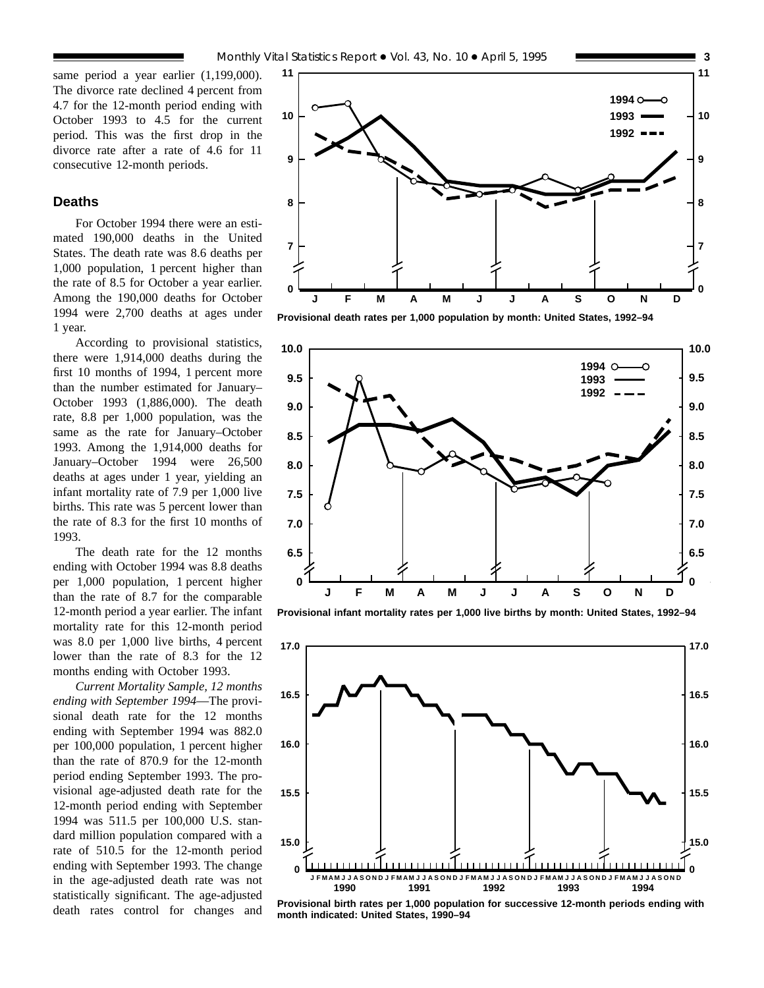same period a year earlier (1,199,000). The divorce rate declined 4 percent from 4.7 for the 12-month period ending with October 1993 to 4.5 for the current period. This was the first drop in the divorce rate after a rate of 4.6 for 11 consecutive 12-month periods.

## **Deaths**

For October 1994 there were an estimated 190,000 deaths in the United States. The death rate was 8.6 deaths per 1,000 population, 1 percent higher than the rate of 8.5 for October a year earlier. Among the 190,000 deaths for October 1994 were 2,700 deaths at ages under 1 year.

According to provisional statistics, there were 1,914,000 deaths during the first 10 months of 1994, 1 percent more than the number estimated for January– October 1993 (1,886,000). The death rate, 8.8 per 1,000 population, was the same as the rate for January–October 1993. Among the 1,914,000 deaths for January–October 1994 were 26,500 deaths at ages under 1 year, yielding an infant mortality rate of 7.9 per 1,000 live births. This rate was 5 percent lower than the rate of 8.3 for the first 10 months of 1993.

The death rate for the 12 months ending with October 1994 was 8.8 deaths per 1,000 population, 1 percent higher than the rate of 8.7 for the comparable 12-month period a year earlier. The infant mortality rate for this 12-month period was 8.0 per 1,000 live births, 4 percent lower than the rate of 8.3 for the 12 months ending with October 1993.

*Current Mortality Sample, 12 months ending with September 1994*—The provisional death rate for the 12 months ending with September 1994 was 882.0 per 100,000 population, 1 percent higher than the rate of 870.9 for the 12-month period ending September 1993. The provisional age-adjusted death rate for the 12-month period ending with September 1994 was 511.5 per 100,000 U.S. standard million population compared with a rate of 510.5 for the 12-month period ending with September 1993. The change in the age-adjusted death rate was not statistically significant. The age-adjusted death rates control for changes and



**Provisional death rates per 1,000 population by month: United States, 1992–94**



**Provisional infant mortality rates per 1,000 live births by month: United States, 1992–94**



**Provisional birth rates per 1,000 population for successive 12-month periods ending with month indicated: United States, 1990–94**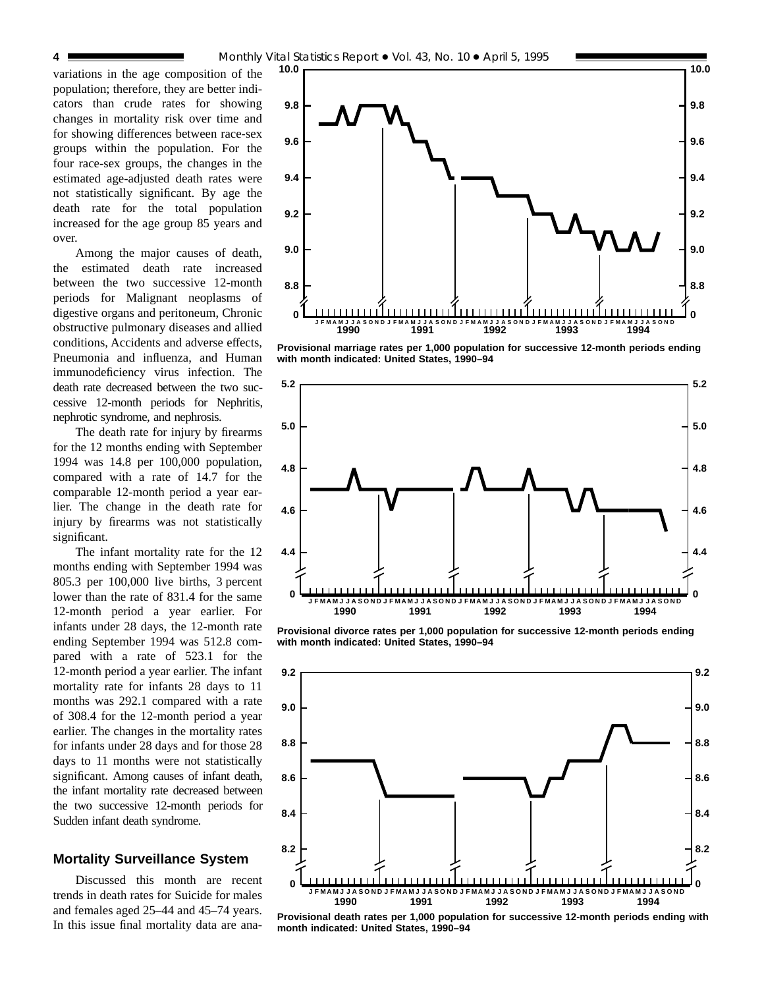variations in the age composition of the population; therefore, they are better indicators than crude rates for showing changes in mortality risk over time and for showing differences between race-sex groups within the population. For the four race-sex groups, the changes in the estimated age-adjusted death rates were not statistically significant. By age the death rate for the total population increased for the age group 85 years and over.

Among the major causes of death, the estimated death rate increased between the two successive 12-month periods for Malignant neoplasms of digestive organs and peritoneum, Chronic obstructive pulmonary diseases and allied conditions, Accidents and adverse effects, Pneumonia and influenza, and Human immunodeficiency virus infection. The death rate decreased between the two successive 12-month periods for Nephritis, nephrotic syndrome, and nephrosis.

The death rate for injury by firearms for the 12 months ending with September 1994 was 14.8 per 100,000 population, compared with a rate of 14.7 for the comparable 12-month period a year earlier. The change in the death rate for injury by firearms was not statistically significant.

The infant mortality rate for the 12 months ending with September 1994 was 805.3 per 100,000 live births, 3 percent lower than the rate of 831.4 for the same 12-month period a year earlier. For infants under 28 days, the 12-month rate ending September 1994 was 512.8 compared with a rate of 523.1 for the 12-month period a year earlier. The infant mortality rate for infants 28 days to 11 months was 292.1 compared with a rate of 308.4 for the 12-month period a year earlier. The changes in the mortality rates for infants under 28 days and for those 28 days to 11 months were not statistically significant. Among causes of infant death, the infant mortality rate decreased between the two successive 12-month periods for Sudden infant death syndrome.

#### **Mortality Surveillance System**

Discussed this month are recent trends in death rates for Suicide for males and females aged 25–44 and 45–74 years. In this issue final mortality data are ana-



**Provisional marriage rates per 1,000 population for successive 12-month periods ending with month indicated: United States, 1990–94**



**Provisional divorce rates per 1,000 population for successive 12-month periods ending with month indicated: United States, 1990–94**



**Provisional death rates per 1,000 population for successive 12-month periods ending with month indicated: United States, 1990–94**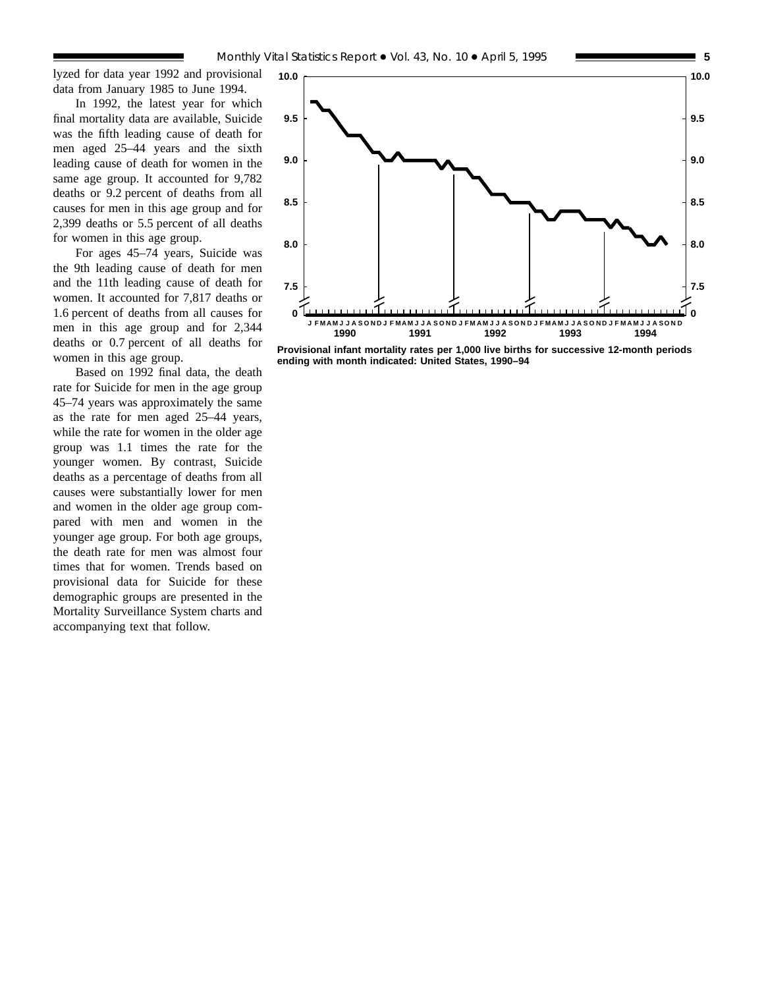lyzed for data year 1992 and provisional data from January 1985 to June 1994.

In 1992, the latest year for which final mortality data are available, Suicide was the fifth leading cause of death for men aged 25–44 years and the sixth leading cause of death for women in the same age group. It accounted for 9,782 deaths or 9.2 percent of deaths from all causes for men in this age group and for 2,399 deaths or 5.5 percent of all deaths for women in this age group.

For ages 45–74 years, Suicide was the 9th leading cause of death for men and the 11th leading cause of death for women. It accounted for 7,817 deaths or 1.6 percent of deaths from all causes for men in this age group and for 2,344 deaths or 0.7 percent of all deaths for women in this age group.

Based on 1992 final data, the death rate for Suicide for men in the age group 45–74 years was approximately the same as the rate for men aged 25–44 years, while the rate for women in the older age group was 1.1 times the rate for the younger women. By contrast, Suicide deaths as a percentage of deaths from all causes were substantially lower for men and women in the older age group compared with men and women in the younger age group. For both age groups, the death rate for men was almost four times that for women. Trends based on provisional data for Suicide for these demographic groups are presented in the Mortality Surveillance System charts and accompanying text that follow.



**Provisional infant mortality rates per 1,000 live births for successive 12-month periods ending with month indicated: United States, 1990–94**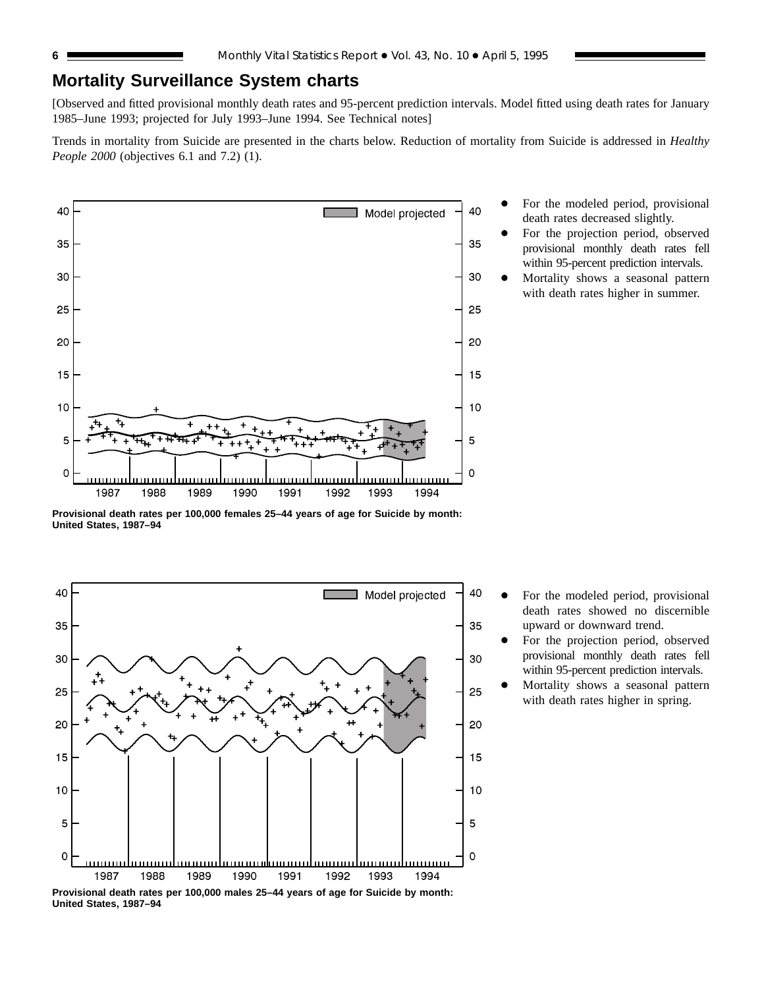## **Mortality Surveillance System charts**

[Observed and fitted provisional monthly death rates and 95-percent prediction intervals. Model fitted using death rates for January 1985–June 1993; projected for July 1993–June 1994. See Technical notes]

Trends in mortality from Suicide are presented in the charts below. Reduction of mortality from Suicide is addressed in *Healthy People 2000* (objectives 6.1 and 7.2) (1).



- For the modeled period, provisional death rates decreased slightly.
- For the projection period, observed provisional monthly death rates fell within 95-percent prediction intervals.
- Mortality shows a seasonal pattern with death rates higher in summer.

**Provisional death rates per 100,000 females 25–44 years of age for Suicide by month: United States, 1987–94**



For the modeled period, provisional death rates showed no discernible upward or downward trend.

- For the projection period, observed provisional monthly death rates fell within 95-percent prediction intervals.
- Mortality shows a seasonal pattern with death rates higher in spring.

**United States, 1987–94**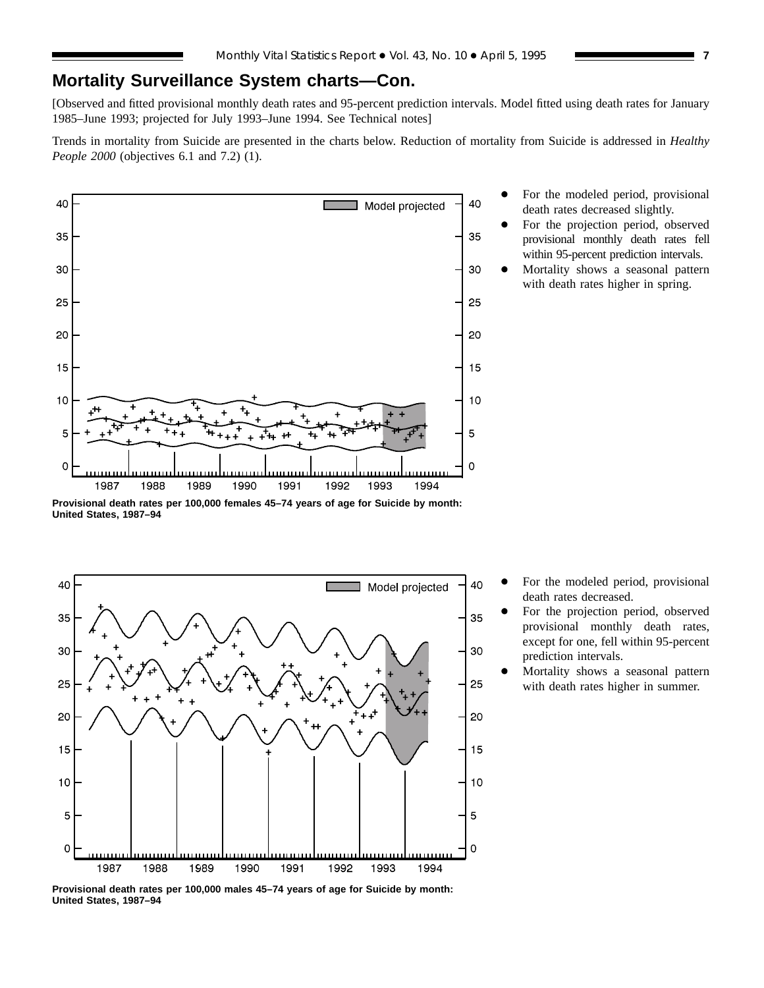## **Mortality Surveillance System charts—Con.**

[Observed and fitted provisional monthly death rates and 95-percent prediction intervals. Model fitted using death rates for January 1985–June 1993; projected for July 1993–June 1994. See Technical notes]

Trends in mortality from Suicide are presented in the charts below. Reduction of mortality from Suicide is addressed in *Healthy People 2000* (objectives 6.1 and 7.2) (1).



- For the modeled period, provisional death rates decreased slightly.
- For the projection period, observed provisional monthly death rates fell within 95-percent prediction intervals.
- Mortality shows a seasonal pattern with death rates higher in spring.

**Provisional death rates per 100,000 females 45–74 years of age for Suicide by month: United States, 1987–94**



- For the modeled period, provisional death rates decreased.
- For the projection period, observed provisional monthly death rates, except for one, fell within 95-percent prediction intervals.
- Mortality shows a seasonal pattern with death rates higher in summer.

**Provisional death rates per 100,000 males 45–74 years of age for Suicide by month: United States, 1987–94**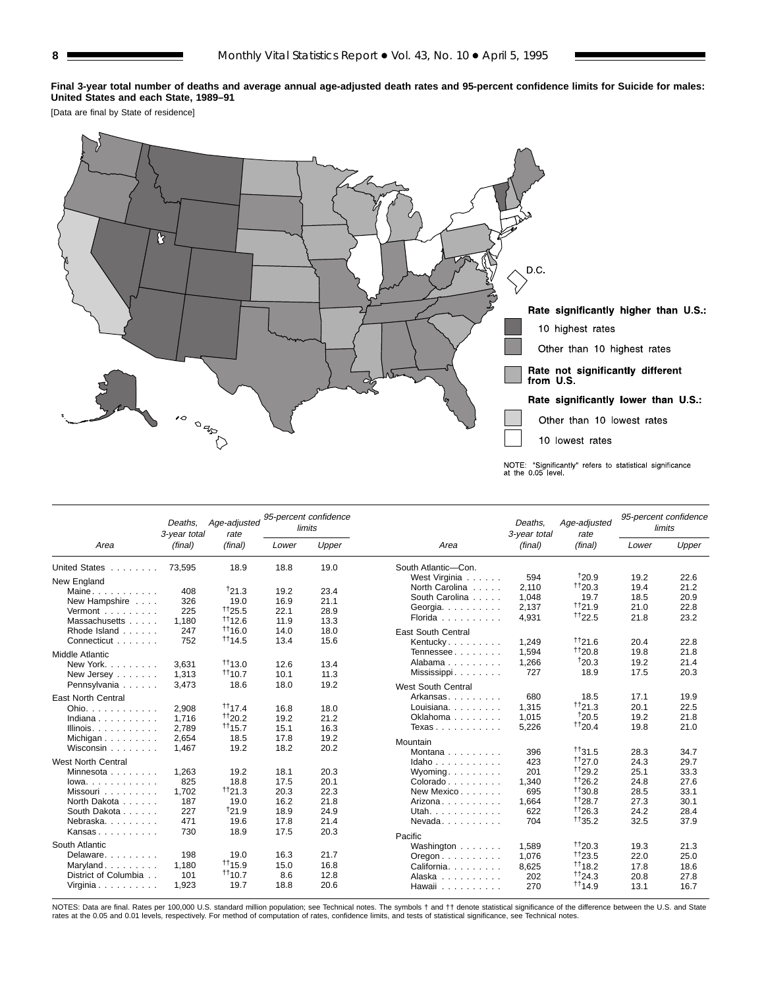**Final 3-year total number of deaths and average annual age-adjusted death rates and 95-percent confidence limits for Suicide for males: United States and each State, 1989–91**

[Data are final by State of residence]



|                                         | Deaths.<br>3-year total | Age-adjusted<br>rate | limits | 95-percent confidence |                                                 | Deaths.<br>3-year total | Age-adjusted<br>rate |       | 95-percent confidence<br>limits |
|-----------------------------------------|-------------------------|----------------------|--------|-----------------------|-------------------------------------------------|-------------------------|----------------------|-------|---------------------------------|
| Area                                    | (final)                 | (final)              | Lower  | Upper                 | Area                                            | (final)                 | (final)              | Lower | Upper                           |
| United States                           | 73,595                  | 18.9                 | 18.8   | 19.0                  | South Atlantic-Con.                             |                         |                      |       |                                 |
| New England                             |                         |                      |        |                       | West Virginia                                   | 594                     | 120.9                | 19.2  | 22.6                            |
| Maine                                   | 408                     | 121.3                | 19.2   | 23.4                  | North Carolina                                  | 2,110                   | 1120.3               | 19.4  | 21.2                            |
| New Hampshire                           | 326                     | 19.0                 | 16.9   | 21.1                  | South Carolina                                  | 1.048                   | 19.7                 | 18.5  | 20.9                            |
| Vermont                                 | 225                     | $+125.5$             | 22.1   | 28.9                  | Georgia. $\ldots$ .                             | 2,137                   | $+121.9$             | 21.0  | 22.8                            |
| Massachusetts                           | 1.180                   | $+112.6$             | 11.9   | 13.3                  | Florida                                         | 4,931                   | $+122.5$             | 21.8  | 23.2                            |
| Rhode Island                            | 247                     | 1116.0               | 14.0   | 18.0                  | <b>East South Central</b>                       |                         |                      |       |                                 |
| Connecticut                             | 752                     | $+114.5$             | 13.4   | 15.6                  | Kentucky                                        | 1,249                   | 1121.6               | 20.4  | 22.8                            |
| <b>Middle Atlantic</b>                  |                         |                      |        |                       | Tennessee                                       | 1.594                   | 1120.8               | 19.8  | 21.8                            |
| New York                                | 3.631                   | $+113.0$             | 12.6   | 13.4                  | Alabama                                         | 1,266                   | 120.3                | 19.2  | 21.4                            |
| New Jersey                              | 1,313                   | $+110.7$             | 10.1   | 11.3                  | Mississippi                                     | 727                     | 18.9                 | 17.5  | 20.3                            |
| Pennsylvania                            | 3,473                   | 18.6                 | 18.0   | 19.2                  |                                                 |                         |                      |       |                                 |
|                                         |                         |                      |        |                       | <b>West South Central</b>                       |                         |                      |       |                                 |
| <b>East North Central</b>               |                         |                      |        |                       | Arkansas                                        | 680                     | 18.5                 | 17.1  | 19.9                            |
| Ohio.                                   | 2,908                   | $^{++}$ 17.4         | 16.8   | 18.0                  | Louisiana.                                      | 1,315                   | $+121.3$             | 20.1  | 22.5                            |
| Indiana                                 | 1,716                   | $+120.2$             | 19.2   | 21.2                  | Oklahoma                                        | 1,015                   | 120.5                | 19.2  | 21.8                            |
| Illinois. $\ldots$ .                    | 2,789                   | $+115.7$             | 15.1   | 16.3                  | Texas                                           | 5,226                   | $^{+120.4}$          | 19.8  | 21.0                            |
| Michigan                                | 2,654                   | 18.5                 | 17.8   | 19.2                  | Mountain                                        |                         |                      |       |                                 |
| Wisconsin                               | 1,467                   | 19.2                 | 18.2   | 20.2                  | Montana $\ldots$ , $\ldots$                     | 396                     | $+131.5$             | 28.3  | 34.7                            |
| <b>West North Central</b>               |                         |                      |        |                       | Idaho                                           | 423                     | 1127.0               | 24.3  | 29.7                            |
| Minnesota                               | 1,263                   | 19.2                 | 18.1   | 20.3                  | Wyoming.                                        | 201                     | 1129.2               | 25.1  | 33.3                            |
| $lowa.$                                 | 825                     | 18.8                 | 17.5   | 20.1                  | $Colorado \ldots \ldots$                        | 1.340                   | 1126.2               | 24.8  | 27.6                            |
| Missouri                                | 1.702                   | 1121.3               | 20.3   | 22.3                  | New Mexico                                      | 695                     | $+130.8$             | 28.5  | 33.1                            |
| North Dakota                            | 187                     | 19.0                 | 16.2   | 21.8                  | Arizona                                         | 1.664                   | $+128.7$             | 27.3  | 30.1                            |
| South Dakota                            | 227                     | 121.9                | 18.9   | 24.9                  | Utah.                                           | 622                     | $+126.3$             | 24.2  | 28.4                            |
| Nebraska.                               | 471                     | 19.6                 | 17.8   | 21.4                  | Nevada                                          | 704                     | $+135.2$             | 32.5  | 37.9                            |
| Kansas                                  | 730                     | 18.9                 | 17.5   | 20.3                  | Pacific                                         |                         |                      |       |                                 |
| South Atlantic                          |                         |                      |        |                       | Washington                                      | 1,589                   | $+120.3$             | 19.3  | 21.3                            |
| Delaware                                | 198                     | 19.0                 | 16.3   | 21.7                  |                                                 | 1,076                   | $+123.5$             | 22.0  | 25.0                            |
| Maryland                                | 1.180                   | 1115.9               | 15.0   | 16.8                  | $O$ regon $\ldots \ldots \ldots$<br>California. | 8,625                   | 1118.2               | 17.8  | 18.6                            |
| District of Columbia                    | 101                     | $+110.7$             | 8.6    | 12.8                  | Alaska                                          | 202                     | 1124.3               | 20.8  | 27.8                            |
| Virginia $\ldots$ , $\ldots$ , $\ldots$ | 1.923                   | 19.7                 | 18.8   | 20.6                  | Hawaii                                          | 270                     | 1114.9               | 13.1  | 16.7                            |

NOTES: Data are final. Rates per 100,000 U.S. standard million population; see Technical notes. The symbols † and †† denote statistical significance of the difference between the U.S. and State<br>rates at the 0.05 and 0.01 l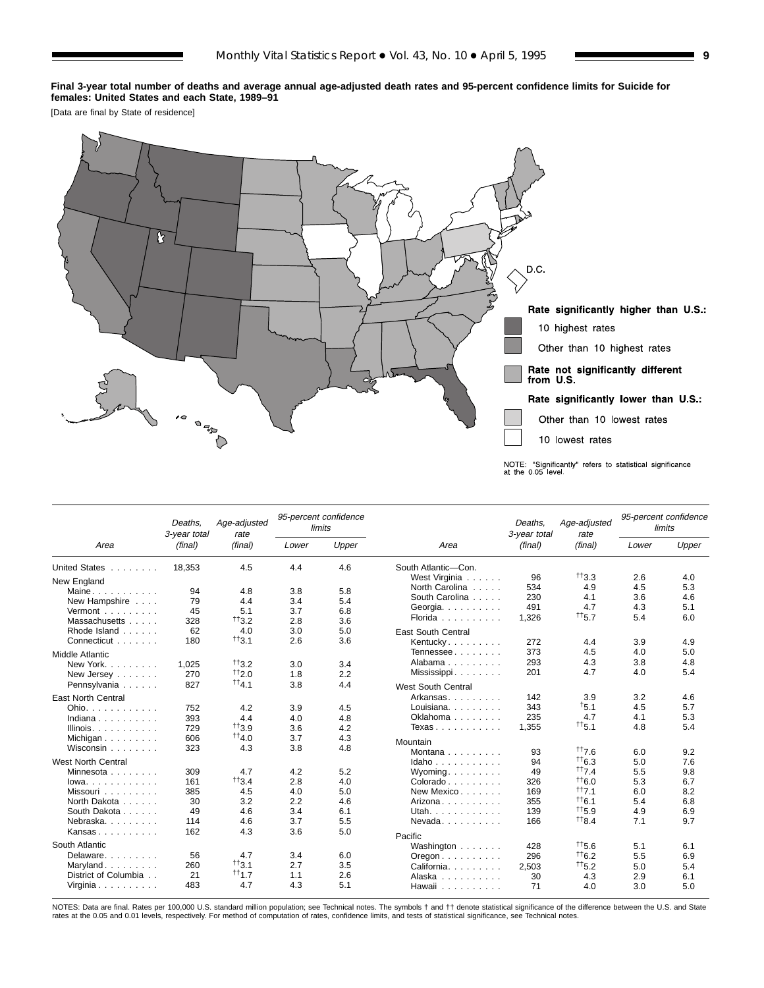**Final 3-year total number of deaths and average annual age-adjusted death rates and 95-percent confidence limits for Suicide for females: United States and each State, 1989–91**

[Data are final by State of residence]



|                                | Deaths.<br>3-year total | Age-adjusted<br>rate |            | 95-percent confidence<br>limits |                                          | Deaths.<br>3-year total | Age-adjusted<br>rate |       | 95-percent confidence<br>limits |
|--------------------------------|-------------------------|----------------------|------------|---------------------------------|------------------------------------------|-------------------------|----------------------|-------|---------------------------------|
| Area                           | (final)                 | (final)              | Lower      | Upper                           | Area                                     | (final)                 | (final)              | Lower | Upper                           |
| United States                  | 18,353                  | 4.5                  | 4.4        | 4.6                             | South Atlantic-Con.                      |                         |                      |       |                                 |
| New England                    |                         |                      |            |                                 | West Virginia                            | 96                      | $+13.3$              | 2.6   | 4.0                             |
| Maine                          | 94                      | 4.8                  | 3.8        | 5.8                             | North Carolina                           | 534                     | 4.9                  | 4.5   | 5.3                             |
| New Hampshire                  | 79                      | 4.4                  | 3.4        | 5.4                             | South Carolina                           | 230                     | 4.1                  | 3.6   | 4.6                             |
| Vermont                        | 45                      | 5.1                  | 3.7        | 6.8                             | Georgia.                                 | 491                     | 4.7                  | 4.3   | 5.1                             |
| Massachusetts                  | 328                     | $^{++}3.2$           | 2.8        | 3.6                             | Florida                                  | 1.326                   | $^{++5.7}$           | 5.4   | 6.0                             |
| Rhode Island                   | 62                      | 4.0                  | 3.0        | 5.0                             | <b>East South Central</b>                |                         |                      |       |                                 |
| Connecticut                    | 180                     | $^{++}3.1$           | 2.6        | 3.6                             | Kentucky                                 | 272                     | 4.4                  | 3.9   | 4.9                             |
| <b>Middle Atlantic</b>         |                         |                      |            |                                 | Tennessee                                | 373                     | 4.5                  | 4.0   | 5.0                             |
|                                |                         | $^{++}3.2$           |            |                                 | Alabama                                  | 293                     | 4.3                  | 3.8   | 4.8                             |
| New York.                      | 1.025                   | $+12.0$              | 3.0        | 3.4                             | Mississippi                              | 201                     | 4.7                  | 4.0   | 5.4                             |
| New Jersey                     | 270<br>827              | $^{++4.1}$           | 1.8<br>3.8 | 2.2<br>4.4                      |                                          |                         |                      |       |                                 |
| Pennsylvania                   |                         |                      |            |                                 | <b>West South Central</b>                |                         |                      |       |                                 |
| <b>East North Central</b>      |                         |                      |            |                                 | Arkansas                                 | 142                     | 3.9                  | 3.2   | 4.6                             |
| Ohio.                          | 752                     | 4.2                  | 3.9        | 4.5                             | Louisiana.                               | 343                     | 15.1                 | 4.5   | 5.7                             |
| Indiana                        | 393                     | 4.4                  | 4.0        | 4.8                             | Oklahoma                                 | 235                     | 4.7                  | 4.1   | 5.3                             |
| Illinois. $\ldots$ .           | 729                     | $+13.9$              | 3.6        | 4.2                             | Texas                                    | 1,355                   | $^{++6.1}$           | 4.8   | 5.4                             |
| Michigan                       | 606                     | $^{++4.0}$           | 3.7        | 4.3                             | Mountain                                 |                         |                      |       |                                 |
| Wisconsin                      | 323                     | 4.3                  | 3.8        | 4.8                             | Montana $\ldots$ $\ldots$ .              | 93                      | 117.6                | 6.0   | 9.2                             |
| <b>West North Central</b>      |                         |                      |            |                                 | Idaho                                    | 94                      | $+6.3$               | 5.0   | 7.6                             |
| Minnesota                      | 309                     | 4.7                  | 4.2        | 5.2                             | $W$ yoming                               | 49                      | tt7.4                | 5.5   | 9.8                             |
| $lowa. \ldots. \ldots. \ldots$ | 161                     | $^{++}$ 3.4          | 2.8        | 4.0                             | $Colorado \ldots \ldots$                 | 326                     | 116.0                | 5.3   | 6.7                             |
| Missouri                       | 385                     | 4.5                  | 4.0        | 5.0                             | New Mexico                               | 169                     | $+17.1$              | 6.0   | 8.2                             |
| North Dakota                   | 30                      | 3.2                  | 2.2        | 4.6                             | Arizona                                  | 355                     | $+6.1$               | 5.4   | 6.8                             |
| South Dakota                   | 49                      | 4.6                  | 3.4        | 6.1                             | Utah.                                    | 139                     | $^{++5.9}$           | 4.9   | 6.9                             |
| Nebraska                       | 114                     | 4.6                  | 3.7        | 5.5                             | Nevada                                   | 166                     | $+18.4$              | 7.1   | 9.7                             |
| Kansas                         | 162                     | 4.3                  | 3.6        | 5.0                             |                                          |                         |                      |       |                                 |
|                                |                         |                      |            |                                 | Pacific                                  |                         |                      |       |                                 |
| South Atlantic                 |                         |                      |            |                                 | Washington                               | 428                     | $+5.6$               | 5.1   | 6.1                             |
| Delaware                       | 56                      | 4.7                  | 3.4        | 6.0                             | $O$ regon $\ldots$ , $\ldots$ , $\ldots$ | 296                     | $^{++6.2}$           | 5.5   | 6.9                             |
| Maryland                       | 260                     | $+13.1$              | 2.7        | 3.5                             | California.                              | 2,503                   | $^{++}$ 5.2          | 5.0   | 5.4                             |
| District of Columbia           | 21                      | $+11.7$              | 1.1        | 2.6                             | Alaska                                   | 30                      | 4.3                  | 2.9   | 6.1                             |
| Virginia                       | 483                     | 4.7                  | 4.3        | 5.1                             | Hawaii                                   | 71                      | 4.0                  | 3.0   | 5.0                             |

NOTES: Data are final. Rates per 100,000 U.S. standard million population; see Technical notes. The symbols † and †† denote statistical significance of the difference between the U.S. and State<br>rates at the 0.05 and 0.01 l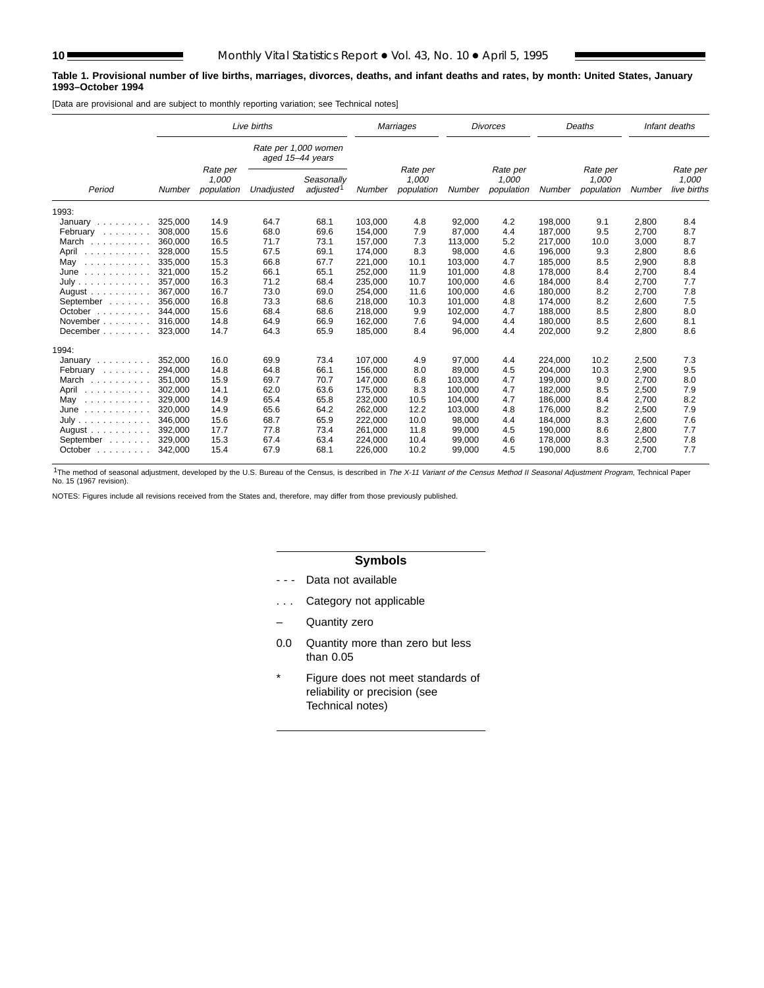#### **Table 1. Provisional number of live births, marriages, divorces, deaths, and infant deaths and rates, by month: United States, January 1993–October 1994**

[Data are provisional and are subject to monthly reporting variation; see Technical notes]

|                                       |         |                                 | Live births                              |                                     |         | Marriages                       |         | <b>Divorces</b>                 |         | Deaths                          |        | Infant deaths                    |
|---------------------------------------|---------|---------------------------------|------------------------------------------|-------------------------------------|---------|---------------------------------|---------|---------------------------------|---------|---------------------------------|--------|----------------------------------|
|                                       |         |                                 | Rate per 1,000 women<br>aged 15-44 years |                                     |         |                                 |         |                                 |         |                                 |        |                                  |
| Period                                | Number  | Rate per<br>1,000<br>population | Unadjusted                               | Seasonally<br>adjusted <sup>1</sup> | Number  | Rate per<br>1,000<br>population | Number  | Rate per<br>1,000<br>population | Number  | Rate per<br>1,000<br>population | Number | Rate per<br>1,000<br>live births |
| 1993:                                 |         |                                 |                                          |                                     |         |                                 |         |                                 |         |                                 |        |                                  |
| January                               | 325,000 | 14.9                            | 64.7                                     | 68.1                                | 103.000 | 4.8                             | 92,000  | 4.2                             | 198,000 | 9.1                             | 2,800  | 8.4                              |
| February                              | 308,000 | 15.6                            | 68.0                                     | 69.6                                | 154,000 | 7.9                             | 87,000  | 4.4                             | 187,000 | 9.5                             | 2,700  | 8.7                              |
| March                                 | 360.000 | 16.5                            | 71.7                                     | 73.1                                | 157,000 | 7.3                             | 113,000 | 5.2                             | 217,000 | 10.0                            | 3,000  | 8.7                              |
| April<br>.                            | 328,000 | 15.5                            | 67.5                                     | 69.1                                | 174,000 | 8.3                             | 98,000  | 4.6                             | 196,000 | 9.3                             | 2,800  | 8.6                              |
| May<br>.                              | 335.000 | 15.3                            | 66.8                                     | 67.7                                | 221.000 | 10.1                            | 103,000 | 4.7                             | 185.000 | 8.5                             | 2,900  | 8.8                              |
| June<br>.                             | 321,000 | 15.2                            | 66.1                                     | 65.1                                | 252,000 | 11.9                            | 101,000 | 4.8                             | 178,000 | 8.4                             | 2,700  | 8.4                              |
| July                                  | 357.000 | 16.3                            | 71.2                                     | 68.4                                | 235.000 | 10.7                            | 100.000 | 4.6                             | 184.000 | 8.4                             | 2.700  | 7.7                              |
| August $\ldots$ , $\ldots$ ,          | 367.000 | 16.7                            | 73.0                                     | 69.0                                | 254,000 | 11.6                            | 100,000 | 4.6                             | 180,000 | 8.2                             | 2,700  | 7.8                              |
| September                             | 356,000 | 16.8                            | 73.3                                     | 68.6                                | 218,000 | 10.3                            | 101,000 | 4.8                             | 174,000 | 8.2                             | 2,600  | 7.5                              |
| October $\ldots$ , $\ldots$           | 344.000 | 15.6                            | 68.4                                     | 68.6                                | 218,000 | 9.9                             | 102,000 | 4.7                             | 188,000 | 8.5                             | 2,800  | 8.0                              |
| November                              | 316.000 | 14.8                            | 64.9                                     | 66.9                                | 162,000 | 7.6                             | 94,000  | 4.4                             | 180,000 | 8.5                             | 2,600  | 8.1                              |
| December                              | 323,000 | 14.7                            | 64.3                                     | 65.9                                | 185,000 | 8.4                             | 96,000  | 4.4                             | 202,000 | 9.2                             | 2,800  | 8.6                              |
| 1994:                                 |         |                                 |                                          |                                     |         |                                 |         |                                 |         |                                 |        |                                  |
| January                               | 352.000 | 16.0                            | 69.9                                     | 73.4                                | 107.000 | 4.9                             | 97.000  | 4.4                             | 224.000 | 10.2                            | 2,500  | 7.3                              |
| February                              | 294,000 | 14.8                            | 64.8                                     | 66.1                                | 156,000 | 8.0                             | 89,000  | 4.5                             | 204,000 | 10.3                            | 2,900  | 9.5                              |
| March                                 | 351.000 | 15.9                            | 69.7                                     | 70.7                                | 147,000 | 6.8                             | 103,000 | 4.7                             | 199,000 | 9.0                             | 2,700  | 8.0                              |
| April                                 | 302,000 | 14.1                            | 62.0                                     | 63.6                                | 175,000 | 8.3                             | 100,000 | 4.7                             | 182,000 | 8.5                             | 2,500  | 7.9                              |
| May<br>.                              | 329.000 | 14.9                            | 65.4                                     | 65.8                                | 232.000 | 10.5                            | 104.000 | 4.7                             | 186.000 | 8.4                             | 2.700  | 8.2                              |
| June<br>.                             | 320,000 | 14.9                            | 65.6                                     | 64.2                                | 262,000 | 12.2                            | 103,000 | 4.8                             | 176.000 | 8.2                             | 2,500  | 7.9                              |
| July                                  | 346,000 | 15.6                            | 68.7                                     | 65.9                                | 222,000 | 10.0                            | 98,000  | 4.4                             | 184,000 | 8.3                             | 2,600  | 7.6                              |
| August $\ldots$ , $\ldots$ , $\ldots$ | 392,000 | 17.7                            | 77.8                                     | 73.4                                | 261,000 | 11.8                            | 99,000  | 4.5                             | 190,000 | 8.6                             | 2,800  | 7.7                              |
| September                             | 329,000 | 15.3                            | 67.4                                     | 63.4                                | 224,000 | 10.4                            | 99,000  | 4.6                             | 178,000 | 8.3                             | 2,500  | 7.8                              |
| October                               | 342,000 | 15.4                            | 67.9                                     | 68.1                                | 226,000 | 10.2                            | 99,000  | 4.5                             | 190,000 | 8.6                             | 2,700  | 7.7                              |

<sup>1</sup>The method of seasonal adjustment, developed by the U.S. Bureau of the Census, is described in The X-11 Variant of the Census Method II Seasonal Adjustment Program, Technical Paper<br>No. 15 (1967 revision).

NOTES: Figures include all revisions received from the States and, therefore, may differ from those previously published.

## **Symbols**

- - Data not available
- . . . Category not applicable
- Quantity zero
- 0.0 Quantity more than zero but less than 0.05
- \* Figure does not meet standards of reliability or precision (see Technical notes)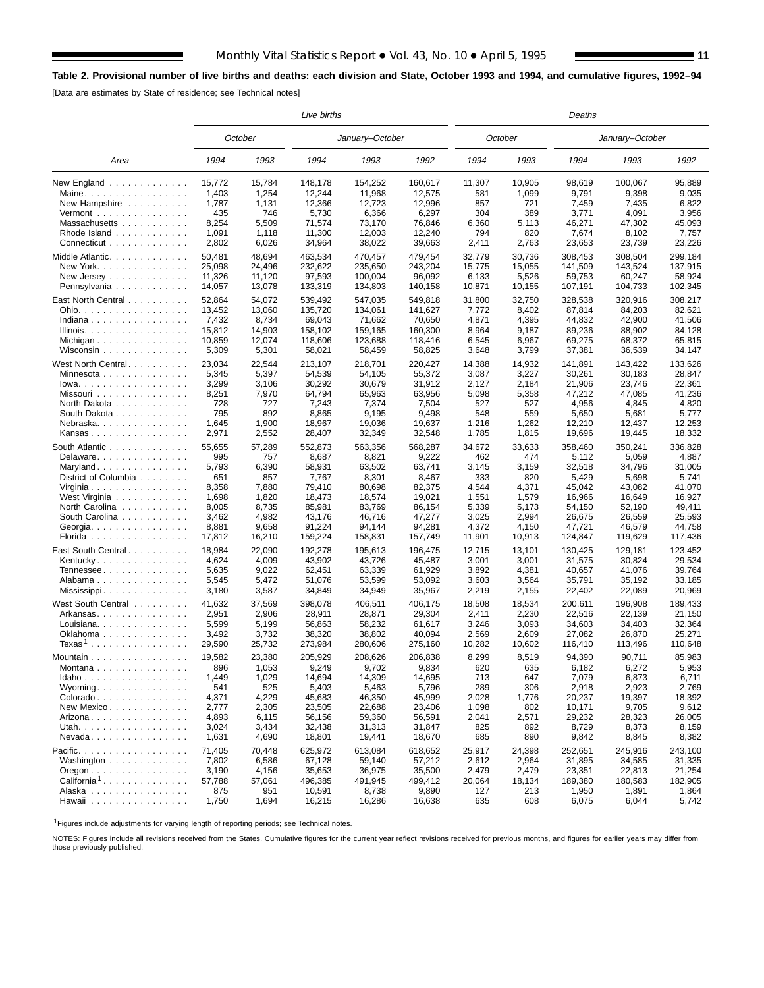## **Table 2. Provisional number of live births and deaths: each division and State, October 1993 and 1994, and cumulative figures, 1992–94**

[Data are estimates by State of residence; see Technical notes]

|                                                          |        |         | Live births |                 |         |        |         | Deaths  |                 |         |
|----------------------------------------------------------|--------|---------|-------------|-----------------|---------|--------|---------|---------|-----------------|---------|
|                                                          |        | October |             | January-October |         |        | October |         | January-October |         |
| Area                                                     | 1994   | 1993    | 1994        | 1993            | 1992    | 1994   | 1993    | 1994    | 1993            | 1992    |
| New England $\ldots$ ,                                   | 15,772 | 15,784  | 148,178     | 154,252         | 160,617 | 11,307 | 10,905  | 98,619  | 100,067         | 95,889  |
| Maine                                                    | 1,403  | 1,254   | 12,244      | 11,968          | 12,575  | 581    | 1,099   | 9,791   | 9,398           | 9,035   |
| New Hampshire                                            | 1,787  | 1,131   | 12,366      | 12,723          | 12,996  | 857    | 721     | 7,459   | 7,435           | 6,822   |
| $Vermont$                                                | 435    | 746     | 5,730       | 6,366           | 6,297   | 304    | 389     | 3,771   | 4,091           | 3,956   |
| Massachusetts                                            | 8,254  | 5,509   | 71,574      | 73,170          | 76,846  | 6,360  | 5,113   | 46,271  | 47,302          | 45,093  |
| Rhode Island                                             | 1,091  | 1,118   | 11,300      | 12,003          | 12,240  | 794    | 820     | 7,674   | 8,102           | 7,757   |
| Connecticut                                              | 2,802  | 6,026   | 34,964      | 38,022          | 39,663  | 2,411  | 2,763   | 23,653  | 23,739          | 23,226  |
| Middle Atlantic                                          | 50,481 | 48,694  | 463,534     | 470,457         | 479,454 | 32,779 | 30,736  | 308,453 | 308,504         | 299,184 |
| New York.                                                | 25,098 | 24,496  | 232,622     | 235,650         | 243,204 | 15,775 | 15,055  | 141,509 | 143,524         | 137,915 |
| New Jersey $\ldots$ , $\ldots$ , $\ldots$                | 11,326 | 11,120  | 97,593      | 100,004         | 96.092  | 6,133  | 5,526   | 59,753  | 60,247          | 58,924  |
| Pennsylvania                                             | 14,057 | 13,078  | 133,319     | 134,803         | 140,158 | 10,871 | 10,155  | 107,191 | 104,733         | 102,345 |
|                                                          |        |         |             |                 |         |        |         |         |                 |         |
| East North Central                                       | 52,864 | 54.072  | 539,492     | 547,035         | 549,818 | 31,800 | 32,750  | 328,538 | 320,916         | 308,217 |
| Ohio.                                                    | 13,452 | 13,060  | 135,720     | 134,061         | 141,627 | 7,772  | 8,402   | 87,814  | 84,203          | 82,621  |
| Indiana                                                  | 7,432  | 8,734   | 69,043      | 71,662          | 70,650  | 4,871  | 4,395   | 44,832  | 42,900          | 41,506  |
| Illinois.                                                | 15,812 | 14,903  | 158,102     | 159,165         | 160,300 | 8,964  | 9,187   | 89,236  | 88,902          | 84,128  |
|                                                          | 10,859 | 12,074  | 118,606     | 123,688         | 118,416 | 6,545  | 6,967   | 69,275  | 68,372          | 65,815  |
| Wisconsin                                                | 5,309  | 5,301   | 58,021      | 58,459          | 58,825  | 3,648  | 3,799   | 37,381  | 36,539          | 34,147  |
| West North Central                                       | 23,034 | 22,544  | 213,107     | 218,701         | 220,427 | 14,388 | 14,932  | 141.891 | 143,422         | 133,626 |
| Minnesota                                                | 5,345  | 5,397   | 54,539      | 54,105          | 55,372  | 3,087  | 3,227   | 30,261  | 30,183          | 28,847  |
| $Iowa.$                                                  | 3,299  | 3,106   | 30,292      | 30,679          | 31,912  | 2,127  | 2,184   | 21,906  | 23,746          | 22,361  |
| Missouri                                                 | 8,251  | 7,970   | 64,794      | 65,963          | 63.956  | 5,098  | 5,358   | 47,212  | 47,085          | 41,236  |
| North Dakota                                             | 728    | 727     | 7,243       | 7,374           | 7,504   | 527    | 527     | 4,956   | 4,845           | 4,820   |
| South Dakota                                             | 795    | 892     | 8,865       | 9,195           | 9,498   | 548    | 559     | 5,650   | 5,681           | 5,777   |
| Nebraska                                                 | 1,645  | 1,900   | 18,967      | 19,036          | 19,637  | 1,216  | 1,262   | 12,210  | 12,437          | 12,253  |
| Kansas                                                   | 2,971  | 2,552   | 28,407      | 32,349          | 32,548  | 1,785  | 1,815   | 19,696  | 19,445          | 18,332  |
|                                                          |        |         |             |                 |         |        |         |         |                 |         |
| South Atlantic                                           | 55,655 | 57,289  | 552,873     | 563,356         | 568,287 | 34,672 | 33,633  | 358.460 | 350,241         | 336,828 |
| Delaware                                                 | 995    | 757     | 8,687       | 8,821           | 9,222   | 462    | 474     | 5,112   | 5,059           | 4,887   |
| Maryland                                                 | 5,793  | 6,390   | 58,931      | 63,502          | 63,741  | 3,145  | 3,159   | 32,518  | 34,796          | 31,005  |
| District of Columbia                                     | 651    | 857     | 7,767       | 8,301           | 8,467   | 333    | 820     | 5,429   | 5,698           | 5,741   |
| Virginia                                                 | 8,358  | 7,880   | 79,410      | 80,698          | 82,375  | 4,544  | 4,371   | 45,042  | 43,082          | 41,070  |
| West Virginia                                            | 1,698  | 1,820   | 18,473      | 18,574          | 19,021  | 1,551  | 1,579   | 16,966  | 16,649          | 16,927  |
| North Carolina                                           | 8,005  | 8,735   | 85,981      | 83,769          | 86,154  | 5,339  | 5,173   | 54,150  | 52,190          | 49,411  |
| South Carolina                                           | 3,462  | 4,982   | 43,176      | 46,716          | 47,277  | 3,025  | 2,994   | 26,675  | 26,559          | 25,593  |
| Georgia.                                                 | 8,881  | 9,658   | 91,224      | 94,144          | 94,281  | 4,372  | 4,150   | 47,721  | 46,579          | 44,758  |
| Florida                                                  | 17,812 | 16,210  | 159,224     | 158,831         | 157,749 | 11,901 | 10,913  | 124,847 | 119,629         | 117,436 |
| East South Central                                       | 18,984 | 22,090  | 192,278     | 195,613         | 196,475 | 12,715 | 13,101  | 130,425 | 129,181         | 123,452 |
| Kentucky                                                 | 4,624  | 4,009   | 43,902      | 43,726          | 45,487  | 3,001  | 3,001   | 31,575  | 30,824          | 29,534  |
| Tennessee                                                | 5,635  | 9,022   | 62,451      | 63,339          | 61,929  | 3,892  | 4,381   | 40,657  | 41,076          | 39,764  |
| Alabama                                                  | 5,545  | 5,472   | 51,076      | 53,599          | 53,092  | 3,603  | 3,564   | 35,791  | 35,192          | 33,185  |
|                                                          | 3,180  | 3,587   | 34,849      | 34,949          | 35,967  |        | 2,155   | 22,402  | 22,089          | 20,969  |
| Mississippi                                              |        |         |             |                 |         | 2,219  |         |         |                 |         |
| West South Central                                       | 41,632 | 37,569  | 398.078     | 406,511         | 406,175 | 18,508 | 18,534  | 200,611 | 196,908         | 189,433 |
| Arkansas                                                 | 2,951  | 2,906   | 28,911      | 28,871          | 29,304  | 2,411  | 2,230   | 22,516  | 22.139          | 21,150  |
| Louisiana                                                | 5,599  | 5,199   | 56,863      | 58,232          | 61,617  | 3,246  | 3,093   | 34,603  | 34,403          | 32,364  |
| Oklahoma                                                 | 3,492  | 3,732   | 38,320      | 38,802          | 40,094  | 2,569  | 2,609   | 27.082  | 26,870          | 25,271  |
| ${\sf Texas^1}$                                          | 29,590 | 25,732  | 273,984     | 280,606         | 275,160 | 10,282 | 10,602  | 116,410 | 113,496         | 110,648 |
| Mountain                                                 | 19,582 | 23,380  | 205,929     | 208,626         | 206,838 | 8,299  | 8,519   | 94,390  | 90,711          | 85,983  |
| Montana                                                  | 896    | 1,053   | 9,249       | 9,702           | 9,834   | 620    | 635     | 6,182   | 6,272           | 5,953   |
| Idaho                                                    | 1,449  | 1,029   | 14,694      | 14,309          | 14,695  | 713    | 647     | 7,079   | 6,873           | 6,711   |
| Wyoming                                                  | 541    | 525     | 5,403       | 5,463           | 5,796   | 289    | 306     | 2,918   | 2,923           | 2,769   |
| Colorado                                                 | 4,371  | 4,229   | 45,683      | 46,350          | 45,999  | 2,028  | 1,776   | 20,237  | 19,397          | 18,392  |
| New Mexico                                               | 2,777  | 2,305   | 23,505      | 22,688          | 23,406  | 1,098  | 802     | 10,171  | 9,705           | 9,612   |
| Arizona.                                                 | 4,893  | 6,115   | 56,156      | 59,360          | 56,591  | 2,041  | 2,571   | 29,232  | 28,323          | 26,005  |
| Utah.                                                    | 3,024  | 3,434   | 32,438      | 31,313          | 31,847  | 825    | 892     | 8,729   | 8,373           | 8,159   |
|                                                          |        |         |             |                 |         |        |         |         |                 |         |
| Nevada                                                   | 1,631  | 4,690   | 18,801      | 19,441          | 18,670  | 685    | 890     | 9,842   | 8,845           | 8,382   |
| Pacific.                                                 | 71.405 | 70,448  | 625,972     | 613,084         | 618,652 | 25,917 | 24,398  | 252,651 | 245,916         | 243,100 |
| Washington                                               | 7,802  | 6,586   | 67,128      | 59,140          | 57,212  | 2,612  | 2,964   | 31,895  | 34,585          | 31,335  |
| $O$ regon $\ldots$ $\ldots$ $\ldots$ $\ldots$ $\ldots$ . | 3,190  | 4,156   | 35,653      | 36,975          | 35,500  | 2,479  | 2,479   | 23,351  | 22,813          | 21,254  |
| California <sup>1</sup>                                  | 57,788 | 57,061  | 496,385     | 491,945         | 499,412 | 20,064 | 18,134  | 189,380 | 180,583         | 182.905 |
| Alaska                                                   | 875    | 951     | 10,591      | 8,738           | 9,890   | 127    | 213     | 1,950   | 1,891           | 1,864   |
| Hawaii                                                   | 1,750  | 1,694   | 16,215      | 16,286          | 16,638  | 635    | 608     | 6,075   | 6,044           | 5,742   |
|                                                          |        |         |             |                 |         |        |         |         |                 |         |

1Figures include adjustments for varying length of reporting periods; see Technical notes.

NOTES: Figures include all revisions received from the States. Cumulative figures for the current year reflect revisions received for previous months, and figures for earlier years may differ from those previously published.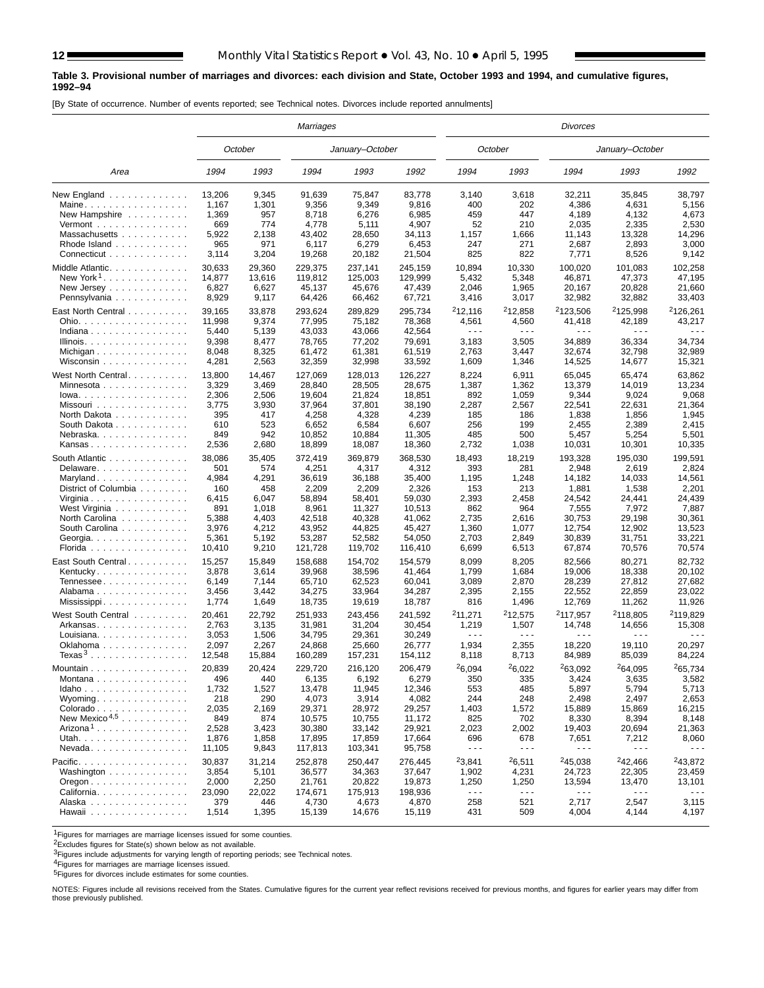#### **Table 3. Provisional number of marriages and divorces: each division and State, October 1993 and 1994, and cumulative figures, 1992–94**

[By State of occurrence. Number of events reported; see Technical notes. Divorces include reported annulments]

|                                                    |        |         | Marriages       |                 |         |                      |                                                                                                                                                                                                                                                                                                                                                                                              | Divorces             |                      |                      |
|----------------------------------------------------|--------|---------|-----------------|-----------------|---------|----------------------|----------------------------------------------------------------------------------------------------------------------------------------------------------------------------------------------------------------------------------------------------------------------------------------------------------------------------------------------------------------------------------------------|----------------------|----------------------|----------------------|
|                                                    |        | October |                 | January-October |         |                      | October                                                                                                                                                                                                                                                                                                                                                                                      |                      | January-October      |                      |
| Area                                               | 1994   | 1993    | 1994            | 1993            | 1992    | 1994                 | 1993                                                                                                                                                                                                                                                                                                                                                                                         | 1994                 | 1993                 | 1992                 |
| New England                                        | 13,206 | 9,345   | 91,639          | 75,847          | 83,778  | 3,140                | 3,618                                                                                                                                                                                                                                                                                                                                                                                        | 32,211               | 35,845               | 38,797               |
| Maine                                              | 1,167  | 1,301   | 9,356           | 9,349           | 9,816   | 400                  | 202                                                                                                                                                                                                                                                                                                                                                                                          | 4,386                | 4,631                | 5,156                |
| New Hampshire $\ldots$ ,                           | 1,369  | 957     | 8,718           | 6,276           | 6,985   | 459                  | 447                                                                                                                                                                                                                                                                                                                                                                                          | 4,189                | 4,132                | 4,673                |
| Vermont $\dots\dots\dots\dots\dots\dots$           | 669    | 774     | 4,778           | 5,111           | 4,907   | 52                   | 210                                                                                                                                                                                                                                                                                                                                                                                          | 2,035                | 2,335                | 2,530                |
| Massachusetts                                      | 5,922  | 2,138   | 43,402          | 28,650          | 34,113  | 1,157                | 1,666                                                                                                                                                                                                                                                                                                                                                                                        | 11,143               | 13,328               | 14,296               |
| Rhode Island                                       | 965    | 971     | 6,117           | 6,279           | 6,453   | 247                  | 271                                                                                                                                                                                                                                                                                                                                                                                          | 2,687                | 2,893                | 3,000                |
| Connecticut                                        | 3,114  | 3,204   | 19,268          | 20,182          | 21,504  | 825                  | 822                                                                                                                                                                                                                                                                                                                                                                                          | 7,771                | 8,526                | 9,142                |
| Middle Atlantic.                                   | 30,633 | 29,360  | 229,375         | 237,141         | 245,159 | 10,894               | 10,330                                                                                                                                                                                                                                                                                                                                                                                       | 100,020              | 101,083              | 102,258              |
| New York <sup>1</sup>                              | 14,877 | 13,616  | 119,812         | 125,003         | 129,999 | 5,432                | 5,348                                                                                                                                                                                                                                                                                                                                                                                        | 46,871               | 47,373               | 47,195               |
| New Jersey $\dots$ , $\dots$ , $\dots$             | 6,827  | 6,627   | 45,137          | 45,676          | 47,439  | 2,046                | 1,965                                                                                                                                                                                                                                                                                                                                                                                        | 20,167               | 20,828               | 21,660               |
| Pennsylvania                                       | 8,929  | 9,117   | 64,426          | 66,462          | 67,721  | 3,416                | 3,017                                                                                                                                                                                                                                                                                                                                                                                        | 32,982               | 32,882               | 33,403               |
|                                                    |        |         |                 |                 |         |                      |                                                                                                                                                                                                                                                                                                                                                                                              |                      |                      |                      |
| East North Central                                 | 39,165 | 33,878  | 293,624         | 289,829         | 295,734 | 212,116              | <sup>2</sup> 12,858                                                                                                                                                                                                                                                                                                                                                                          | <sup>2</sup> 123,506 | <sup>2</sup> 125,998 | <sup>2</sup> 126,261 |
| Ohio.                                              | 11,998 | 9,374   | 77,995          | 75,182          | 78,368  | 4,561                | 4,560                                                                                                                                                                                                                                                                                                                                                                                        | 41,418               | 42,189               | 43,217               |
| Indiana                                            | 5,440  | 5,139   | 43,033          | 43,066          | 42,564  | $\sim$ $\sim$ $\sim$ | $\sim$ $\sim$ $\sim$                                                                                                                                                                                                                                                                                                                                                                         | .                    | $\sim$ $\sim$ $\sim$ |                      |
| Illinois.                                          | 9,398  | 8,477   | 78,765          | 77,202          | 79,691  | 3,183                | 3,505                                                                                                                                                                                                                                                                                                                                                                                        | 34,889               | 36,334               | 34,734               |
| Michigan                                           | 8,048  | 8,325   | 61,472          | 61,381          | 61,519  | 2,763                | 3,447                                                                                                                                                                                                                                                                                                                                                                                        | 32,674               | 32,798               | 32,989               |
| Wisconsin                                          | 4,281  | 2,563   | 32,359          | 32,998          | 33,592  | 1,609                | 1,346                                                                                                                                                                                                                                                                                                                                                                                        | 14,525               | 14,677               | 15,321               |
| West North Central                                 | 13,800 | 14,467  | 127,069         | 128,013         | 126,227 | 8,224                | 6,911                                                                                                                                                                                                                                                                                                                                                                                        | 65,045               | 65,474               | 63,862               |
| Minnesota                                          | 3,329  | 3,469   | 28,840          | 28,505          | 28,675  | 1,387                | 1,362                                                                                                                                                                                                                                                                                                                                                                                        | 13,379               | 14,019               | 13,234               |
| $lowa.$                                            | 2,306  | 2,506   | 19,604          | 21,824          | 18,851  | 892                  | 1,059                                                                                                                                                                                                                                                                                                                                                                                        | 9,344                | 9,024                | 9,068                |
| Missouri                                           | 3,775  | 3,930   | 37,964          | 37,801          | 38,190  | 2,287                | 2,567                                                                                                                                                                                                                                                                                                                                                                                        | 22,541               | 22,631               | 21,364               |
| North Dakota                                       | 395    | 417     | 4,258           | 4,328           | 4,239   | 185                  | 186                                                                                                                                                                                                                                                                                                                                                                                          | 1,838                | 1,856                | 1,945                |
|                                                    | 610    | 523     |                 | 6,584           | 6,607   | 256                  | 199                                                                                                                                                                                                                                                                                                                                                                                          | 2,455                | 2,389                | 2,415                |
| South Dakota                                       | 849    | 942     | 6,652           |                 | 11.305  | 485                  | 500                                                                                                                                                                                                                                                                                                                                                                                          |                      |                      |                      |
| Nebraska.                                          |        |         | 10,852          | 10,884          |         |                      |                                                                                                                                                                                                                                                                                                                                                                                              | 5,457                | 5,254                | 5,501                |
| Kansas                                             | 2,536  | 2,680   | 18,899          | 18,087          | 18,360  | 2,732                | 1,038                                                                                                                                                                                                                                                                                                                                                                                        | 10,031               | 10,301               | 10,335               |
| South Atlantic                                     | 38,086 | 35,405  | 372,419         | 369,879         | 368,530 | 18,493               | 18,219                                                                                                                                                                                                                                                                                                                                                                                       | 193,328              | 195,030              | 199,591              |
| Delaware                                           | 501    | 574     | 4,251           | 4,317           | 4,312   | 393                  | 281                                                                                                                                                                                                                                                                                                                                                                                          | 2,948                | 2,619                | 2,824                |
| Maryland                                           | 4,984  | 4,291   | 36.619          | 36.188          | 35,400  | 1,195                | 1,248                                                                                                                                                                                                                                                                                                                                                                                        | 14,182               | 14,033               | 14,561               |
| District of Columbia                               | 160    | 458     | 2,209           | 2,209           | 2,326   | 153                  | 213                                                                                                                                                                                                                                                                                                                                                                                          | 1,881                | 1,538                | 2,201                |
| Virginia                                           | 6,415  | 6,047   | 58,894          | 58,401          | 59,030  | 2,393                | 2,458                                                                                                                                                                                                                                                                                                                                                                                        | 24,542               | 24,441               | 24,439               |
| West Virginia                                      | 891    | 1,018   | 8,961           | 11,327          | 10,513  | 862                  | 964                                                                                                                                                                                                                                                                                                                                                                                          | 7,555                | 7,972                | 7,887                |
| North Carolina                                     | 5,388  | 4,403   | 42,518          | 40,328          | 41,062  | 2,735                | 2,616                                                                                                                                                                                                                                                                                                                                                                                        | 30,753               | 29,198               | 30,361               |
| South Carolina                                     | 3,976  | 4,212   | 43,952          | 44,825          | 45,427  | 1,360                | 1,077                                                                                                                                                                                                                                                                                                                                                                                        | 12,754               | 12,902               | 13,523               |
| Georgia.                                           | 5,361  | 5,192   | 53,287          | 52,582          | 54,050  | 2,703                | 2,849                                                                                                                                                                                                                                                                                                                                                                                        | 30,839               | 31,751               | 33,221               |
| Florida                                            | 10,410 | 9,210   | 121,728         | 119,702         | 116,410 | 6,699                | 6,513                                                                                                                                                                                                                                                                                                                                                                                        | 67,874               | 70,576               | 70,574               |
| East South Central                                 | 15,257 | 15,849  | 158,688         | 154,702         | 154,579 | 8,099                | 8,205                                                                                                                                                                                                                                                                                                                                                                                        | 82,566               | 80,271               | 82,732               |
|                                                    | 3,878  | 3,614   | 39,968          | 38,596          | 41,464  | 1,799                | 1,684                                                                                                                                                                                                                                                                                                                                                                                        | 19,006               | 18,338               | 20,102               |
| Kentucky                                           |        |         |                 |                 |         |                      |                                                                                                                                                                                                                                                                                                                                                                                              |                      |                      |                      |
| Tennessee                                          | 6,149  | 7,144   | 65,710          | 62,523          | 60,041  | 3,089                | 2,870                                                                                                                                                                                                                                                                                                                                                                                        | 28,239               | 27,812               | 27,682               |
| Alabama                                            | 3,456  | 3,442   | 34,275          | 33,964          | 34,287  | 2,395                | 2,155                                                                                                                                                                                                                                                                                                                                                                                        | 22,552               | 22,859               | 23,022               |
| Mississippi                                        | 1,774  | 1,649   | 18,735          | 19,619          | 18,787  | 816                  | 1,496                                                                                                                                                                                                                                                                                                                                                                                        | 12,769               | 11,262               | 11,926               |
| West South Central                                 | 20,461 | 22,792  | 251,933         | 243,456         | 241,592 | 211,271              | <sup>2</sup> 12.575                                                                                                                                                                                                                                                                                                                                                                          | <sup>2</sup> 117,957 | 2118,805             | <sup>2</sup> 119,829 |
| Arkansas                                           | 2,763  | 3,135   | 31,981          | 31,204          | 30,454  | 1,219                | 1,507                                                                                                                                                                                                                                                                                                                                                                                        | 14,748               | 14,656               | 15,308               |
| Louisiana.                                         | 3,053  | 1,506   | 34,795          | 29,361          | 30,249  | $\sim$ $\sim$ $\sim$ | $\sim$ $\sim$ $\sim$                                                                                                                                                                                                                                                                                                                                                                         |                      | $\sim$ $\sim$ $\sim$ |                      |
| Oklahoma                                           | 2,097  | 2,267   | 24,868          | 25,660          | 26,777  | 1,934                | 2,355                                                                                                                                                                                                                                                                                                                                                                                        | 18,220               | 19,110               | 20,297               |
| $T$ exas $^3$                                      | 12,548 | 15,884  | 160,289         | 157,231         | 154,112 | 8,118                | 8,713                                                                                                                                                                                                                                                                                                                                                                                        | 84,989               | 85,039               | 84,224               |
| Mountain...............                            | 20,839 | 20,424  | 229.720         | 216.120         | 206,479 | 26,094               | 26,022                                                                                                                                                                                                                                                                                                                                                                                       | 263,092              | <sup>2</sup> 64,095  | 265,734              |
| Montana                                            | 496    | 440     | 6,135           | 6,192           | 6,279   | 350                  | 335                                                                                                                                                                                                                                                                                                                                                                                          | 3,424                | 3,635                | 3,582                |
| Idaho                                              | 1,732  | 1,527   |                 |                 | 12,346  | 553                  | 485                                                                                                                                                                                                                                                                                                                                                                                          |                      | 5,794                | 5,713                |
| Wyoming                                            | 218    | 290     | 13,478<br>4,073 | 11,945<br>3,914 | 4,082   | 244                  | 248                                                                                                                                                                                                                                                                                                                                                                                          | 5,897<br>2,498       | 2,497                | 2,653                |
|                                                    |        |         |                 |                 |         |                      |                                                                                                                                                                                                                                                                                                                                                                                              |                      |                      |                      |
| Colorado<br>New Mexico <sup><math>4,5</math></sup> | 2,035  | 2,169   | 29,371          | 28,972          | 29,257  | 1,403                | 1,572                                                                                                                                                                                                                                                                                                                                                                                        | 15,889               | 15,869               | 16,215               |
|                                                    | 849    | 874     | 10,575          | 10,755          | 11,172  | 825                  | 702                                                                                                                                                                                                                                                                                                                                                                                          | 8,330                | 8,394                | 8,148                |
| Arizona <sup>1</sup>                               | 2,528  | 3,423   | 30,380          | 33,142          | 29,921  | 2,023                | 2,002                                                                                                                                                                                                                                                                                                                                                                                        | 19,403               | 20,694               | 21,363               |
| Utah.                                              | 1,876  | 1,858   | 17,895          | 17,859          | 17,664  | 696                  | 678                                                                                                                                                                                                                                                                                                                                                                                          | 7,651                | 7,212                | 8,060                |
| $N$ evada                                          | 11,105 | 9,843   | 117,813         | 103,341         | 95,758  | $\sim$ $\sim$ $\sim$ | $\frac{1}{2} \frac{1}{2} \frac{1}{2} \frac{1}{2} \frac{1}{2} \frac{1}{2} \frac{1}{2} \frac{1}{2} \frac{1}{2} \frac{1}{2} \frac{1}{2} \frac{1}{2} \frac{1}{2} \frac{1}{2} \frac{1}{2} \frac{1}{2} \frac{1}{2} \frac{1}{2} \frac{1}{2} \frac{1}{2} \frac{1}{2} \frac{1}{2} \frac{1}{2} \frac{1}{2} \frac{1}{2} \frac{1}{2} \frac{1}{2} \frac{1}{2} \frac{1}{2} \frac{1}{2} \frac{1}{2} \frac{$ | - - -                | - - -                |                      |
| Pacific.                                           | 30,837 | 31,214  | 252,878         | 250,447         | 276,445 | <sup>2</sup> 3,841   | <sup>2</sup> 6,511                                                                                                                                                                                                                                                                                                                                                                           | 245,038              | <sup>2</sup> 42,466  | 243,872              |
| Washington                                         | 3,854  | 5,101   | 36,577          | 34,363          | 37,647  | 1,902                | 4,231                                                                                                                                                                                                                                                                                                                                                                                        | 24,723               | 22,305               | 23,459               |
| $O$ regon $\ldots \ldots \ldots \ldots$            | 2,000  | 2,250   | 21,761          | 20,822          | 19,873  | 1,250                | 1,250                                                                                                                                                                                                                                                                                                                                                                                        | 13,594               | 13,470               | 13,101               |
| California                                         | 23,090 | 22,022  | 174,671         | 175,913         | 198,936 | $\sim$ $\sim$ $\sim$ | $\sim$ $\sim$ $\sim$                                                                                                                                                                                                                                                                                                                                                                         | $\sim$ $\sim$ $\sim$ | $\sim$ $\sim$ $\sim$ | $\sim$ $\sim$ $\sim$ |
| Alaska                                             | 379    | 446     | 4,730           | 4,673           | 4,870   | 258                  | 521                                                                                                                                                                                                                                                                                                                                                                                          | 2,717                | 2,547                | 3,115                |
| Hawaii                                             | 1,514  | 1,395   | 15,139          | 14,676          | 15,119  | 431                  | 509                                                                                                                                                                                                                                                                                                                                                                                          | 4,004                | 4,144                | 4,197                |

1Figures for marriages are marriage licenses issued for some counties.

2Excludes figures for State(s) shown below as not available.

**3Figures include adjustments for varying length of reporting periods; see Technical notes.** 

4Figures for marriages are marriage licenses issued.

**5Figures for divorces include estimates for some counties.** 

NOTES: Figures include all revisions received from the States. Cumulative figures for the current year reflect revisions received for previous months, and figures for earlier years may differ from those previously published.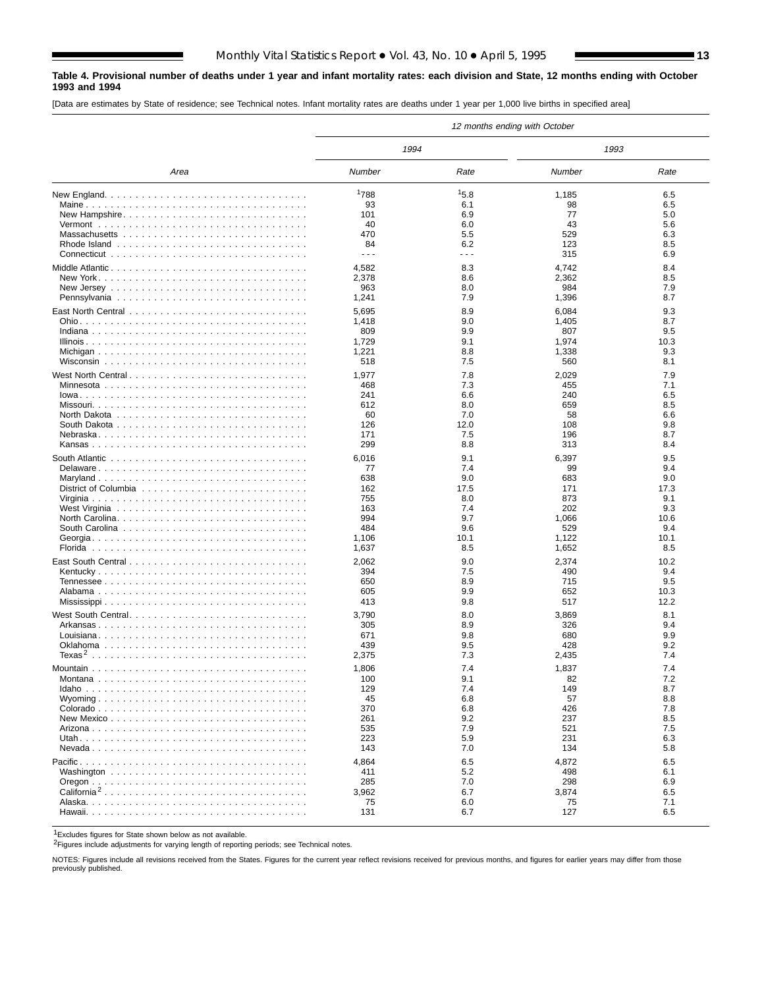#### **Table 4. Provisional number of deaths under 1 year and infant mortality rates: each division and State, 12 months ending with October 1993 and 1994**

[Data are estimates by State of residence; see Technical notes. Infant mortality rates are deaths under 1 year per 1,000 live births in specified area]

|                         |         |                                                                                                                                                                                                                                                                                                                                                                                              | 12 months ending with October |      |
|-------------------------|---------|----------------------------------------------------------------------------------------------------------------------------------------------------------------------------------------------------------------------------------------------------------------------------------------------------------------------------------------------------------------------------------------------|-------------------------------|------|
|                         | 1994    |                                                                                                                                                                                                                                                                                                                                                                                              | 1993                          |      |
| Area                    | Number  | Rate                                                                                                                                                                                                                                                                                                                                                                                         | Number                        | Rate |
|                         | 1788    | 15.8                                                                                                                                                                                                                                                                                                                                                                                         | 1,185                         | 6.5  |
|                         | 93      | 6.1                                                                                                                                                                                                                                                                                                                                                                                          | 98                            | 6.5  |
| New Hampshire           | 101     | 6.9                                                                                                                                                                                                                                                                                                                                                                                          | 77                            | 5.0  |
|                         | 40      | 6.0                                                                                                                                                                                                                                                                                                                                                                                          | 43                            | 5.6  |
|                         | 470     | 5.5                                                                                                                                                                                                                                                                                                                                                                                          | 529                           | 6.3  |
|                         | 84      | 6.2                                                                                                                                                                                                                                                                                                                                                                                          | 123                           | 8.5  |
|                         | $- - -$ | $\frac{1}{2} \frac{1}{2} \frac{1}{2} \frac{1}{2} \frac{1}{2} \frac{1}{2} \frac{1}{2} \frac{1}{2} \frac{1}{2} \frac{1}{2} \frac{1}{2} \frac{1}{2} \frac{1}{2} \frac{1}{2} \frac{1}{2} \frac{1}{2} \frac{1}{2} \frac{1}{2} \frac{1}{2} \frac{1}{2} \frac{1}{2} \frac{1}{2} \frac{1}{2} \frac{1}{2} \frac{1}{2} \frac{1}{2} \frac{1}{2} \frac{1}{2} \frac{1}{2} \frac{1}{2} \frac{1}{2} \frac{$ | 315                           | 6.9  |
|                         | 4,582   | 8.3                                                                                                                                                                                                                                                                                                                                                                                          | 4,742                         | 8.4  |
|                         | 2,378   | 8.6                                                                                                                                                                                                                                                                                                                                                                                          | 2,362                         | 8.5  |
|                         | 963     | 8.0                                                                                                                                                                                                                                                                                                                                                                                          | 984                           | 7.9  |
|                         | 1,241   | 7.9                                                                                                                                                                                                                                                                                                                                                                                          | 1,396                         | 8.7  |
|                         | 5,695   | 8.9                                                                                                                                                                                                                                                                                                                                                                                          | 6,084                         | 9.3  |
|                         | 1,418   | 9.0                                                                                                                                                                                                                                                                                                                                                                                          | 1,405                         | 8.7  |
|                         | 809     | 9.9                                                                                                                                                                                                                                                                                                                                                                                          | 807                           | 9.5  |
|                         | 1,729   | 9.1                                                                                                                                                                                                                                                                                                                                                                                          | 1,974                         | 10.3 |
|                         | 1,221   | 8.8                                                                                                                                                                                                                                                                                                                                                                                          | 1,338                         | 9.3  |
|                         | 518     | 7.5                                                                                                                                                                                                                                                                                                                                                                                          | 560                           | 8.1  |
|                         | 1,977   | 7.8                                                                                                                                                                                                                                                                                                                                                                                          | 2,029                         | 7.9  |
|                         | 468     | 7.3                                                                                                                                                                                                                                                                                                                                                                                          | 455                           | 7.1  |
|                         | 241     | 6.6                                                                                                                                                                                                                                                                                                                                                                                          | 240                           | 6.5  |
|                         | 612     | 8.0                                                                                                                                                                                                                                                                                                                                                                                          | 659                           | 8.5  |
|                         | 60      | 7.0                                                                                                                                                                                                                                                                                                                                                                                          | 58                            | 6.6  |
|                         | 126     | 12.0                                                                                                                                                                                                                                                                                                                                                                                         | 108                           | 9.8  |
|                         | 171     | 7.5                                                                                                                                                                                                                                                                                                                                                                                          | 196                           | 8.7  |
|                         | 299     | 8.8                                                                                                                                                                                                                                                                                                                                                                                          | 313                           | 8.4  |
|                         | 6,016   | 9.1                                                                                                                                                                                                                                                                                                                                                                                          | 6,397                         | 9.5  |
| Delaware                | 77      | 7.4                                                                                                                                                                                                                                                                                                                                                                                          | 99                            | 9.4  |
|                         | 638     | 9.0                                                                                                                                                                                                                                                                                                                                                                                          | 683                           | 9.0  |
|                         | 162     | 17.5                                                                                                                                                                                                                                                                                                                                                                                         | 171                           | 17.3 |
|                         | 755     | 8.0                                                                                                                                                                                                                                                                                                                                                                                          | 873                           | 9.1  |
|                         | 163     | 7.4                                                                                                                                                                                                                                                                                                                                                                                          | 202                           | 9.3  |
|                         | 994     | 9.7                                                                                                                                                                                                                                                                                                                                                                                          | 1,066                         | 10.6 |
|                         | 484     | 9.6                                                                                                                                                                                                                                                                                                                                                                                          | 529                           | 9.4  |
|                         | 1,106   | 10.1                                                                                                                                                                                                                                                                                                                                                                                         | 1,122                         | 10.1 |
|                         | 1,637   | 8.5                                                                                                                                                                                                                                                                                                                                                                                          | 1,652                         | 8.5  |
|                         | 2,062   | 9.0                                                                                                                                                                                                                                                                                                                                                                                          | 2,374                         | 10.2 |
|                         | 394     | 7.5                                                                                                                                                                                                                                                                                                                                                                                          | 490                           | 9.4  |
|                         | 650     | 8.9                                                                                                                                                                                                                                                                                                                                                                                          | 715                           | 9.5  |
|                         | 605     | 9.9                                                                                                                                                                                                                                                                                                                                                                                          | 652                           | 10.3 |
|                         | 413     | 9.8                                                                                                                                                                                                                                                                                                                                                                                          | 517                           | 12.2 |
|                         | 3,790   | 8.0                                                                                                                                                                                                                                                                                                                                                                                          | 3,869                         | 8.1  |
|                         | 305     | 8.9                                                                                                                                                                                                                                                                                                                                                                                          | 326                           | 9.4  |
|                         | 671     | 9.8                                                                                                                                                                                                                                                                                                                                                                                          | 680                           | 9.9  |
|                         | 439     | 9.5                                                                                                                                                                                                                                                                                                                                                                                          | 428                           | 9.2  |
|                         | 2,375   | 7.3                                                                                                                                                                                                                                                                                                                                                                                          | 2,435                         | 7.4  |
|                         | 1,806   | 7.4                                                                                                                                                                                                                                                                                                                                                                                          | 1,837                         | 7.4  |
|                         | 100     | 9.1                                                                                                                                                                                                                                                                                                                                                                                          | 82                            | 7.2  |
|                         | 129     | 7.4                                                                                                                                                                                                                                                                                                                                                                                          | 149                           | 8.7  |
|                         | 45      | 6.8                                                                                                                                                                                                                                                                                                                                                                                          | 57                            | 8.8  |
|                         | 370     | 6.8                                                                                                                                                                                                                                                                                                                                                                                          | 426                           | 7.8  |
|                         | 261     | 9.2                                                                                                                                                                                                                                                                                                                                                                                          | 237                           | 8.5  |
|                         | 535     | 7.9                                                                                                                                                                                                                                                                                                                                                                                          | 521                           | 7.5  |
|                         | 223     | 5.9<br>7.0                                                                                                                                                                                                                                                                                                                                                                                   | 231                           | 6.3  |
|                         | 143     |                                                                                                                                                                                                                                                                                                                                                                                              | 134                           | 5.8  |
|                         | 4,864   | 6.5                                                                                                                                                                                                                                                                                                                                                                                          | 4,872                         | 6.5  |
|                         | 411     | 5.2                                                                                                                                                                                                                                                                                                                                                                                          | 498                           | 6.1  |
|                         | 285     | 7.0                                                                                                                                                                                                                                                                                                                                                                                          | 298                           | 6.9  |
| California <sup>2</sup> | 3,962   | 6.7                                                                                                                                                                                                                                                                                                                                                                                          | 3,874                         | 6.5  |
|                         | 75      | 6.0                                                                                                                                                                                                                                                                                                                                                                                          | 75                            | 7.1  |
|                         | 131     | 6.7                                                                                                                                                                                                                                                                                                                                                                                          | 127                           | 6.5  |

1Excludes figures for State shown below as not available.

2Figures include adjustments for varying length of reporting periods; see Technical notes.

NOTES: Figures include all revisions received from the States. Figures for the current year reflect revisions received for previous months, and figures for earlier years may differ from those previously published.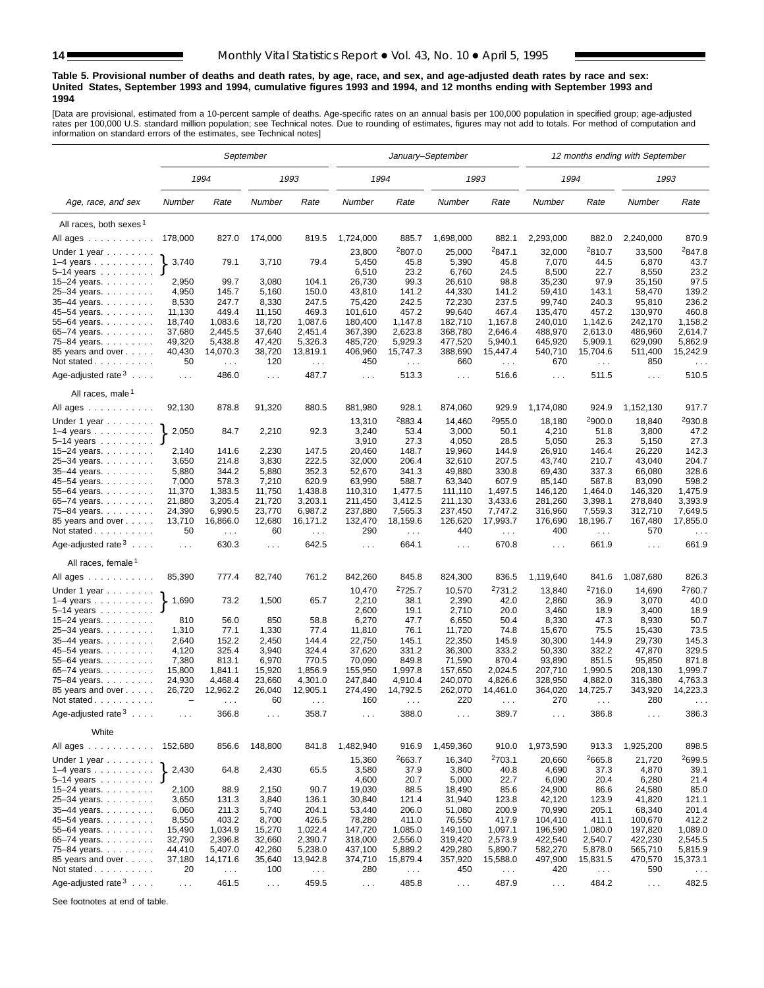#### **Table 5. Provisional number of deaths and death rates, by age, race, and sex, and age-adjusted death rates by race and sex: United States, September 1993 and 1994, cumulative figures 1993 and 1994, and 12 months ending with September 1993 and 1994**

[Data are provisional, estimated from a 10-percent sample of deaths. Age-specific rates on an annual basis per 100,000 population in specified group; age-adjusted rates per 100,000 U.S. standard million population; see Technical notes. Due to rounding of estimates, figures may not add to totals. For method of computation and information on standard errors of the estimates, see Technical notes]

|                                                            |                      |                             | September        |                      |                      |                    | January-September    |                      |                    |                      | 12 months ending with September |                      |
|------------------------------------------------------------|----------------------|-----------------------------|------------------|----------------------|----------------------|--------------------|----------------------|----------------------|--------------------|----------------------|---------------------------------|----------------------|
|                                                            |                      | 1994                        |                  | 1993                 | 1994                 |                    | 1993                 |                      | 1994               |                      | 1993                            |                      |
| Age, race, and sex                                         | Number               | Rate                        | Number           | Rate                 | Number               | Rate               | Number               | Rate                 | Number             | Rate                 | Number                          | Rate                 |
| All races, both sexes <sup>1</sup>                         |                      |                             |                  |                      |                      |                    |                      |                      |                    |                      |                                 |                      |
| All ages                                                   | 178,000              | 827.0                       | 174,000          | 819.5                | 1,724,000            | 885.7              | 1,698,000            | 882.1                | 2,293,000          | 882.0                | 2,240,000                       | 870.9                |
|                                                            |                      |                             |                  |                      | 23,800               | 2807.0             | 25,000               | <sup>2</sup> 847.1   | 32,000             | 2810.7               |                                 | 2847.8               |
| Under 1 year                                               | 3,740                | 79.1                        | 3,710            | 79.4                 | 5,450                | 45.8               | 5,390                | 45.8                 | 7,070              | 44.5                 | 33,500<br>6,870                 | 43.7                 |
| $1-4$ years $\ldots$ $\ldots$ $\ldots$ .<br>$5 - 14$ years |                      |                             |                  |                      | 6,510                | 23.2               | 6,760                | 24.5                 | 8,500              | 22.7                 | 8,550                           | 23.2                 |
| $15 - 24$ years.                                           | 2,950                | 99.7                        | 3,080            | 104.1                | 26,730               | 99.3               | 26,610               | 98.8                 | 35,230             | 97.9                 | 35,150                          | 97.5                 |
| 25-34 years.                                               | 4,950                | 145.7                       | 5,160            | 150.0                | 43,810               | 141.2              | 44,330               | 141.2                | 59,410             | 143.1                | 58,470                          | 139.2                |
| $35-44$ years.                                             | 8,530                | 247.7                       | 8,330            | 247.5                | 75,420               | 242.5              | 72,230               | 237.5                | 99,740             | 240.3                | 95,810                          | 236.2                |
| 45-54 years.                                               | 11,130               | 449.4                       | 11,150           | 469.3                | 101,610              | 457.2              | 99,640               | 467.4                | 135,470            | 457.2                | 130,970                         | 460.8                |
| 55-64 years.                                               | 18,740               | 1,083.6                     | 18,720           | 1,087.6              | 180,400              | 1,147.8            | 182,710              | 1,167.8              | 240,010            | 1,142.6              | 242,170                         | 1,158.2              |
| 65–74 years. $\ldots$                                      | 37,680               | 2,445.5                     | 37,640           | 2,451.4              | 367,390              | 2,623.8            | 368,780              | 2,646.4              | 488,970            | 2,613.0              | 486,960                         | 2,614.7              |
| 75-84 years.                                               | 49,320               | 5,438.8                     | 47,420           | 5,326.3              | 485,720              | 5,929.3            | 477,520              | 5,940.1              | 645,920            | 5,909.1              | 629,090                         | 5,862.9              |
| 85 years and over                                          | 40,430               | 14,070.3                    | 38,720           | 13,819.1             | 406,960              | 15,747.3           | 388,690              | 15,447.4             | 540,710            | 15,704.6             | 511,400                         | 15,242.9             |
| Not stated                                                 | 50                   | $\mathcal{L}^{\mathcal{L}}$ | 120              | $\sim$ $\sim$ $\sim$ | 450                  | $\sim$ $\sim$      | 660                  | $\sim$ $\sim$ $\sim$ | 670                | $\sim$               | 850                             | $\sim$ . $\sim$      |
| Age-adjusted rate $3 \ldots$ .                             | $\sim$ $\sim$ $\sim$ | 486.0                       | $\cdots$         | 487.7                | $\sim 100$           | 513.3              | $\sim$ $\sim$ $\sim$ | 516.6                | $\sim 100$         | 511.5                | $\sim 100$                      | 510.5                |
| All races, male <sup>1</sup>                               |                      |                             |                  |                      |                      |                    |                      |                      |                    |                      |                                 |                      |
| All ages                                                   | 92,130               | 878.8                       | 91,320           | 880.5                | 881,980              | 928.1              | 874,060              | 929.9                | 1,174,080          | 924.9                | 1,152,130                       | 917.7                |
| Under 1 year                                               |                      |                             |                  |                      | 13,310               | <sup>2</sup> 883.4 | 14,460               | <sup>2</sup> 955.0   | 18,180             | <sup>2</sup> 900.0   | 18,840                          | 2930.8               |
| $1-4$ years $\ldots$                                       | 2,050                | 84.7                        | 2,210            | 92.3                 | 3,240                | 53.4               | 3,000                | 50.1                 | 4,210              | 51.8                 | 3,800                           | 47.2                 |
| $5 - 14$ years                                             |                      |                             |                  |                      | 3,910                | 27.3               | 4,050                | 28.5                 | 5,050              | 26.3                 | 5,150                           | 27.3                 |
| 15–24 years. $\ldots$                                      | 2,140                | 141.6                       | 2,230            | 147.5                | 20,460               | 148.7              | 19,960               | 144.9                | 26,910             | 146.4                | 26,220                          | 142.3                |
| 25-34 years.                                               | 3,650                | 214.8                       | 3,830            | 222.5                | 32,000               | 206.4              | 32,610               | 207.5                | 43,740             | 210.7                | 43,040                          | 204.7                |
| 35-44 years.                                               | 5,880                | 344.2                       | 5,880            | 352.3                | 52,670               | 341.3              | 49,880               | 330.8                | 69,430             | 337.3                | 66,080                          | 328.6                |
| 45-54 years                                                | 7,000                | 578.3                       | 7,210            | 620.9                | 63,990               | 588.7              | 63,340<br>111,110    | 607.9                | 85,140             | 587.8                | 83,090                          | 598.2                |
| 55-64 years.                                               | 11,370<br>21,880     | 1,383.5<br>3,205.4          | 11,750<br>21,720 | 1,438.8<br>3,203.1   | 110,310              | 1,477.5<br>3,412.5 | 211,130              | 1,497.5<br>3,433.6   | 146,120            | 1,464.0<br>3,398.1   | 146,320                         | 1,475.9<br>3,393.9   |
| 65-74 years.                                               | 24,390               | 6,990.5                     | 23,770           | 6,987.2              | 211,450<br>237,880   | 7,565.3            | 237,450              | 7,747.2              | 281,260<br>316,960 | 7,559.3              | 278,840<br>312,710              | 7,649.5              |
| 75-84 years.<br>85 years and over                          | 13,710               | 16,866.0                    | 12,680           | 16,171.2             | 132,470              | 18,159.6           | 126,620              | 17,993.7             | 176,690            | 18,196.7             | 167,480                         | 17,855.0             |
| Not stated                                                 | 50                   |                             | 60               |                      | 290                  |                    | 440                  |                      | 400                |                      | 570                             |                      |
|                                                            |                      | $\sim$ $\sim$               |                  | $\sim$ $\sim$ $\sim$ |                      | $\sim$ $\sim$      |                      | $\sim$               |                    | $\sim$ $\sim$        |                                 | $\sim$ $\sim$        |
| Age-adjusted rate $3 \ldots$ .                             | $\ldots$             | 630.3                       | $\cdots$         | 642.5                | $\sim 100$           | 664.1              | $\sim 100$           | 670.8                | $\sim 100$         | 661.9                | $\cdots$                        | 661.9                |
| All races, female <sup>1</sup>                             |                      |                             |                  |                      |                      |                    |                      |                      |                    |                      |                                 |                      |
| All ages                                                   | 85,390               | 777.4                       | 82,740           | 761.2                | 842,260              | 845.8              | 824,300              | 836.5                | 1,119,640          | 841.6                | 1,087,680                       | 826.3                |
| Under 1 year                                               |                      |                             |                  |                      | 10,470               | <sup>2</sup> 725.7 | 10,570               | <sup>2</sup> 731.2   | 13,840             | 2716.0               | 14,690                          | 2760.7               |
| $1-4$ years $\ldots$ $\ldots$ $\ldots$ .                   | 1,690                | 73.2                        | 1,500            | 65.7                 | 2,210                | 38.1               | 2,390                | 42.0                 | 2,860              | 36.9                 | 3,070                           | 40.0                 |
| $5 - 14$ years                                             |                      |                             |                  |                      | 2,600                | 19.1               | 2,710                | 20.0                 | 3,460              | 18.9                 | 3,400                           | 18.9                 |
| $15 - 24$ years.                                           | 810                  | 56.0                        | 850              | 58.8                 | 6,270                | 47.7               | 6,650                | 50.4                 | 8,330              | 47.3                 | 8,930                           | 50.7                 |
| 25-34 years.                                               | 1,310                | 77.1                        | 1,330            | 77.4                 | 11,810               | 76.1               | 11,720               | 74.8                 | 15,670             | 75.5                 | 15,430                          | 73.5                 |
| 35-44 years.                                               | 2,640                | 152.2                       | 2,450            | 144.4                | 22,750               | 145.1              | 22,350               | 145.9                | 30,300             | 144.9                | 29,730                          | 145.3                |
| 45-54 years.                                               | 4,120                | 325.4                       | 3,940            | 324.4                | 37,620               | 331.2              | 36,300               | 333.2                | 50,330             | 332.2                | 47,870                          | 329.5                |
| 55–64 years                                                | 7,380                | 813.1                       | 6,970            | 770.5                | 70,090               | 849.8              | 71,590               | 870.4<br>2,024.5     | 93,890<br>207,710  | 851.5                | 95,850                          | 871.8                |
| 65-74 years.                                               | 15,800<br>24,930     | 1,841.1<br>4,468.4          | 15,920<br>23,660 | 1,856.9<br>4,301.0   | 155,950<br>247,840   | 1,997.8<br>4,910.4 | 157,650<br>240,070   | 4,826.6              | 328,950            | 1,990.5<br>4,882.0   | 208,130<br>316,380              | 1,999.7<br>4,763.3   |
| 75-84 years.<br>85 years and over                          | 26,720               | 12,962.2                    | 26,040           | 12,905.1             | 274,490              | 14,792.5           | 262,070              | 14,461.0             | 364,020            | 14,725.7             | 343,920                         | 14,223.3             |
| Not stated                                                 |                      | $\sim$ $\sim$ $\sim$        | 60               | $\sim$ $\sim$ $\sim$ | 160                  | $\cdots$           | 220                  | $\sim$ $\sim$ $\sim$ | 270                | $\sim$ $\sim$ $\sim$ | 280                             | $\sim$ $\sim$ $\sim$ |
| Age-adjusted rate $3 \ldots$ .                             | $\sim$ $\sim$ $\sim$ | 366.8                       | $\cdots$         | 358.7                | $\sim$ $\sim$ $\sim$ | 388.0              | $\cdots$             | 389.7                | $\cdots$           | 386.8                | $\cdots$                        | 386.3                |
| White                                                      |                      |                             |                  |                      |                      |                    |                      |                      |                    |                      |                                 |                      |
| All ages 152,680                                           |                      | 856.6                       | 148,800          | 841.8                | 1,482,940            | 916.9              | 1,459,360            | 910.0                | 1,973,590          | 913.3                | 1,925,200                       | 898.5                |
|                                                            |                      |                             |                  |                      |                      |                    |                      |                      |                    |                      |                                 |                      |
| Under 1 year                                               |                      |                             |                  |                      | 15,360               | 2663.7             | 16,340               | <sup>2</sup> 703.1   | 20,660             | <sup>2</sup> 665.8   | 21,720                          | <sup>2</sup> 699.5   |
| $1-4$ years                                                | 2,430                | 64.8                        | 2,430            | 65.5                 | 3,580                | 37.9               | 3,800                | 40.8                 | 4,690              | 37.3                 | 4,870                           | 39.1                 |
| 5-14 years $J$                                             |                      |                             |                  |                      | 4,600                | 20.7               | 5,000                | 22.7                 | 6,090              | 20.4                 | 6,280                           | 21.4                 |
| 15–24 years. $\ldots$                                      | 2,100<br>3,650       | 88.9<br>131.3               | 2,150<br>3,840   | 90.7<br>136.1        | 19,030<br>30,840     | 88.5<br>121.4      | 18,490<br>31,940     | 85.6<br>123.8        | 24,900<br>42,120   | 86.6<br>123.9        | 24,580<br>41,820                | 85.0<br>121.1        |
| $25 - 34$ years.<br>35-44 years.                           | 6,060                | 211.3                       | 5,740            |                      | 53,440               | 206.0              | 51,080               | 200.9                | 70,990             | 205.1                | 68,340                          | 201.4                |
| 45-54 years.                                               | 8,550                | 403.2                       | 8,700            | 204.1<br>426.5       | 78,280               | 411.0              | 76,550               | 417.9                | 104,410            | 411.1                | 100,670                         | 412.2                |
| 55–64 years. $\ldots$                                      | 15,490               | 1,034.9                     | 15,270           | 1,022.4              | 147,720              | 1,085.0            | 149,100              | 1,097.1              | 196,590            | 1,080.0              | 197,820                         | 1,089.0              |
| 65-74 years.                                               | 32,790               | 2,396.8                     | 32,660           | 2,390.7              | 318,000              | 2,556.0            | 319,420              | 2,573.9              | 422,540            | 2,540.7              | 422,230                         | 2,545.5              |
| 75-84 years.                                               | 44,410               | 5,407.0                     | 42,260           | 5,238.0              | 437,100              | 5,889.2            | 429,280              | 5,890.7              | 582,270            | 5,878.0              | 565,710                         | 5,815.9              |
| 85 years and over                                          | 37,180               | 14,171.6                    | 35,640           | 13,942.8             | 374,710              | 15,879.4           | 357,920              | 15,588.0             | 497,900            | 15,831.5             | 470,570                         | 15,373.1             |
| Not stated                                                 | 20                   | $\sim$ $\sim$               | 100              | $\sim$ $\sim$        | 280                  | $\sim$ .           | 450                  | $\sim$ $\sim$        | 420                | $\sim$ .             | 590                             | $\sim$ $\sim$ $\sim$ |
| Age-adjusted rate $3 \ldots$ .                             |                      | 461.5                       |                  | 459.5                |                      | 485.8              |                      | 487.9                |                    | 484.2                |                                 | 482.5                |
|                                                            | $\sim$ $\sim$        |                             | $\sim$ $\sim$    |                      | $\sim$ $\sim$        |                    | $\sim$ $\sim$        |                      | $\sim$ $\sim$      |                      | $\sim$ $\sim$                   |                      |

See footnotes at end of table.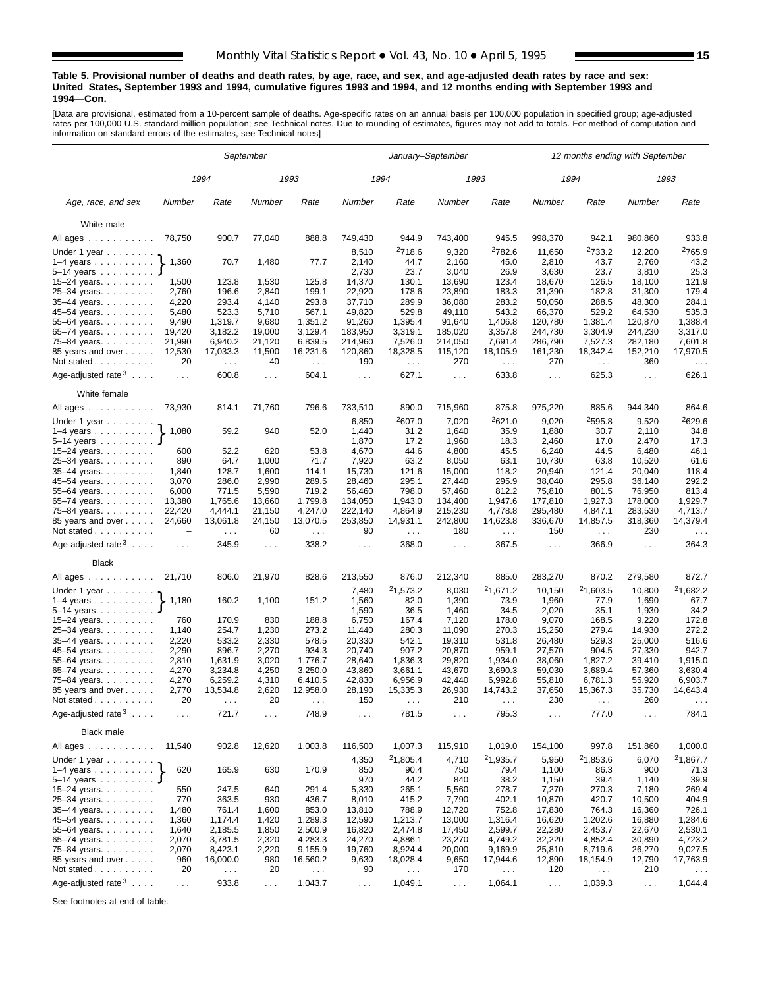#### **Table 5. Provisional number of deaths and death rates, by age, race, and sex, and age-adjusted death rates by race and sex: United States, September 1993 and 1994, cumulative figures 1993 and 1994, and 12 months ending with September 1993 and 1994—Con.**

[Data are provisional, estimated from a 10-percent sample of deaths. Age-specific rates on an annual basis per 100,000 population in specified group; age-adjusted rates per 100,000 U.S. standard million population; see Technical notes. Due to rounding of estimates, figures may not add to totals. For method of computation and information on standard errors of the estimates, see Technical notes]

|                                                                                                                                                                                                       |                                    |                                  | September      |                           |                      | January–September         |                  |                           |                  | 12 months ending with September  |                      |                                  |
|-------------------------------------------------------------------------------------------------------------------------------------------------------------------------------------------------------|------------------------------------|----------------------------------|----------------|---------------------------|----------------------|---------------------------|------------------|---------------------------|------------------|----------------------------------|----------------------|----------------------------------|
|                                                                                                                                                                                                       |                                    | 1994                             |                | 1993                      |                      | 1994                      |                  | 1993                      |                  | 1994                             |                      | 1993                             |
| Age, race, and sex                                                                                                                                                                                    | Number                             | Rate                             | Number         | Rate                      | Number               | Rate                      | Number           | Rate                      | Number           | Rate                             | Number               | Rate                             |
| White male                                                                                                                                                                                            |                                    |                                  |                |                           |                      |                           |                  |                           |                  |                                  |                      |                                  |
| All ages                                                                                                                                                                                              | 78,750                             | 900.7                            | 77,040         | 888.8                     | 749,430              | 944.9                     | 743,400          | 945.5                     | 998,370          | 942.1                            | 980,860              | 933.8                            |
|                                                                                                                                                                                                       |                                    |                                  |                |                           | 8,510                | <sup>2</sup> 718.6        | 9,320            | 2782.6                    | 11,650           | 2733.2                           | 12,200               | <sup>2</sup> 765.9               |
| Under 1 year                                                                                                                                                                                          | 1,360                              | 70.7                             | 1,480          | 77.7                      | 2,140                | 44.7                      | 2,160            | 45.0                      | 2,810            | 43.7                             | 2,760                | 43.2                             |
| $1-4$ years $\ldots$ $\ldots$ $\ldots$<br>5-14 years                                                                                                                                                  |                                    |                                  |                |                           | 2,730                | 23.7                      | 3,040            | 26.9                      | 3,630            | 23.7                             | 3,810                | 25.3                             |
| 15-24 years.                                                                                                                                                                                          | 1,500                              | 123.8                            | 1,530          | 125.8                     | 14,370               | 130.1                     | 13,690           | 123.4                     | 18,670           | 126.5                            | 18,100               | 121.9                            |
| 25-34 years.                                                                                                                                                                                          | 2,760                              | 196.6                            | 2,840          | 199.1                     | 22,920               | 178.6                     | 23,890           | 183.3                     | 31,390           | 182.8                            | 31,300               | 179.4                            |
| 35-44 years.                                                                                                                                                                                          | 4,220                              | 293.4                            | 4,140          | 293.8                     | 37,710               | 289.9                     | 36,080           | 283.2                     | 50,050           | 288.5                            | 48,300               | 284.1                            |
| 45-54 years.                                                                                                                                                                                          | 5,480                              | 523.3                            | 5,710          | 567.1                     | 49,820               | 529.8                     | 49,110           | 543.2                     | 66,370           | 529.2                            | 64,530               | 535.3                            |
| 55–64 years                                                                                                                                                                                           | 9,490                              | 1,319.7                          | 9,680          | 1,351.2                   | 91,260               | 1,395.4                   | 91,640           | 1,406.8                   | 120,780          | 1,381.4                          | 120,870              | 1,388.4                          |
| 65-74 years.                                                                                                                                                                                          | 19,420                             | 3,182.2                          | 19,000         | 3,129.4                   | 183,950              | 3,319.1                   | 185,020          | 3,357.8                   | 244,730          | 3,304.9                          | 244,230              | 3,317.0                          |
| 75-84 years.                                                                                                                                                                                          | 21,990                             | 6,940.2                          | 21,120         | 6,839.5                   | 214,960              | 7,526.0                   | 214,050          | 7,691.4                   | 286,790          | 7,527.3                          | 282,180              | 7,601.8                          |
| 85 years and over                                                                                                                                                                                     | 12,530                             | 17,033.3                         | 11,500         | 16,231.6                  | 120,860              | 18,328.5                  | 115,120          | 18,105.9                  | 161,230          | 18,342.4                         | 152,210              | 17,970.5                         |
| Not stated                                                                                                                                                                                            | 20                                 | $\sim$ $\sim$                    | 40             | $\sim$ $\sim$             | 190                  | $\sim$ $\sim$             | 270              | $\sim$ $\sim$             | 270              | $\sim$                           | 360                  |                                  |
| Age-adjusted rate $3 \ldots$ .                                                                                                                                                                        | $\sim 100$                         | 600.8                            | $\cdots$       | 604.1                     | $\sim 100$           | 627.1                     | $\sim 100$       | 633.8                     | $\sim 100$       | 625.3                            | $\sim$ $\sim$ $\sim$ | 626.1                            |
| White female                                                                                                                                                                                          |                                    |                                  |                |                           |                      |                           |                  |                           |                  |                                  |                      |                                  |
| All ages                                                                                                                                                                                              | 73,930                             | 814.1                            | 71,760         | 796.6                     | 733,510              | 890.0                     | 715,960          | 875.8                     | 975,220          | 885.6                            | 944,340              | 864.6                            |
| Under 1 year                                                                                                                                                                                          |                                    |                                  |                |                           | 6,850                | 2607.0                    | 7,020            | 2621.0                    | 9,020            | 2595.8                           | 9,520                | 2629.6                           |
| $1-4$ years                                                                                                                                                                                           | 1,080                              | 59.2                             | 940            | 52.0                      | 1,440                | 31.2                      | 1,640            | 35.9                      | 1,880            | 30.7                             | 2,110                | 34.8                             |
| $5-14$ years $\ldots$ $\ldots$ .                                                                                                                                                                      |                                    |                                  |                |                           | 1,870                | 17.2                      | 1,960            | 18.3                      | 2,460            | 17.0                             | 2,470                | 17.3                             |
| 15–24 years. $\ldots$                                                                                                                                                                                 | 600                                | 52.2                             | 620            | 53.8                      | 4,670                | 44.6                      | 4,800            | 45.5                      | 6,240            | 44.5                             | 6,480                | 46.1                             |
| 25-34 years.                                                                                                                                                                                          | 890                                | 64.7                             | 1,000          | 71.7                      | 7,920                | 63.2                      | 8,050            | 63.1                      | 10,730           | 63.8                             | 10,520               | 61.6                             |
| 35-44 years.                                                                                                                                                                                          | 1,840                              | 128.7                            | 1,600          | 114.1                     | 15,730               | 121.6                     | 15,000           | 118.2                     | 20,940           | 121.4                            | 20,040               | 118.4                            |
| 45-54 years.                                                                                                                                                                                          | 3,070                              | 286.0                            | 2,990          | 289.5                     | 28,460               | 295.1                     | 27,440           | 295.9                     | 38.040           | 295.8                            | 36,140               | 292.2                            |
| 55-64 years.                                                                                                                                                                                          | 6,000                              | 771.5                            | 5,590          | 719.2                     | 56,460               | 798.0                     | 57,460           | 812.2                     | 75,810           | 801.5                            | 76,950               | 813.4                            |
| 65-74 years.                                                                                                                                                                                          | 13,380                             | 1,765.6                          | 13,660         | 1,799.8                   | 134,050              | 1,943.0                   | 134,400          | 1,947.6                   | 177.810          | 1,927.3                          | 178,000              | 1,929.7                          |
| 75–84 years                                                                                                                                                                                           | 22,420                             | 4,444.1                          | 21,150         | 4,247.0                   | 222,140              | 4,864.9                   | 215,230          | 4,778.8                   | 295,480          | 4,847.1                          | 283,530              | 4,713.7                          |
| 85 years and over<br>Not stated                                                                                                                                                                       | 24,660<br>$\overline{\phantom{0}}$ | 13,061.8<br>$\sim$ $\sim$ $\sim$ | 24,150<br>60   | 13,070.5<br>$\sim$ $\sim$ | 253,850<br>90        | 14,931.1<br>$\sim$ $\sim$ | 242,800<br>180   | 14,623.8<br>$\sim$ $\sim$ | 336,670<br>150   | 14,857.5<br>$\sim$ $\sim$ $\sim$ | 318,360<br>230       | 14,379.4<br>$\sim$ $\sim$ $\sim$ |
| Age-adjusted rate $3 \ldots$ .                                                                                                                                                                        | $\sim 100$                         | 345.9                            | $\ldots$       | 338.2                     | $\sim 100$           | 368.0                     | $\sim$ $\sim$    | 367.5                     | $\cdots$         | 366.9                            | $\sim$ $\sim$ $\sim$ | 364.3                            |
| <b>Black</b>                                                                                                                                                                                          |                                    |                                  |                |                           |                      |                           |                  |                           |                  |                                  |                      |                                  |
| All ages                                                                                                                                                                                              | 21,710                             | 806.0                            | 21,970         | 828.6                     | 213,550              | 876.0                     | 212,340          | 885.0                     | 283,270          | 870.2                            | 279,580              | 872.7                            |
| Under 1 year                                                                                                                                                                                          |                                    |                                  |                |                           | 7,480                | 21,573.2                  | 8,030            | 21,671.2                  | 10,150           | 21,603.5                         | 10,800               | 21,682.2                         |
| $1-4$ years                                                                                                                                                                                           | 1,180                              | 160.2                            | 1,100          | 151.2                     | 1,560                | 82.0                      | 1,390            | 73.9                      | 1,960            | 77.9                             | 1,690                | 67.7                             |
| $5 - 14$ years                                                                                                                                                                                        |                                    |                                  |                |                           | 1,590                | 36.5                      | 1,460            | 34.5                      | 2,020            | 35.1                             | 1,930                | 34.2                             |
| 15-24 years.                                                                                                                                                                                          | 760                                | 170.9                            | 830            | 188.8                     | 6,750                | 167.4                     | 7,120            | 178.0                     | 9,070            | 168.5                            | 9,220                | 172.8                            |
| 25-34 years.                                                                                                                                                                                          | 1,140                              | 254.7                            | 1,230          | 273.2                     | 11,440               | 280.3                     | 11,090           | 270.3                     | 15,250           | 279.4                            | 14,930               | 272.2                            |
| 35-44 years.                                                                                                                                                                                          | 2,220                              | 533.2                            | 2,330          | 578.5                     | 20,330               | 542.1                     | 19,310           | 531.8                     | 26,480           | 529.3                            | 25,000               | 516.6                            |
| 45–54 years.                                                                                                                                                                                          | 2,290                              | 896.7                            | 2,270          | 934.3                     | 20,740               | 907.2                     | 20,870           | 959.1                     | 27,570           | 904.5                            | 27,330               | 942.7                            |
| 55-64 years.                                                                                                                                                                                          | 2,810                              | 1,631.9                          | 3,020          | 1,776.7                   | 28,640               | 1,836.3                   | 29,820           | 1,934.0                   | 38,060           | 1,827.2                          | 39,410               | 1,915.0                          |
| 65-74 years.                                                                                                                                                                                          | 4,270                              | 3,234.8                          | 4,250          | 3,250.0                   | 43,860               | 3,661.1                   | 43,670           | 3,690.3                   | 59,030           | 3,689.4                          | 57,360               | 3,630.4                          |
| 75–84 years.                                                                                                                                                                                          | 4,270                              | 6,259.2                          | 4,310          | 6,410.5                   | 42,830               | 6,956.9                   | 42,440           | 6,992.8                   | 55,810           | 6,781.3                          | 55,920               | 6,903.7                          |
| 85 years and over                                                                                                                                                                                     | 2,770                              | 13,534.8                         | 2,620          | 12,958.0                  | 28,190               | 15,335.3                  | 26,930           | 14,743.2                  | 37,650           | 15,367.3                         | 35,730               | 14,643.4                         |
| Not stated.<br>$\mathbf{1} \cdot \mathbf{1} \cdot \mathbf{1} \cdot \mathbf{1} \cdot \mathbf{1} \cdot \mathbf{1} \cdot \mathbf{1} \cdot \mathbf{1} \cdot \mathbf{1} \cdot \mathbf{1} \cdot \mathbf{1}$ | 20                                 |                                  | 20             |                           | 150                  |                           | 210              |                           | 230              |                                  | 260                  |                                  |
| Age-adjusted rate $3 \ldots$ .                                                                                                                                                                        | $\sim 100$                         | 721.7                            | $\cdots$       | 748.9                     | $\sim$ $\sim$ $\sim$ | 781.5                     | $\sim$ .         | 795.3                     | $\sim$           | 777.0                            | $\cdots$             | 784.1                            |
| <b>Black male</b>                                                                                                                                                                                     |                                    |                                  |                |                           |                      |                           |                  |                           |                  |                                  |                      |                                  |
| All ages                                                                                                                                                                                              | 11,540                             | 902.8                            | 12,620         | 1,003.8                   | 116,500              | 1,007.3                   | 115,910          | 1,019.0                   | 154,100          | 997.8                            | 151,860              | 1,000.0                          |
| Under 1 year                                                                                                                                                                                          |                                    |                                  |                |                           | 4,350                | <sup>2</sup> 1,805.4      | 4,710            | 21,935.7                  | 5,950            | 21,853.6                         | 6,070                | 21,867.7                         |
| $1-4$ years                                                                                                                                                                                           | 620                                | 165.9                            | 630            | 170.9                     | 850                  | 90.4                      | 750              | 79.4                      | 1,100            | 86.3                             | 900                  | 71.3                             |
| 5–14 years $\ldots$ $\cdot$                                                                                                                                                                           |                                    |                                  |                |                           | 970                  | 44.2                      | 840              | 38.2                      | 1,150            | 39.4                             | 1,140                | 39.9                             |
| 15-24 years.                                                                                                                                                                                          | 550                                | 247.5                            | 640            | 291.4                     | 5,330                | 265.1                     | 5,560            | 278.7                     | 7,270            | 270.3                            | 7,180                | 269.4                            |
| 25-34 years                                                                                                                                                                                           | 770                                | 363.5                            | 930            | 436.7                     | 8,010                | 415.2                     | 7,790            | 402.1                     | 10,870           | 420.7                            | 10,500               | 404.9                            |
| 35-44 years.                                                                                                                                                                                          | 1,480                              | 761.4                            | 1,600          | 853.0                     | 13,810               | 788.9                     | 12,720           | 752.8                     | 17,830           | 764.3                            | 16,360               | 726.1                            |
| 45-54 years.                                                                                                                                                                                          | 1,360<br>1,640                     | 1,174.4                          | 1,420          | 1,289.3                   | 12,590               | 1,213.7                   | 13,000           | 1,316.4                   | 16,620           | 1,202.6                          | 16,880               | 1,284.6                          |
| 55–64 years. $\ldots$<br>65-74 years.                                                                                                                                                                 | 2,070                              | 2,185.5<br>3,781.5               | 1,850<br>2,320 | 2,500.9<br>4,283.3        | 16,820<br>24,270     | 2,474.8<br>4,886.1        | 17,450<br>23,270 | 2,599.7<br>4,749.2        | 22,280<br>32,220 | 2,453.7<br>4,852.4               | 22,670<br>30,890     | 2,530.1<br>4,723.2               |
| 75-84 years.                                                                                                                                                                                          | 2,070                              | 8,423.1                          | 2,220          | 9,155.9                   | 19,760               | 8,924.4                   | 20,000           | 9,169.9                   | 25,810           | 8,719.6                          | 26,270               | 9,027.5                          |
| 85 years and over                                                                                                                                                                                     | 960                                | 16,000.0                         | 980            | 16,560.2                  | 9,630                | 18,028.4                  | 9,650            | 17,944.6                  | 12,890           | 18,154.9                         | 12,790               | 17,763.9                         |
| Not stated                                                                                                                                                                                            | 20                                 | $\sim$ $\sim$                    | 20             | $\sim$ $\sim$ $\sim$      | 90                   | $\epsilon$ .              | 170              | $\sim$ $\sim$             | 120              | $\sim$ $\sim$ $\sim$             | 210                  |                                  |
|                                                                                                                                                                                                       |                                    |                                  |                |                           |                      |                           |                  |                           |                  |                                  |                      |                                  |
| Age-adjusted rate $3 \ldots$ .                                                                                                                                                                        | $\sim$ $\sim$                      | 933.8                            | $\sim$ $\sim$  | 1,043.7                   | $\sim$ $\sim$        | 1,049.1                   | $\sim$ $\sim$    | 1,064.1                   | $\sim$ $\sim$    | 1,039.3                          | $\sim$ $\sim$        | 1,044.4                          |

See footnotes at end of table.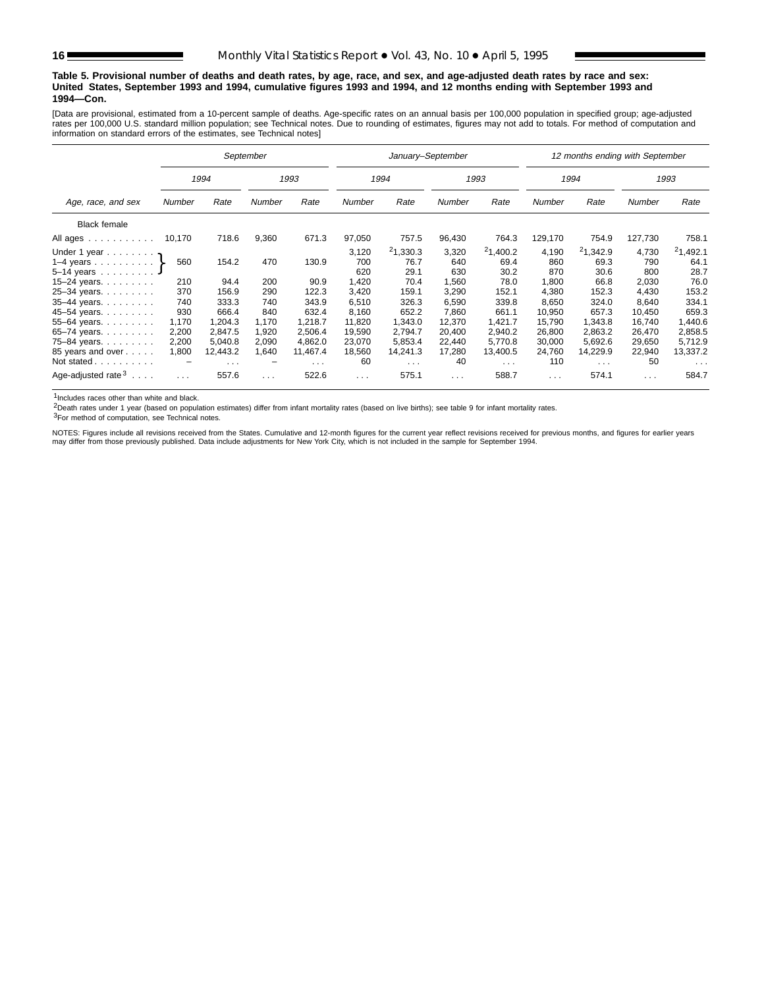#### **Table 5. Provisional number of deaths and death rates, by age, race, and sex, and age-adjusted death rates by race and sex: United States, September 1993 and 1994, cumulative figures 1993 and 1994, and 12 months ending with September 1993 and 1994—Con.**

[Data are provisional, estimated from a 10-percent sample of deaths. Age-specific rates on an annual basis per 100,000 population in specified group; age-adjusted rates per 100,000 U.S. standard million population; see Technical notes. Due to rounding of estimates, figures may not add to totals. For method of computation and information on standard errors of the estimates, see Technical notes]

|                                                                                                                                                                                                                                                                                       |        |                      | September |                         |               | January-September |                      |                         |          | 12 months ending with September |               |                      |
|---------------------------------------------------------------------------------------------------------------------------------------------------------------------------------------------------------------------------------------------------------------------------------------|--------|----------------------|-----------|-------------------------|---------------|-------------------|----------------------|-------------------------|----------|---------------------------------|---------------|----------------------|
|                                                                                                                                                                                                                                                                                       |        | 1994                 |           | 1993                    |               | 1994              |                      | 1993                    |          | 1994                            |               | 1993                 |
| Age, race, and sex                                                                                                                                                                                                                                                                    | Number | Rate                 | Number    | Rate                    | <b>Number</b> | Rate              | Number               | Rate                    | Number   | Rate                            | <b>Number</b> | Rate                 |
| <b>Black female</b>                                                                                                                                                                                                                                                                   |        |                      |           |                         |               |                   |                      |                         |          |                                 |               |                      |
| All ages<br>$\mathcal{L}^{\mathcal{A}}(\mathcal{A}^{\mathcal{A}}(\mathcal{A}^{\mathcal{A}}(\mathcal{A}^{\mathcal{A}}(\mathcal{A}^{\mathcal{A}}(\mathcal{A}^{\mathcal{A}}(\mathcal{A}^{\mathcal{A}}(\mathcal{A}^{\mathcal{A}}(\mathcal{A}^{\mathcal{A}}(\mathcal{A}^{\mathcal{A}}))))$ | 10,170 | 718.6                | 9,360     | 671.3                   | 97,050        | 757.5             | 96,430               | 764.3                   | 129,170  | 754.9                           | 127,730       | 758.1                |
| Under 1 year                                                                                                                                                                                                                                                                          |        |                      |           |                         | 3,120         | 21,330.3          | 3,320                | 21,400.2                | 4,190    | 21,342.9                        | 4,730         | 21,492.1             |
| 1–4 years $\}$                                                                                                                                                                                                                                                                        | 560    | 154.2                | 470       | 130.9                   | 700           | 76.7              | 640                  | 69.4                    | 860      | 69.3                            | 790           | 64.1                 |
| $5 - 14$ vears                                                                                                                                                                                                                                                                        |        |                      |           |                         | 620           | 29.1              | 630                  | 30.2                    | 870      | 30.6                            | 800           | 28.7                 |
| $15 - 24$ years.                                                                                                                                                                                                                                                                      | 210    | 94.4                 | 200       | 90.9                    | 1,420         | 70.4              | 1,560                | 78.0                    | 1,800    | 66.8                            | 2,030         | 76.0                 |
| 25-34 years.                                                                                                                                                                                                                                                                          | 370    | 156.9                | 290       | 122.3                   | 3,420         | 159.1             | 3,290                | 152.1                   | 4,380    | 152.3                           | 4.430         | 153.2                |
| 35-44 years.                                                                                                                                                                                                                                                                          | 740    | 333.3                | 740       | 343.9                   | 6,510         | 326.3             | 6,590                | 339.8                   | 8,650    | 324.0                           | 8.640         | 334.1                |
| 45-54 years.                                                                                                                                                                                                                                                                          | 930    | 666.4                | 840       | 632.4                   | 8,160         | 652.2             | 7.860                | 661.1                   | 10,950   | 657.3                           | 10.450        | 659.3                |
| 55-64 years.                                                                                                                                                                                                                                                                          | 1,170  | 1,204.3              | 1,170     | 1,218.7                 | 11,820        | 1,343.0           | 12,370               | 1,421.7                 | 15,790   | 1,343.8                         | 16,740        | ,440.6               |
| 65-74 years.                                                                                                                                                                                                                                                                          | 2,200  | 2.847.5              | 1,920     | 2.506.4                 | 19,590        | 2.794.7           | 20.400               | 2,940.2                 | 26,800   | 2.863.2                         | 26.470        | 2,858.5              |
| 75-84 years.                                                                                                                                                                                                                                                                          | 2,200  | 5,040.8              | 2,090     | 4,862.0                 | 23,070        | 5,853.4           | 22,440               | 5,770.8                 | 30,000   | 5,692.6                         | 29,650        | 5,712.9              |
| 85 years and over                                                                                                                                                                                                                                                                     | 1,800  | 12,443.2             | 1,640     | 11,467.4                | 18,560        | 14,241.3          | 17,280               | 13,400.5                | 24,760   | 14,229.9                        | 22,940        | 13,337.2             |
| Not stated                                                                                                                                                                                                                                                                            | -      | $\sim$ $\sim$ $\sim$ | -         | $\sim 100$ km s $^{-1}$ | 60            | $\sim$            | 40                   | $\sim 100$ km s $^{-1}$ | 110      | $\sim$ $\sim$ $\sim$            | 50            | $\sim$ $\sim$ $\sim$ |
| Age-adjusted rate $3 \ldots$ .                                                                                                                                                                                                                                                        |        | 557.6                | $\cdots$  | 522.6                   | $\sim 100$    | 575.1             | $\sim$ $\sim$ $\sim$ | 588.7                   | $\cdots$ | 574.1                           | $\sim 100$    | 584.7                |

1Includes races other than white and black.

2Death rates under 1 year (based on population estimates) differ from infant mortality rates (based on live births); see table 9 for infant mortality rates.

3For method of computation, see Technical notes.

NOTES: Figures include all revisions received from the States. Cumulative and 12-month figures for the current year reflect revisions received for previous months, and figures for earlier years<br>may differ from those previo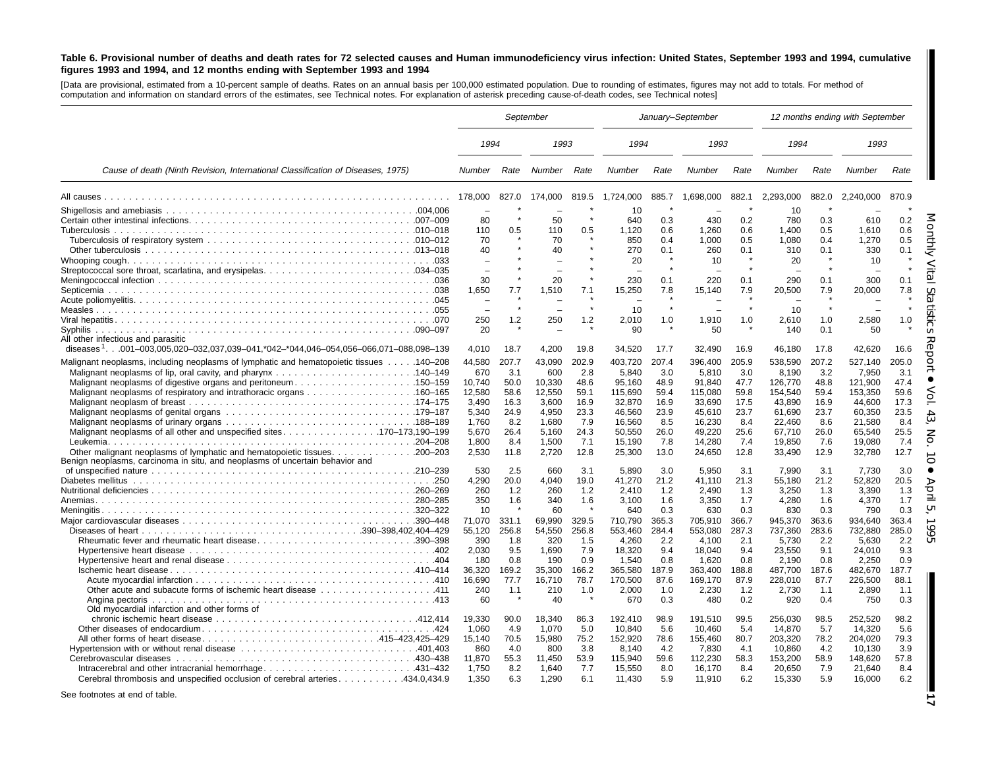#### Table 6. Provisional number of deaths and death rates for 72 selected causes and Human immunodeficiency virus infection: United States, September 1993 and 1994, cumulative figures 1993 and 1994, and 12 months ending with September 1993 and 1994

[Data are provisional, estimated from <sup>a</sup> 10-percent sample of deaths. Rates on an annual basis per 100,000 estimated population. Due to rounding of estimates, figures may not add to totals. For method of computation and information on standard errors of the estimates, see Technical notes. For explanation of asterisk preceding cause-of-death codes, see Technical notes]

|                                                                                                                                                                                                                            | September                         |                              |                                   |                              |                                       | January-September            |                                       |                              |                                        | 12 months ending with September |                                        |                              |  |
|----------------------------------------------------------------------------------------------------------------------------------------------------------------------------------------------------------------------------|-----------------------------------|------------------------------|-----------------------------------|------------------------------|---------------------------------------|------------------------------|---------------------------------------|------------------------------|----------------------------------------|---------------------------------|----------------------------------------|------------------------------|--|
|                                                                                                                                                                                                                            | 1994                              |                              | 1993                              |                              | 1994                                  |                              | 1993                                  |                              | 1994                                   |                                 | 1993                                   |                              |  |
| Cause of death (Ninth Revision, International Classification of Diseases, 1975)                                                                                                                                            | Number Rate                       |                              | Number                            | Rate                         | Number                                | Rate                         | Number                                | Rate                         | Number                                 | Rate                            | Number                                 | Rate                         |  |
|                                                                                                                                                                                                                            | 178.000                           | 827.0                        | 174.000                           | 819.5                        | 1.724.000                             | 885.7                        | 1.698.000                             | 882.1                        | 2.293.000                              | 882.0                           | 2.240.000                              | 870.9                        |  |
|                                                                                                                                                                                                                            | 80                                |                              | 50                                |                              | 10<br>640                             | 0.3                          | 430                                   | 0.2                          | 10<br>780                              | 0.3                             | 610                                    | 0.2<br>0.6                   |  |
|                                                                                                                                                                                                                            | 110<br>70<br>40                   | 0.5                          | 110<br>70<br>40                   | 0.5                          | 1.120<br>850<br>270<br>20             | 0.6<br>0.4<br>0.1            | 1,260<br>1.000<br>260<br>10           | 0.6<br>0.5<br>0.1            | 1.400<br>1,080<br>310<br>20            | 0.5<br>0.4<br>0.1               | 1.610<br>1,270<br>330<br>10            | 0.5<br>0.1                   |  |
|                                                                                                                                                                                                                            | 30                                |                              | 20                                |                              | 230                                   | 0.1                          | 220                                   | 0.1                          | 290                                    | 0.1                             | 300                                    | 0.1                          |  |
|                                                                                                                                                                                                                            | 1,650                             | 7.7                          | 1,510                             | 7.1                          | 15,250<br>10                          | 7.8                          | 15,140                                | 7.9                          | 20,500<br>10                           | 7.9                             | 20,000                                 | 7.8                          |  |
| Svphilis<br>All other infectious and parasitic                                                                                                                                                                             | 250<br>20                         | 1.2                          | 250                               | 1.2                          | 2.010<br>90                           | 1.0                          | 1,910<br>50                           | 1.0                          | 2,610<br>140                           | 1.0<br>0.1                      | 2,580<br>50                            | 1.0                          |  |
| diseases <sup>1</sup> 001-003,005,020-032,037,039-041,*042-*044,046-054,056-066,071-088,098-139                                                                                                                            | 4,010                             | 18.7                         | 4,200                             | 19.8                         | 34,520                                | 17.7                         | 32,490                                | 16.9                         | 46,180                                 | 17.8                            | 42,620                                 | 16.6                         |  |
| Malignant neoplasms, including neoplasms of lymphatic and hematopoietic tissues 140–208<br>Malignant neoplasms of digestive organs and peritoneum150–159                                                                   | 44,580<br>670<br>10,740<br>12,580 | 207.7<br>3.1<br>50.0<br>58.6 | 43,090<br>600<br>10,330<br>12,550 | 202.9<br>2.8<br>48.6<br>59.1 | 403,720<br>5,840<br>95,160<br>115,690 | 207.4<br>3.0<br>48.9<br>59.4 | 396,400<br>5,810<br>91,840<br>115,080 | 205.9<br>3.0<br>47.7<br>59.8 | 538,590<br>8,190<br>126,770<br>154,540 | 207.2<br>3.2<br>48.8<br>59.4    | 527,140<br>7,950<br>121,900<br>153,350 | 205.0<br>3.1<br>47.4<br>59.6 |  |
|                                                                                                                                                                                                                            | 3,490<br>5,340<br>1.760<br>5,670  | 16.3<br>24.9<br>8.2<br>26.4  | 3,600<br>4.950<br>1.680<br>5.160  | 16.9<br>23.3<br>7.9<br>24.3  | 32,870<br>46,560<br>16,560<br>50,550  | 16.9<br>23.9<br>8.5<br>26.0  | 33,690<br>45,610<br>16,230<br>49,220  | 17.5<br>23.7<br>8.4<br>25.6  | 43,890<br>61,690<br>22.460<br>67,710   | 16.9<br>23.7<br>8.6<br>26.0     | 44,600<br>60,350<br>21.580<br>65,540   | 17.3<br>23.5<br>8.4<br>25.5  |  |
| Benign neoplasms, carcinoma in situ, and neoplasms of uncertain behavior and                                                                                                                                               | 1.800<br>2,530                    | 8.4<br>11.8                  | 1,500<br>2,720                    | 7.1<br>12.8                  | 15,190<br>25,300                      | 7.8<br>13.0                  | 14,280<br>24,650                      | 7.4<br>12.8                  | 19,850<br>33,490                       | 7.6<br>12.9                     | 19,080<br>32,780                       | 7.4<br>12.7                  |  |
|                                                                                                                                                                                                                            | 530<br>4,290                      | 2.5<br>20.0                  | 660<br>4,040                      | 3.1<br>19.0                  | 5.890<br>41,270                       | 3.0<br>21.2                  | 5.950<br>41,110                       | 3.1<br>21.3                  | 7.990<br>55,180                        | 3.1<br>21.2                     | 7.730<br>52,820                        | 3.0<br>20.5                  |  |
|                                                                                                                                                                                                                            | 260<br>350<br>10                  | 1.2<br>1.6                   | 260<br>340<br>60                  | 1.2<br>1.6                   | 2,410<br>3,100<br>640                 | 1.2<br>1.6<br>0.3            | 2,490<br>3,350<br>630                 | 1.3<br>1.7<br>0.3            | 3,250<br>4,280<br>830                  | 1.3<br>1.6<br>0.3               | 3,390<br>4,370<br>790                  | 1.3<br>1.7<br>0.3            |  |
| Rheumatic fever and rheumatic heart disease390–398                                                                                                                                                                         | 71,070<br>55,120<br>390           | 331.1<br>256.8<br>1.8        | 69,990<br>54,550<br>320           | 329.5<br>256.8<br>1.5        | 710,790<br>553,460<br>4,260           | 365.3<br>284.4<br>2.2        | 705,910<br>553,080<br>4,100           | 366.7<br>287.3<br>2.1        | 945,370<br>737,360<br>5,730            | 363.6<br>283.6<br>2.2           | 934,640<br>732,880<br>5,630            | 363.4<br>285.0<br>2.2        |  |
|                                                                                                                                                                                                                            | 2,030<br>180<br>36,320            | 9.5<br>0.8<br>169.2          | 1,690<br>190<br>35,300            | 7.9<br>0.9<br>166.2          | 18,320<br>1.540<br>365,580            | 9.4<br>0.8<br>187.9          | 18,040<br>1.620<br>363.400            | 9.4<br>0.8<br>188.8          | 23,550<br>2.190<br>487.700             | 9.1<br>0.8<br>187.6             | 24,010<br>2.250<br>482.670             | 9.3<br>0.9<br>187.7          |  |
|                                                                                                                                                                                                                            | 16,690<br>240<br>60               | 77.7<br>1.1                  | 16,710<br>210<br>40               | 78.7<br>1.0                  | 170,500<br>2,000<br>670               | 87.6<br>1.0<br>0.3           | 169.170<br>2,230<br>480               | 87.9<br>1.2<br>0.2           | 228,010<br>2,730<br>920                | 87.7<br>1.1<br>0.4              | 226,500<br>2,890<br>750                | 88.1<br>1.1<br>0.3           |  |
| Old myocardial infarction and other forms of<br>chronic ischemic heart disease $\ldots \ldots \ldots \ldots \ldots \ldots \ldots \ldots \ldots \ldots \ldots$ . 412.414<br>All other forms of heart disease415–423,425–429 | 19.330<br>1.060<br>15.140         | 90.0<br>4.9<br>70.5          | 18.340<br>1.070<br>15.980         | 86.3<br>5.0<br>75.2          | 192.410<br>10.840<br>152.920          | 98.9<br>5.6<br>78.6          | 191.510<br>10.460<br>155.460          | 99.5<br>5.4<br>80.7          | 256.030<br>14.870<br>203,320           | 98.5<br>5.7<br>78.2             | 252.520<br>14.320<br>204.020           | 98.2<br>5.6<br>79.3          |  |
| Cerebral thrombosis and unspecified occlusion of cerebral arteries 434.0,434.9                                                                                                                                             | 860<br>11,870<br>1,750<br>1,350   | 4.0<br>55.3<br>8.2<br>6.3    | 800<br>11.450<br>1,640<br>1,290   | 3.8<br>53.9<br>7.7<br>6.1    | 8.140<br>115,940<br>15,550<br>11,430  | 4.2<br>59.6<br>8.0<br>5.9    | 7,830<br>112,230<br>16,170<br>11,910  | 4.1<br>58.3<br>8.4<br>6.2    | 10,860<br>153,200<br>20,650<br>15,330  | 4.2<br>58.9<br>7.9<br>5.9       | 10,130<br>148,620<br>21,640<br>16,000  | 3.9<br>57.8<br>8.4<br>6.2    |  |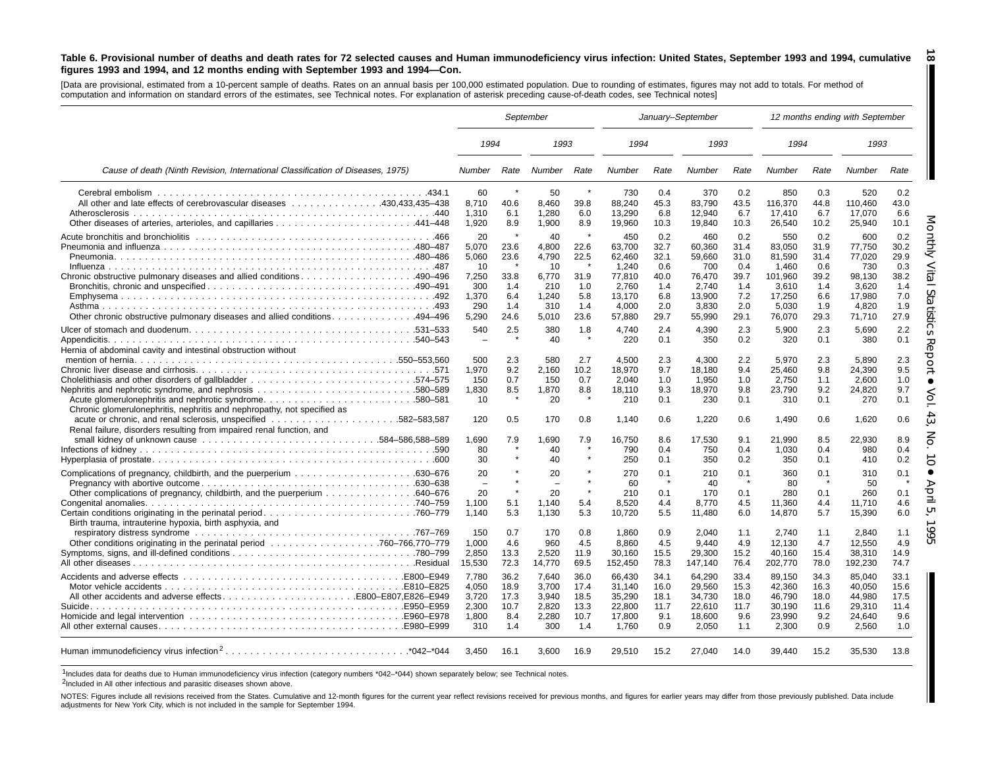#### Table 6. Provisional number of deaths and death rates for 72 selected causes and Human immunodeficiency virus infection: United States, September 1993 and 1994, cumulative figures 1993 and 1994, and 12 months ending with September 1993 and 1994–Con.

**18**

[Data are provisional, estimated from a 10-percent sample of deaths. Rates on an annual basis per 100,000 estimated population. Due to rounding of estimates, figures may not add to totals. For method of computation and information on standard errors of the estimates, see Technical notes. For explanation of asterisk preceding cause-of-death codes, see Technical notes]

|                                                                                                                                            |                                                            |                                            |                                                            | September                                            |                                                                        |                                                         | January-September                                                    |                                                         | 12 months ending with September                                         |                                                         |                                                                      |                                                         |
|--------------------------------------------------------------------------------------------------------------------------------------------|------------------------------------------------------------|--------------------------------------------|------------------------------------------------------------|------------------------------------------------------|------------------------------------------------------------------------|---------------------------------------------------------|----------------------------------------------------------------------|---------------------------------------------------------|-------------------------------------------------------------------------|---------------------------------------------------------|----------------------------------------------------------------------|---------------------------------------------------------|
|                                                                                                                                            | 1994                                                       |                                            | 1993                                                       |                                                      | 1994                                                                   |                                                         | 1993                                                                 |                                                         | 1994                                                                    |                                                         | 1993                                                                 |                                                         |
| Cause of death (Ninth Revision, International Classification of Diseases, 1975)                                                            | <b>Number</b>                                              | Rate                                       | Number                                                     | Rate                                                 | Number                                                                 | Rate                                                    | <b>Number</b>                                                        | Rate                                                    | Number                                                                  | Rate                                                    | Number                                                               | Rate                                                    |
| All other and late effects of cerebrovascular diseases 430,433,435–438                                                                     | 60<br>8,710<br>1,310<br>1,920                              | 40.6<br>6.1<br>8.9                         | 50<br>8,460<br>1,280<br>1,900                              | $\star$<br>39.8<br>6.0<br>8.9                        | 730<br>88,240<br>13,290<br>19,960                                      | 0.4<br>45.3<br>6.8<br>10.3                              | 370<br>83,790<br>12,940<br>19,840                                    | 0.2<br>43.5<br>6.7<br>10.3                              | 850<br>116,370<br>17.410<br>26,540                                      | 0.3<br>44.8<br>6.7<br>10.2                              | 520<br>110,460<br>17.070<br>25,940                                   | 0.2<br>43.0<br>6.6<br>10.1                              |
|                                                                                                                                            | 20<br>5,070<br>5,060<br>10<br>7,250<br>300<br>1.370<br>290 | 23.6<br>23.6<br>33.8<br>1.4<br>6.4<br>1.4  | 40<br>4,800<br>4,790<br>10<br>6,770<br>210<br>1.240<br>310 | 22.6<br>22.5<br>$\star$<br>31.9<br>1.0<br>5.8<br>1.4 | 450<br>63,700<br>62,460<br>1,240<br>77,810<br>2,760<br>13.170<br>4,000 | 0.2<br>32.7<br>32.1<br>0.6<br>40.0<br>1.4<br>6.8<br>2.0 | 460<br>60,360<br>59,660<br>700<br>76,470<br>2,740<br>13.900<br>3,830 | 0.2<br>31.4<br>31.0<br>0.4<br>39.7<br>1.4<br>7.2<br>2.0 | 550<br>83.050<br>81,590<br>1.460<br>101,960<br>3,610<br>17.250<br>5,030 | 0.2<br>31.9<br>31.4<br>0.6<br>39.2<br>1.4<br>6.6<br>1.9 | 600<br>77.750<br>77,020<br>730<br>98,130<br>3,620<br>17.980<br>4,820 | 0.2<br>30.2<br>29.9<br>0.3<br>38.2<br>1.4<br>7.0<br>1.9 |
| 0ther chronic obstructive pulmonary diseases and allied conditions494–496<br>Hernia of abdominal cavity and intestinal obstruction without | 5,290<br>540<br>$\overline{\phantom{a}}$                   | 24.6<br>2.5                                | 5,010<br>380<br>40                                         | 23.6<br>1.8<br>- *                                   | 57,880<br>4.740<br>220                                                 | 29.7<br>2.4<br>0.1                                      | 55,990<br>4.390<br>350                                               | 29.1<br>2.3<br>0.2                                      | 76,070<br>5.900<br>320                                                  | 29.3<br>2.3<br>0.1                                      | 71,710<br>5.690<br>380                                               | 27.9<br>2.2<br>0.1                                      |
| Acute glomerulonephritis and nephrotic syndrome580–581<br>Chronic glomerulonephritis, nephritis and nephropathy, not specified as          | 500<br>1,970<br>150<br>1,830<br>10                         | 2.3<br>9.2<br>0.7<br>8.5                   | 580<br>2,160<br>150<br>1,870<br>20                         | 2.7<br>10.2<br>0.7<br>8.8                            | 4.500<br>18,970<br>2.040<br>18,110<br>210                              | 2.3<br>9.7<br>1.0<br>9.3<br>0.1                         | 4,300<br>18,180<br>1.950<br>18,970<br>230                            | 2.2<br>9.4<br>1.0<br>9.8<br>0.1                         | 5.970<br>25,460<br>2.750<br>23,790<br>310                               | 2.3<br>9.8<br>1.1<br>9.2<br>0.1                         | 5.890<br>24,390<br>2.600<br>24,820<br>270                            | 2.3<br>9.5<br>1.0<br>9.7<br>0.1                         |
| Renal failure, disorders resulting from impaired renal function, and                                                                       | 120<br>1,690<br>80<br>30                                   | 0.5<br>7.9                                 | 170<br>1.690<br>40<br>40                                   | 0.8<br>7.9                                           | 1.140<br>16.750<br>790<br>250                                          | 0.6<br>8.6<br>0.4<br>0.1                                | 1,220<br>17.530<br>750<br>350                                        | 0.6<br>9.1<br>0.4<br>0.2                                | 1.490<br>21.990<br>1,030<br>350                                         | 0.6<br>8.5<br>0.4<br>0.1                                | 1,620<br>22.930<br>980<br>410                                        | 0.6<br>8.9<br>0.4<br>0.2                                |
|                                                                                                                                            | 20<br>$\overline{\phantom{a}}$<br>20<br>1,100<br>1,140     | 5.1<br>5.3                                 | 20<br>$\sim$<br>20<br>1,140<br>1,130                       | $\star$<br>5.4<br>5.3                                | 270<br>60<br>210<br>8,520<br>10,720                                    | 0.1<br>0.1<br>4.4<br>5.5                                | 210<br>40<br>170<br>8,770<br>11,480                                  | 0.1<br>$\rightarrow$<br>0.1<br>4.5<br>6.0               | 360<br>80<br>280<br>11,360<br>14,870                                    | 0.1<br>0.1<br>4.4<br>5.7                                | 310<br>50<br>260<br>11,710<br>15,390                                 | 0.1<br>$\mathbf{A}$<br>0.1<br>4.6<br>6.0                |
| Birth trauma, intrauterine hypoxia, birth asphyxia, and                                                                                    | 150<br>1,000<br>2.850<br>15,530                            | 0.7<br>4.6<br>13.3<br>72.3                 | 170<br>960<br>2.520<br>14,770                              | 0.8<br>4.5<br>11.9<br>69.5                           | 1,860<br>8.860<br>30.160<br>152,450                                    | 0.9<br>4.5<br>15.5<br>78.3                              | 2,040<br>9.440<br>29.300<br>147,140                                  | 1.1<br>4.9<br>15.2<br>76.4                              | 2,740<br>12.130<br>40.160<br>202,770                                    | 1.1<br>4.7<br>15.4<br>78.0                              | 2,840<br>12.550<br>38.310<br>192,230                                 | 1.1<br>4.9<br>14.9<br>74.7                              |
| All other accidents and adverse effectsE800-E807,E826-E949                                                                                 | 7,780<br>4,050<br>3,720<br>2.300<br>1,800<br>310           | 36.2<br>18.9<br>17.3<br>10.7<br>8.4<br>1.4 | 7,640<br>3,700<br>3,940<br>2.820<br>2,280<br>300           | 36.0<br>17.4<br>18.5<br>13.3<br>10.7<br>1.4          | 66,430<br>31,140<br>35,290<br>22.800<br>17,800<br>1,760                | 34.1<br>16.0<br>18.1<br>11.7<br>9.1<br>0.9              | 64,290<br>29,560<br>34,730<br>22.610<br>18,600<br>2,050              | 33.4<br>15.3<br>18.0<br>11.7<br>9.6<br>1.1              | 89,150<br>42,360<br>46,790<br>30.190<br>23,990<br>2,300                 | 34.3<br>16.3<br>18.0<br>11.6<br>9.2<br>0.9              | 85,040<br>40.050<br>44,980<br>29.310<br>24.640<br>2,560              | 33.1<br>15.6<br>17.5<br>11.4<br>9.6<br>1.0              |
|                                                                                                                                            | 3.450                                                      | 16.1                                       | 3,600                                                      | 16.9                                                 | 29,510                                                                 | 15.2                                                    | 27,040                                                               | 14.0                                                    | 39,440                                                                  | 15.2                                                    | 35,530                                                               | 13.8                                                    |

1Includes data for deaths due to Human immunodeficiency virus infection (category numbers \*042–\*044) shown separately below; see Technical notes.

2Included in All other infectious and parasitic diseases shown above.

NOTES: Figures include all revisions received from the States. Cumulative and 12-month figures for the current year reflect revisions received for previous months, and figures for earlier years may differ from those previo adjustments for New York City, which is not included in the sample for September 1994.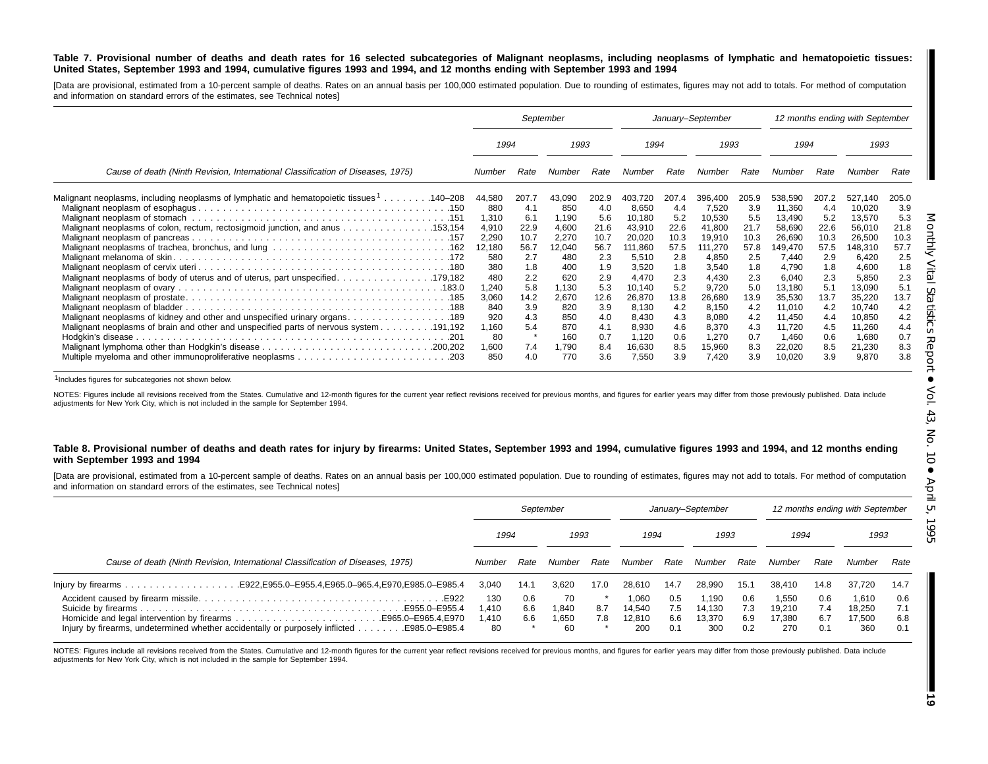#### Table 7. Provisional number of deaths and death rates for 16 selected subcategories of Malignant neoplasms, including neoplasms of lymphatic and hematopoietic tissues: United States, September 1993 and 1994, cumulative figures 1993 and 1994, and 12 months ending with September 1993 and 1994

[Data are provisional, estimated from a 10-percent sample of deaths. Rates on an annual basis per 100,000 estimated population. Due to rounding of estimates, figures may not add to totals. For method of computation and information on standard errors of the estimates, see Technical notes]

|                                                                                                                                                                                                                                                                     | September                                                                        |                                                                         |                                                                                  | January-September                                                       |                                                                                                |                                                                         |                                                                                               | 12 months ending with September                                         |                                                                                                 |                                                                         |                                                                                                 |                                                                         |
|---------------------------------------------------------------------------------------------------------------------------------------------------------------------------------------------------------------------------------------------------------------------|----------------------------------------------------------------------------------|-------------------------------------------------------------------------|----------------------------------------------------------------------------------|-------------------------------------------------------------------------|------------------------------------------------------------------------------------------------|-------------------------------------------------------------------------|-----------------------------------------------------------------------------------------------|-------------------------------------------------------------------------|-------------------------------------------------------------------------------------------------|-------------------------------------------------------------------------|-------------------------------------------------------------------------------------------------|-------------------------------------------------------------------------|
|                                                                                                                                                                                                                                                                     | 1993<br>1994                                                                     |                                                                         | 1994                                                                             |                                                                         | 1993                                                                                           |                                                                         | 1994                                                                                          |                                                                         | 1993                                                                                            |                                                                         |                                                                                                 |                                                                         |
| Cause of death (Ninth Revision, International Classification of Diseases, 1975)                                                                                                                                                                                     | Number                                                                           | Rate                                                                    | Number                                                                           | Rate                                                                    | Number                                                                                         | Rate                                                                    | Number                                                                                        | Rate                                                                    | Number                                                                                          | Rate                                                                    | Number                                                                                          | Rate                                                                    |
| 140–208. 140–208 Malignant neoplasms of lymphatic and hematopoietic tissues <sup>1</sup> 140–208<br>Malignant neoplasms of colon, rectum, rectosigmoid junction, and anus 153,154<br>Malignant neoplasms of body of uterus and of uterus, part unspecified. 179,182 | 44,580<br>880<br>1,310<br>4,910<br>2,290<br>12,180<br>580<br>380<br>480<br>1,240 | 207.7<br>4.1<br>6.1<br>22.9<br>10.7<br>56.7<br>2.7<br>1.8<br>2.2<br>5.8 | 43,090<br>850<br>1,190<br>4,600<br>2,270<br>12,040<br>480<br>400<br>620<br>1,130 | 202.9<br>4.0<br>5.6<br>21.6<br>10.7<br>56.7<br>2.3<br>1.9<br>2.9<br>5.3 | 403.720<br>8,650<br>10.180<br>43,910<br>20,020<br>111,860<br>5,510<br>3,520<br>4,470<br>10,140 | 207.4<br>4.4<br>5.2<br>22.6<br>10.3<br>57.5<br>2.8<br>1.8<br>2.3<br>5.2 | 396.400<br>7,520<br>10,530<br>41,800<br>19,910<br>111,270<br>4,850<br>3,540<br>4,430<br>9,720 | 205.9<br>3.9<br>5.5<br>21.7<br>10.3<br>57.8<br>2.5<br>1.8<br>2.3<br>5.0 | 538,590<br>11,360<br>13,490<br>58,690<br>26,690<br>149,470<br>7,440<br>4,790<br>6,040<br>13,180 | 207.2<br>4.4<br>5.2<br>22.6<br>10.3<br>57.5<br>2.9<br>1.8<br>2.3<br>5.1 | 527,140<br>10,020<br>13,570<br>56,010<br>26,500<br>148,310<br>6,420<br>4,600<br>5,850<br>13,090 | 205.0<br>3.9<br>5.3<br>21.8<br>10.3<br>57.7<br>2.5<br>1.8<br>2.3<br>5.1 |
| Malignant neoplasms of kidney and other and unspecified urinary organs. 189<br>191,192. Malignant neoplasms of brain and other and unspecified parts of nervous system 191,192                                                                                      | 3,060<br>840<br>920<br>1,160<br>80<br>1,600<br>850                               | 14.2<br>3.9<br>4.3<br>5.4<br>7.4<br>4.0                                 | 2,670<br>820<br>850<br>870<br>160<br>1,790<br>770                                | 12.6<br>3.9<br>4.0<br>4.1<br>0.7<br>8.4<br>3.6                          | 26,870<br>8,130<br>8,430<br>8,930<br>1,120<br>16,630<br>7,550                                  | 13.8<br>4.2<br>4.3<br>4.6<br>0.6<br>8.5<br>3.9                          | 26,680<br>8,150<br>8,080<br>8,370<br>1,270<br>15,960<br>7,420                                 | 13.9<br>4.2<br>4.2<br>4.3<br>0.7<br>8.3<br>3.9                          | 35,530<br>11,010<br>11,450<br>11,720<br>1,460<br>22,020<br>10,020                               | 13.7<br>4.2<br>4.4<br>4.5<br>0.6<br>8.5<br>3.9                          | 35,220<br>10,740<br>10,850<br>11,260<br>1,680<br>21,230<br>9,870                                | 13.7<br>4.2<br>4.2<br>4.4<br>0.7<br>8.3<br>3.8                          |

1Includes figures for subcategories not shown below.

NOTES: Figures include all revisions received from the States. Cumulative and 12-month figures for the current year reflect revisions received for previous months, and figures for earlier years may differ from those previo adjustments for New York City, which is not included in the sample for September 1994.

#### Table 8. Provisional number of deaths and death rates for injury by firearms: United States, September 1993 and 1994, cumulative figures 1993 and 1994, and 12 months ending **with September 1993 and 1994**

[Data are provisional, estimated from a 10-percent sample of deaths. Rates on an annual basis per 100,000 estimated population. Due to rounding of estimates, figures may not add to totals. For method of computation and information on standard errors of the estimates, see Technical notes]

|                                                                                            | September                    |                   |                          | January-September |                                  |                          |                                  | 12 months ending with September |                                  |                          |                                  |                          |
|--------------------------------------------------------------------------------------------|------------------------------|-------------------|--------------------------|-------------------|----------------------------------|--------------------------|----------------------------------|---------------------------------|----------------------------------|--------------------------|----------------------------------|--------------------------|
|                                                                                            |                              | 1994<br>1993      |                          | 1994              |                                  | 1993                     |                                  | 1994                            |                                  | 1993                     |                                  |                          |
| Cause of death (Ninth Revision, International Classification of Diseases, 1975)            | Number                       | Rate              | Number                   | Rate              | Number                           | Rate                     | Number                           | Rate                            | Number                           | Rate                     | Number                           | Rate                     |
|                                                                                            | 3.040                        | 14.1              | 3,620                    | 17.0              | 28.610                           | 14.7                     | 28.990                           | 15.1                            | 38.410                           | 14.8                     | 37.720                           | 14.7                     |
| Injury by firearms, undetermined whether accidentally or purposely inflicted E985.0–E985.4 | 130<br>1.410<br>1.410<br>-80 | 0.6<br>6.6<br>6.6 | 70<br>.840<br>.650<br>60 | 8.7<br>7.8        | 1.060<br>14.540<br>12.810<br>200 | 0.5<br>7.5<br>6.6<br>0.1 | 1.190<br>14.130<br>13.370<br>300 | 0.6<br>7.3<br>6.9<br>0.2        | 1.550<br>19.210<br>17.380<br>270 | 0.6<br>7.4<br>6.7<br>0.1 | 1,610<br>18.250<br>17.500<br>360 | 0.6<br>7.1<br>6.8<br>0.1 |

NOTES: Figures include all revisions received from the States. Cumulative and 12-month figures for the current year reflect revisions received for previous months, and figures for earlier years may differ from those previo adjustments for New York City, which is not included in the sample for September 1994.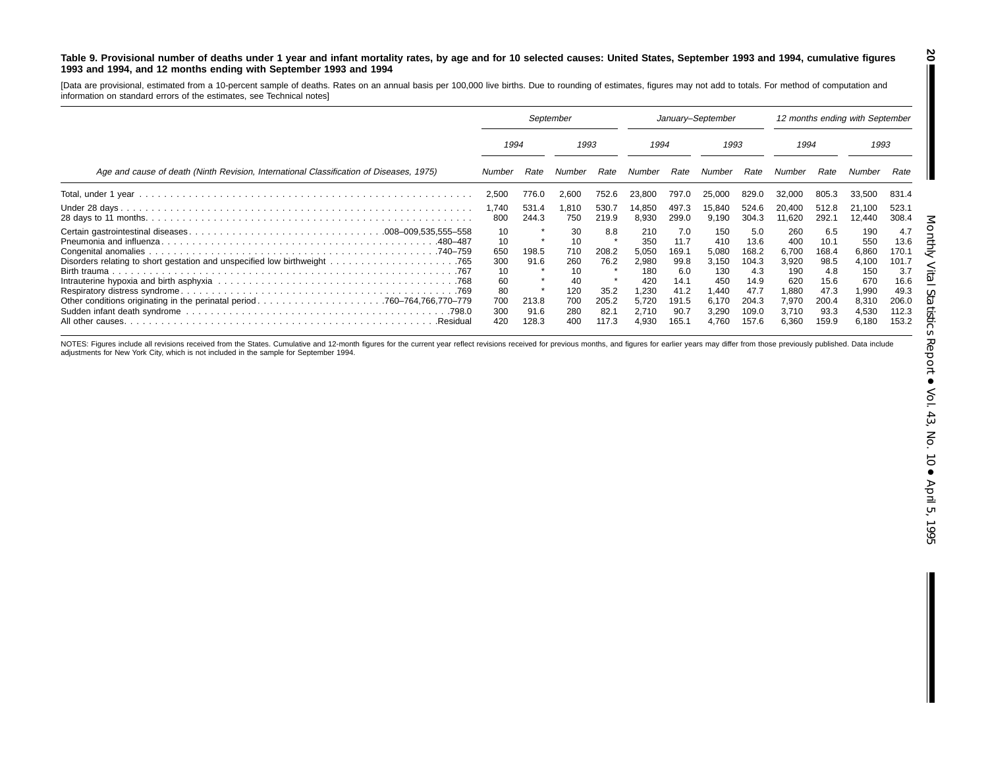#### Table 9. Provisional number of deaths under 1 year and infant mortality rates, by age and for 10 selected causes: United States, September 1993 and 1994, cumulative figures 1993 and 1994, and 12 months ending with September 1993 and 1994

[Data are provisional, estimated from <sup>a</sup> 10-percent sample of deaths. Rates on an annual basis per 100,000 live births. Due to rounding of estimates, figures may not add to totals. For method of computation and information on standard errors of the estimates, see Technical notes]

|                                                                                         | September                                                     |                                         |                                                          | January-September                                      |                                                                               |                                                                              |                                                                                | 12 months ending with September                                                 |                                                                                |                                                                               |                                                                                |                                                                                 |
|-----------------------------------------------------------------------------------------|---------------------------------------------------------------|-----------------------------------------|----------------------------------------------------------|--------------------------------------------------------|-------------------------------------------------------------------------------|------------------------------------------------------------------------------|--------------------------------------------------------------------------------|---------------------------------------------------------------------------------|--------------------------------------------------------------------------------|-------------------------------------------------------------------------------|--------------------------------------------------------------------------------|---------------------------------------------------------------------------------|
|                                                                                         | 1994                                                          |                                         | 1993                                                     |                                                        | 1994                                                                          |                                                                              | 1993                                                                           |                                                                                 | 1994                                                                           |                                                                               | 1993                                                                           |                                                                                 |
| Age and cause of death (Ninth Revision, International Classification of Diseases, 1975) | Number                                                        | Rate                                    | Number                                                   | Rate                                                   | Number                                                                        | Rate                                                                         | Number                                                                         | Rate                                                                            | Number                                                                         | Rate                                                                          | Number                                                                         | Rate                                                                            |
|                                                                                         | 2,500                                                         | 776.0                                   | 2,600                                                    | 752.6                                                  | 23,800                                                                        | 797.0                                                                        | 25,000                                                                         | 829.0                                                                           | 32.000                                                                         | 805.3                                                                         | 33,500                                                                         | 831.4                                                                           |
|                                                                                         | 1,740<br>800                                                  | 531.4<br>244.3                          | .810<br>750                                              | 530.7<br>219.9                                         | 14,850<br>8,930                                                               | 497.3<br>299.0                                                               | 15,840<br>9,190                                                                | 524.6<br>304.3                                                                  | 20.400<br>11,620                                                               | 512.8<br>292.1                                                                | 21,100<br>12,440                                                               | 523.1<br>308.4                                                                  |
|                                                                                         | 10<br>10<br>650<br>300<br>10<br>60<br>80<br>700<br>300<br>420 | 198.5<br>91.6<br>213.8<br>91.6<br>128.3 | 30<br>10<br>710<br>260<br>40<br>120<br>700<br>280<br>400 | 8.8<br>208.2<br>76.2<br>35.2<br>205.2<br>82.7<br>117.3 | 210<br>350<br>5,050<br>2,980<br>180<br>420<br>.230<br>5,720<br>2.710<br>4,930 | 7.0<br>11.7<br>169.1<br>99.8<br>6.0<br>14.1<br>41.2<br>191.5<br>90.7<br>165. | 150<br>410<br>5,080<br>3,150<br>130<br>450<br>1.440<br>6.170<br>3.290<br>4.760 | 5.0<br>13.6<br>168.2<br>104.3<br>4.3<br>14.9<br>47.7<br>204.3<br>109.0<br>157.6 | 260<br>400<br>6,700<br>3,920<br>190<br>620<br>1.880<br>7,970<br>3.710<br>6,360 | 6.5<br>10.1<br>168.4<br>98.5<br>4.8<br>15.6<br>47.3<br>200.4<br>93.3<br>159.9 | 190<br>550<br>6,860<br>4,100<br>150<br>670<br>1,990<br>8,310<br>4,530<br>6,180 | 4.7<br>13.6<br>170.1<br>101.7<br>3.7<br>16.6<br>49.3<br>206.0<br>112.3<br>153.2 |

NOTES: Figures include all revisions received from the States. Cumulative and 12-month figures for the current year reflect revisions received for previous months, and figures for earlier years may differ from those previo adjustments for New York City, which is not included in the sample for September 1994.

**20**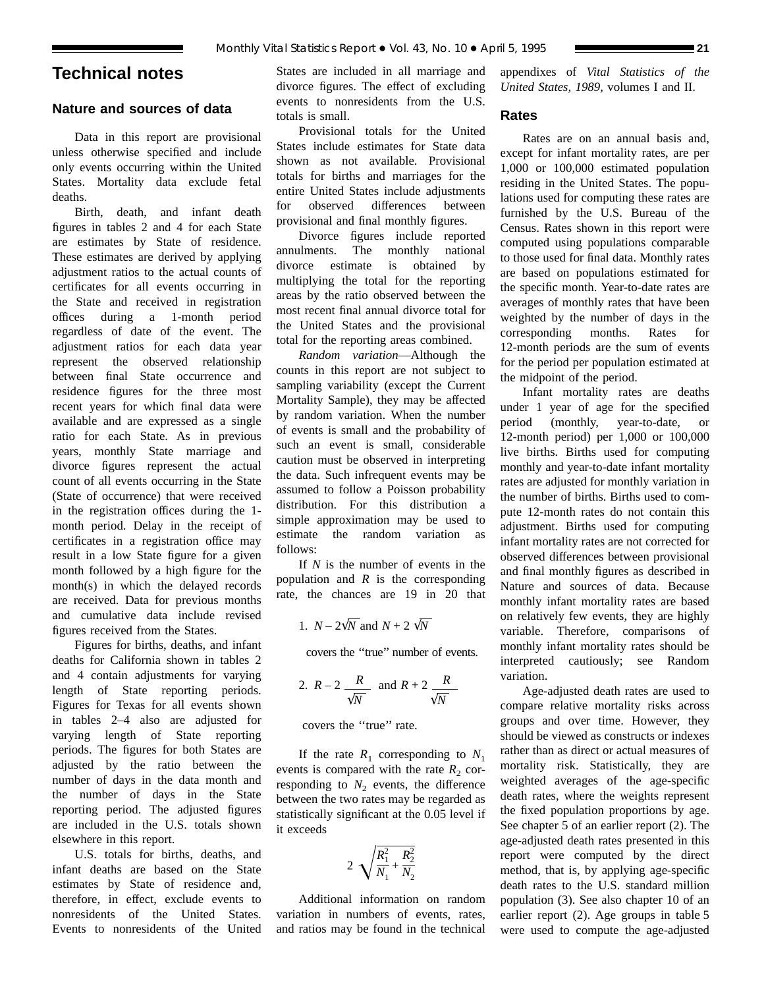## **Technical notes**

## **Nature and sources of data**

Data in this report are provisional unless otherwise specified and include only events occurring within the United States. Mortality data exclude fetal deaths.

Birth, death, and infant death figures in tables 2 and 4 for each State are estimates by State of residence. These estimates are derived by applying adjustment ratios to the actual counts of certificates for all events occurring in the State and received in registration offices during a 1-month period regardless of date of the event. The adjustment ratios for each data year represent the observed relationship between final State occurrence and residence figures for the three most recent years for which final data were available and are expressed as a single ratio for each State. As in previous years, monthly State marriage and divorce figures represent the actual count of all events occurring in the State (State of occurrence) that were received in the registration offices during the 1 month period. Delay in the receipt of certificates in a registration office may result in a low State figure for a given month followed by a high figure for the month(s) in which the delayed records are received. Data for previous months and cumulative data include revised figures received from the States.

Figures for births, deaths, and infant deaths for California shown in tables 2 and 4 contain adjustments for varying length of State reporting periods. Figures for Texas for all events shown in tables 2–4 also are adjusted for varying length of State reporting periods. The figures for both States are adjusted by the ratio between the number of days in the data month and the number of days in the State reporting period. The adjusted figures are included in the U.S. totals shown elsewhere in this report.

U.S. totals for births, deaths, and infant deaths are based on the State estimates by State of residence and, therefore, in effect, exclude events to nonresidents of the United States. Events to nonresidents of the United States are included in all marriage and divorce figures. The effect of excluding events to nonresidents from the U.S. totals is small.

Provisional totals for the United States include estimates for State data shown as not available. Provisional totals for births and marriages for the entire United States include adjustments for observed differences between provisional and final monthly figures.

Divorce figures include reported annulments. The monthly national divorce estimate is obtained by multiplying the total for the reporting areas by the ratio observed between the most recent final annual divorce total for the United States and the provisional total for the reporting areas combined.

*Random variation*—Although the counts in this report are not subject to sampling variability (except the Current Mortality Sample), they may be affected by random variation. When the number of events is small and the probability of such an event is small, considerable caution must be observed in interpreting the data. Such infrequent events may be assumed to follow a Poisson probability distribution. For this distribution a simple approximation may be used to estimate the random variation as follows:

If *N* is the number of events in the population and *R* is the corresponding rate, the chances are 19 in 20 that

1. 
$$
N - 2\sqrt{N}
$$
 and  $N + 2\sqrt{N}$ 

covers the ''true'' number of events.

2. 
$$
R-2
$$
  $\frac{R}{\sqrt{N}}$  and  $R+2$   $\frac{R}{\sqrt{N}}$ 

covers the ''true'' rate.

If the rate  $R_1$  corresponding to  $N_1$ events is compared with the rate  $R_2$  corresponding to  $N_2$  events, the difference between the two rates may be regarded as statistically significant at the 0.05 level if it exceeds

$$
2\sqrt{\frac{R_1^2}{N_1}+\frac{R_2^2}{N_2}}
$$

Additional information on random variation in numbers of events, rates, and ratios may be found in the technical appendixes of *Vital Statistics of the United States, 1989,* volumes I and II.

## **Rates**

Rates are on an annual basis and, except for infant mortality rates, are per 1,000 or 100,000 estimated population residing in the United States. The populations used for computing these rates are furnished by the U.S. Bureau of the Census. Rates shown in this report were computed using populations comparable to those used for final data. Monthly rates are based on populations estimated for the specific month. Year-to-date rates are averages of monthly rates that have been weighted by the number of days in the corresponding months. Rates for 12-month periods are the sum of events for the period per population estimated at the midpoint of the period.

Infant mortality rates are deaths under 1 year of age for the specified period (monthly, year-to-date, or 12-month period) per 1,000 or 100,000 live births. Births used for computing monthly and year-to-date infant mortality rates are adjusted for monthly variation in the number of births. Births used to compute 12-month rates do not contain this adjustment. Births used for computing infant mortality rates are not corrected for observed differences between provisional and final monthly figures as described in Nature and sources of data. Because monthly infant mortality rates are based on relatively few events, they are highly variable. Therefore, comparisons of monthly infant mortality rates should be interpreted cautiously; see Random variation.

Age-adjusted death rates are used to compare relative mortality risks across groups and over time. However, they should be viewed as constructs or indexes rather than as direct or actual measures of mortality risk. Statistically, they are weighted averages of the age-specific death rates, where the weights represent the fixed population proportions by age. See chapter 5 of an earlier report (2). The age-adjusted death rates presented in this report were computed by the direct method, that is, by applying age-specific death rates to the U.S. standard million population (3). See also chapter 10 of an earlier report (2). Age groups in table 5 were used to compute the age-adjusted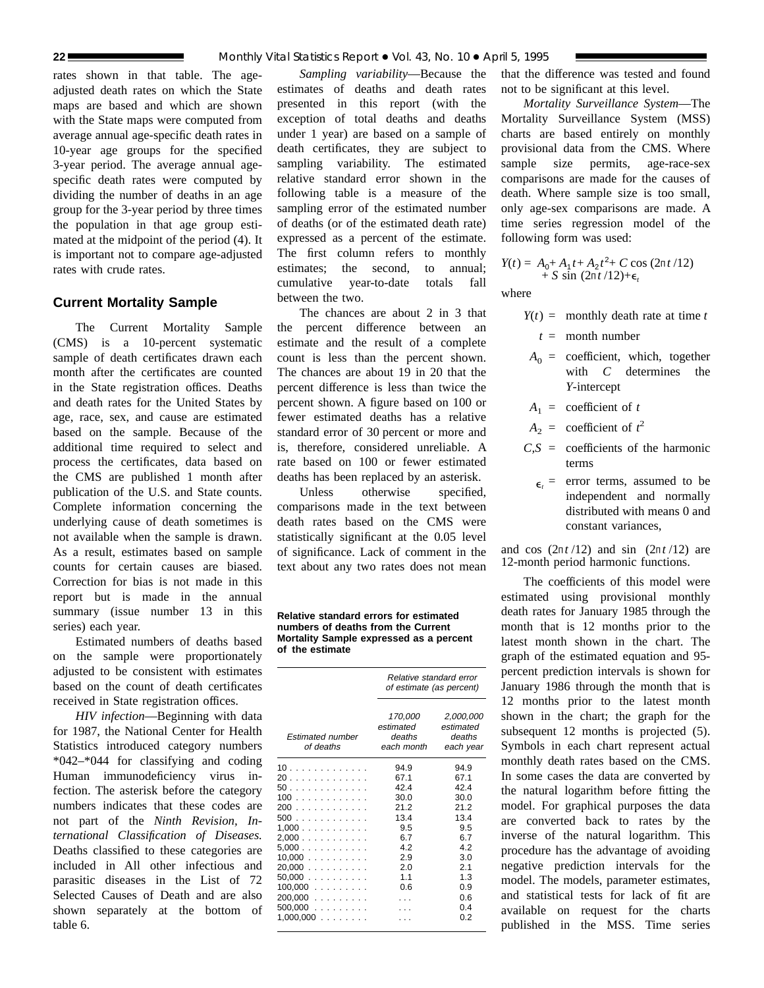rates shown in that table. The ageadjusted death rates on which the State maps are based and which are shown with the State maps were computed from average annual age-specific death rates in 10-year age groups for the specified 3-year period. The average annual agespecific death rates were computed by dividing the number of deaths in an age group for the 3-year period by three times the population in that age group estimated at the midpoint of the period (4). It is important not to compare age-adjusted rates with crude rates.

## **Current Mortality Sample**

The Current Mortality Sample (CMS) is a 10-percent systematic sample of death certificates drawn each month after the certificates are counted in the State registration offices. Deaths and death rates for the United States by age, race, sex, and cause are estimated based on the sample. Because of the additional time required to select and process the certificates, data based on the CMS are published 1 month after publication of the U.S. and State counts. Complete information concerning the underlying cause of death sometimes is not available when the sample is drawn. As a result, estimates based on sample counts for certain causes are biased. Correction for bias is not made in this report but is made in the annual summary (issue number 13 in this series) each year.

Estimated numbers of deaths based on the sample were proportionately adjusted to be consistent with estimates based on the count of death certificates received in State registration offices.

*HIV infection*—Beginning with data for 1987, the National Center for Health Statistics introduced category numbers \*042–\*044 for classifying and coding Human immunodeficiency virus infection. The asterisk before the category numbers indicates that these codes are not part of the *Ninth Revision, International Classification of Diseases.* Deaths classified to these categories are included in All other infectious and parasitic diseases in the List of 72 Selected Causes of Death and are also shown separately at the bottom of table 6.

*Sampling variability*—Because the estimates of deaths and death rates presented in this report (with the exception of total deaths and deaths under 1 year) are based on a sample of death certificates, they are subject to sampling variability. The estimated relative standard error shown in the following table is a measure of the sampling error of the estimated number of deaths (or of the estimated death rate) expressed as a percent of the estimate. The first column refers to monthly estimates; the second, to annual; cumulative year-to-date totals fall between the two.

The chances are about 2 in 3 that the percent difference between an estimate and the result of a complete count is less than the percent shown. The chances are about 19 in 20 that the percent difference is less than twice the percent shown. A figure based on 100 or fewer estimated deaths has a relative standard error of 30 percent or more and is, therefore, considered unreliable. A rate based on 100 or fewer estimated deaths has been replaced by an asterisk.

Unless otherwise specified. comparisons made in the text between death rates based on the CMS were statistically significant at the 0.05 level of significance. Lack of comment in the text about any two rates does not mean

**Relative standard errors for estimated numbers of deaths from the Current Mortality Sample expressed as a percent of the estimate**

|                               | Relative standard error<br>of estimate (as percent) |                                               |  |  |  |
|-------------------------------|-----------------------------------------------------|-----------------------------------------------|--|--|--|
| Estimated number<br>of deaths | 170,000<br>estimated<br>deaths<br>each month        | 2,000,000<br>estimated<br>deaths<br>each year |  |  |  |
| 10                            | 94.9                                                | 94.9                                          |  |  |  |
| 20                            | 67.1                                                | 67.1                                          |  |  |  |
| 50                            | 42.4                                                | 42.4                                          |  |  |  |
| 100                           | 30.0                                                | 30.0                                          |  |  |  |
| 200                           | 21.2                                                | 21.2                                          |  |  |  |
| 500                           | 13.4                                                | 13.4                                          |  |  |  |
| 1,000                         | 9.5                                                 | 9.5                                           |  |  |  |
| 2,000                         | 6.7                                                 | 6.7                                           |  |  |  |
| 5,000                         | 4.2                                                 | 42                                            |  |  |  |
| 10,000                        | 2.9                                                 | 3.0                                           |  |  |  |
| 20,000                        | 2.0                                                 | 2.1                                           |  |  |  |
| 50,000                        | 1.1                                                 | 1.3                                           |  |  |  |
| $100,000$                     | 0.6                                                 | 0.9                                           |  |  |  |
| 200.000                       |                                                     | 0.6                                           |  |  |  |
| 500,000                       |                                                     | 0.4                                           |  |  |  |
| 1,000,000                     |                                                     | 0.2                                           |  |  |  |

that the difference was tested and found not to be significant at this level.

*Mortality Surveillance System*—The Mortality Surveillance System (MSS) charts are based entirely on monthly provisional data from the CMS. Where sample size permits, age-race-sex comparisons are made for the causes of death. Where sample size is too small, only age-sex comparisons are made. A time series regression model of the following form was used:

$$
Y(t) = A_0 + A_1 t + A_2 t^2 + C \cos (2\pi t / 12) + S \sin (2\pi t / 12) + \epsilon_t
$$

where

- $Y(t) =$  monthly death rate at time *t* 
	- *t* = month number
- $A_0$  = coefficient, which, together with *C* determines the *Y*-intercept
- $A_1$  = coefficient of *t*
- $A_2$  = coefficient of  $t^2$
- $C.S =$  coefficients of the harmonic terms
	- $\epsilon$  = error terms, assumed to be independent and normally distributed with means 0 and constant variances,

and cos  $(2\pi t/12)$  and sin  $(2\pi t/12)$  are 12-month period harmonic functions.

The coefficients of this model were estimated using provisional monthly death rates for January 1985 through the month that is 12 months prior to the latest month shown in the chart. The graph of the estimated equation and 95 percent prediction intervals is shown for January 1986 through the month that is 12 months prior to the latest month shown in the chart; the graph for the subsequent 12 months is projected  $(5)$ . Symbols in each chart represent actual monthly death rates based on the CMS. In some cases the data are converted by the natural logarithm before fitting the model. For graphical purposes the data are converted back to rates by the inverse of the natural logarithm. This procedure has the advantage of avoiding negative prediction intervals for the model. The models, parameter estimates, and statistical tests for lack of fit are available on request for the charts published in the MSS. Time series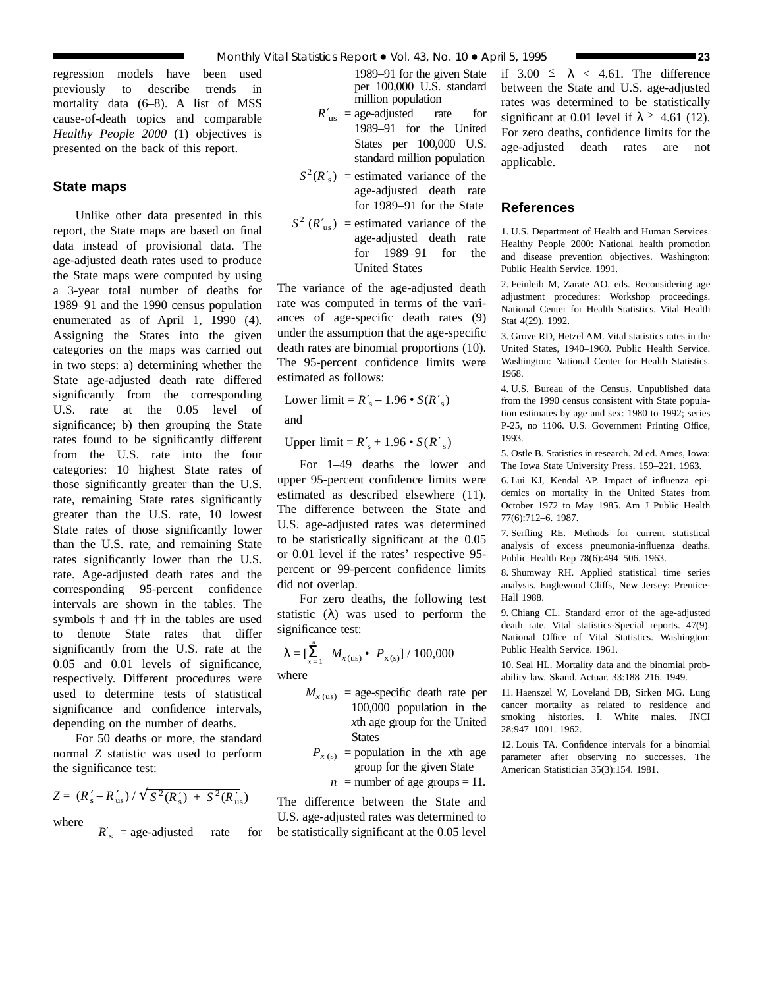regression models have been used previously to describe trends in mortality data (6–8). A list of MSS cause-of-death topics and comparable *Healthy People 2000* (1) objectives is presented on the back of this report.

## **State maps**

Unlike other data presented in this report, the State maps are based on final data instead of provisional data. The age-adjusted death rates used to produce the State maps were computed by using a 3-year total number of deaths for 1989–91 and the 1990 census population enumerated as of April 1, 1990 (4). Assigning the States into the given categories on the maps was carried out in two steps: a) determining whether the State age-adjusted death rate differed significantly from the corresponding U.S. rate at the 0.05 level of significance; b) then grouping the State rates found to be significantly different from the U.S. rate into the four categories: 10 highest State rates of those significantly greater than the U.S. rate, remaining State rates significantly greater than the U.S. rate, 10 lowest State rates of those significantly lower than the U.S. rate, and remaining State rates significantly lower than the U.S. rate. Age-adjusted death rates and the corresponding 95-percent confidence intervals are shown in the tables. The symbols † and †† in the tables are used to denote State rates that differ significantly from the U.S. rate at the 0.05 and 0.01 levels of significance, respectively. Different procedures were used to determine tests of statistical significance and confidence intervals, depending on the number of deaths.

For 50 deaths or more, the standard normal *Z* statistic was used to perform the significance test:

$$
Z = (R'_s - R'_{us}) / \sqrt{S^2(R'_s) + S^2(R'_{us})}
$$
  
where

 $R'$ <sub>s</sub> = age-adjusted rate for

1989–91 for the given State per 100,000 U.S. standard million population

- $R'_{\text{us}} = \text{age-adjusted}$  rate for 1989–91 for the United States per 100,000 U.S. standard million population
- $S^2(R'_s)$  = estimated variance of the age-adjusted death rate for 1989–91 for the State
- $S^2$  ( $R'_{\text{us}}$ ) = estimated variance of the age-adjusted death rate for 1989–91 for the United States

The variance of the age-adjusted death rate was computed in terms of the variances of age-specific death rates (9) under the assumption that the age-specific death rates are binomial proportions (10). The 95-percent confidence limits were estimated as follows:

Lower limit =  $R'_s - 1.96 \cdot S(R'_s)$ 

and

Upper  $\text{limit} = R'_{\text{s}} + 1.96 \cdot S(R'_{\text{s}})$ 

For 1–49 deaths the lower and upper 95-percent confidence limits were estimated as described elsewhere (11). The difference between the State and U.S. age-adjusted rates was determined to be statistically significant at the 0.05 or 0.01 level if the rates' respective 95 percent or 99-percent confidence limits did not overlap.

For zero deaths, the following test statistic  $(\lambda)$  was used to perform the significance test:

$$
\lambda = \left[\sum_{x=1}^{n} M_{x(\text{us})} \bullet P_{x(\text{s})}\right] / 100,000
$$

where

- $M_{x \text{ (us)}}$  = age-specific death rate per 100,000 population in the *x*th age group for the United **States** 
	- $P_{x(s)}$  = population in the *x*th age group for the given State

 $n =$  number of age groups = 11.

The difference between the State and U.S. age-adjusted rates was determined to be statistically significant at the 0.05 level if  $3.00 \le \lambda < 4.61$ . The difference between the State and U.S. age-adjusted rates was determined to be statistically significant at 0.01 level if  $\lambda \geq 4.61$  (12). For zero deaths, confidence limits for the age-adjusted death rates are not applicable.

## **References**

1. U.S. Department of Health and Human Services. Healthy People 2000: National health promotion and disease prevention objectives. Washington: Public Health Service. 1991.

2. Feinleib M, Zarate AO, eds. Reconsidering age adjustment procedures: Workshop proceedings. National Center for Health Statistics. Vital Health Stat 4(29). 1992.

3. Grove RD, Hetzel AM. Vital statistics rates in the United States, 1940–1960. Public Health Service. Washington: National Center for Health Statistics. 1968.

4. U.S. Bureau of the Census. Unpublished data from the 1990 census consistent with State population estimates by age and sex: 1980 to 1992; series P-25, no 1106. U.S. Government Printing Office, 1993.

5. Ostle B. Statistics in research. 2d ed. Ames, Iowa: The Iowa State University Press. 159–221. 1963.

6. Lui KJ, Kendal AP. Impact of influenza epidemics on mortality in the United States from October 1972 to May 1985. Am J Public Health 77(6):712–6. 1987.

7. Serfling RE. Methods for current statistical analysis of excess pneumonia-influenza deaths. Public Health Rep 78(6):494–506. 1963.

8. Shumway RH. Applied statistical time series analysis. Englewood Cliffs, New Jersey: Prentice-Hall 1988.

9. Chiang CL. Standard error of the age-adjusted death rate. Vital statistics-Special reports. 47(9). National Office of Vital Statistics. Washington: Public Health Service. 1961.

10. Seal HL. Mortality data and the binomial probability law. Skand. Actuar. 33:188–216. 1949.

11. Haenszel W, Loveland DB, Sirken MG. Lung cancer mortality as related to residence and smoking histories. I. White males. JNCI 28:947–1001. 1962.

12. Louis TA. Confidence intervals for a binomial parameter after observing no successes. The American Statistician 35(3):154. 1981.